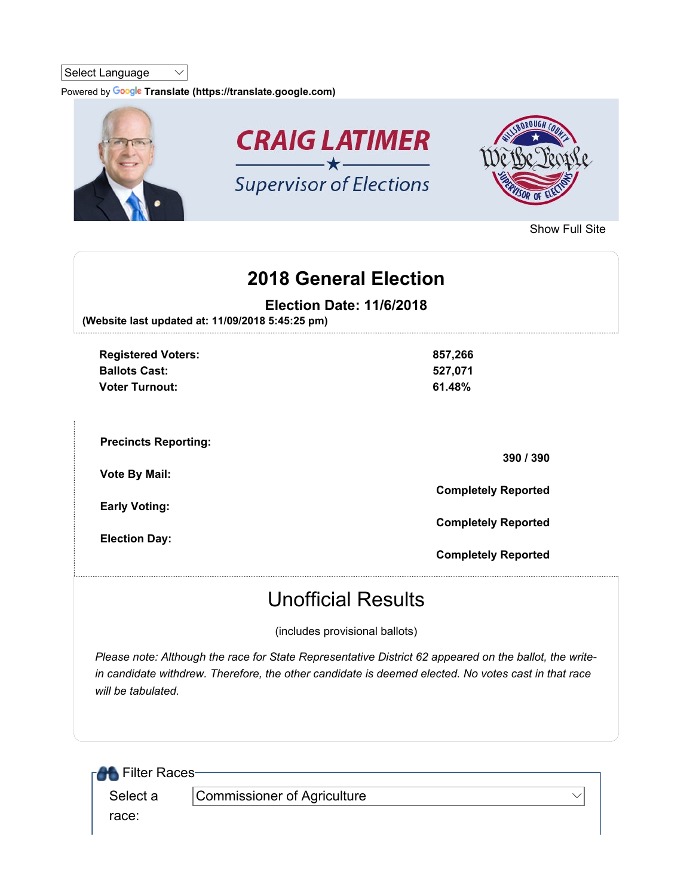## Select Language  $\vee$

Powered by Google Translate (https://translate.google.com)



Show Full Site

## 2018 General Election

Election Date: 11/6/2018

(Website last updated at: 11/09/2018 5:45:25 pm)

| <b>Registered Voters:</b><br><b>Ballots Cast:</b><br><b>Voter Turnout:</b> | 857,266<br>527,071<br>61.48% |
|----------------------------------------------------------------------------|------------------------------|
| <b>Precincts Reporting:</b>                                                | 390 / 390                    |
| <b>Vote By Mail:</b>                                                       | <b>Completely Reported</b>   |
| <b>Early Voting:</b><br><b>Election Day:</b>                               | <b>Completely Reported</b>   |
|                                                                            | <b>Completely Reported</b>   |

## Unofficial Results

(includes provisional ballots)

Please note: Although the race for State Representative District 62 appeared on the ballot, the writein candidate withdrew. Therefore, the other candidate is deemed elected. No votes cast in that race will be tabulated.

| <b>RAL</b> Filter Races- |                             |  |
|--------------------------|-----------------------------|--|
| Select a                 | Commissioner of Agriculture |  |
| race:                    |                             |  |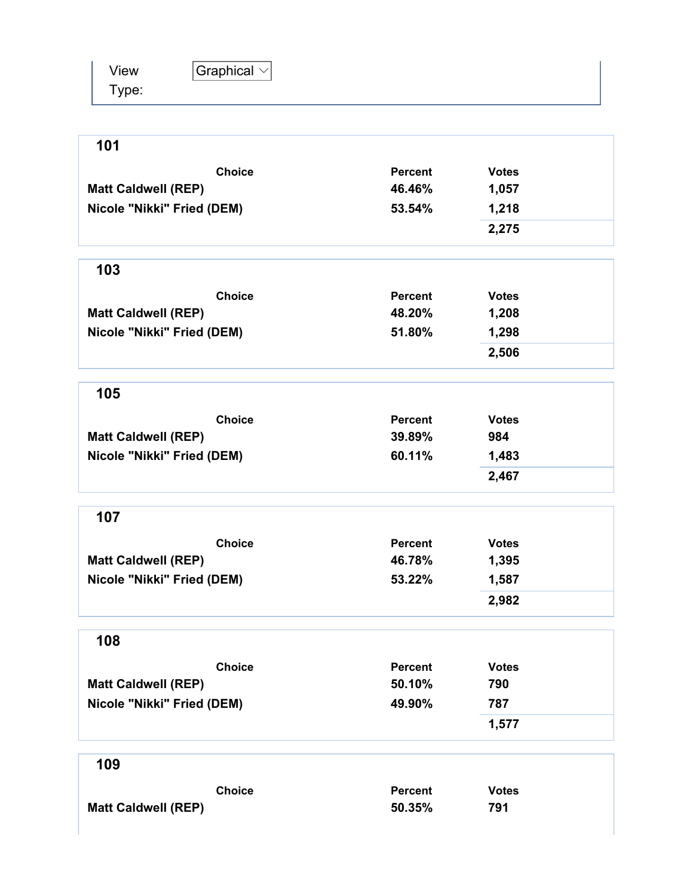| View  | Graphical $\vee$ |
|-------|------------------|
| Type: |                  |

| 101                        |                |              |
|----------------------------|----------------|--------------|
| <b>Choice</b>              | <b>Percent</b> | <b>Votes</b> |
| <b>Matt Caldwell (REP)</b> | 46.46%         | 1,057        |
| Nicole "Nikki" Fried (DEM) | 53.54%         | 1,218        |
|                            |                | 2,275        |
| 103                        |                |              |
| <b>Choice</b>              | <b>Percent</b> | <b>Votes</b> |
| <b>Matt Caldwell (REP)</b> | 48.20%         | 1,208        |
| Nicole "Nikki" Fried (DEM) | 51.80%         | 1,298        |
|                            |                | 2,506        |
| 105                        |                |              |
| <b>Choice</b>              | <b>Percent</b> | <b>Votes</b> |
| <b>Matt Caldwell (REP)</b> | 39.89%         | 984          |
| Nicole "Nikki" Fried (DEM) | 60.11%         | 1,483        |
|                            |                | 2,467        |
| 107                        |                |              |
| <b>Choice</b>              | <b>Percent</b> | <b>Votes</b> |
| <b>Matt Caldwell (REP)</b> | 46.78%         | 1,395        |
| Nicole "Nikki" Fried (DEM) | 53.22%         | 1,587        |
|                            |                | 2,982        |
| 108                        |                |              |
| <b>Choice</b>              | <b>Percent</b> | <b>Votes</b> |
| <b>Matt Caldwell (REP)</b> | 50.10%         | 790          |
| Nicole "Nikki" Fried (DEM) | 49.90%         | 787          |
|                            |                | 1,577        |
| 109                        |                |              |
| <b>Choice</b>              | Percent        | <b>Votes</b> |

Matt Caldwell (REP) 50.35% 791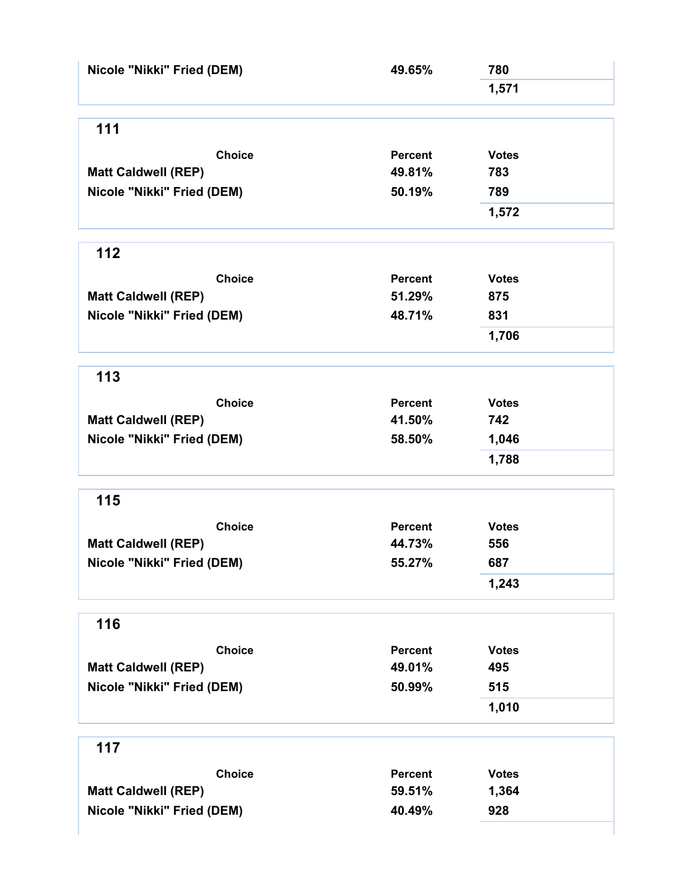| Nicole "Nikki" Fried (DEM) | 49.65%         | 780          |  |
|----------------------------|----------------|--------------|--|
|                            |                | 1,571        |  |
| 111                        |                |              |  |
| <b>Choice</b>              | <b>Percent</b> | <b>Votes</b> |  |
| <b>Matt Caldwell (REP)</b> | 49.81%         | 783          |  |
| Nicole "Nikki" Fried (DEM) | 50.19%         | 789          |  |
|                            |                | 1,572        |  |
| 112                        |                |              |  |
| <b>Choice</b>              | <b>Percent</b> | <b>Votes</b> |  |
| <b>Matt Caldwell (REP)</b> | 51.29%         | 875          |  |
| Nicole "Nikki" Fried (DEM) | 48.71%         | 831          |  |
|                            |                | 1,706        |  |
| 113                        |                |              |  |
| <b>Choice</b>              | <b>Percent</b> | <b>Votes</b> |  |
| <b>Matt Caldwell (REP)</b> | 41.50%         | 742          |  |
| Nicole "Nikki" Fried (DEM) | 58.50%         | 1,046        |  |
|                            |                | 1,788        |  |
| 115                        |                |              |  |
| <b>Choice</b>              | <b>Percent</b> | <b>Votes</b> |  |
| <b>Matt Caldwell (REP)</b> | 44.73%         | 556          |  |
| Nicole "Nikki" Fried (DEM) | 55.27%         | 687          |  |
|                            |                | 1,243        |  |
| 116                        |                |              |  |
| <b>Choice</b>              | <b>Percent</b> | <b>Votes</b> |  |
| <b>Matt Caldwell (REP)</b> | 49.01%         | 495          |  |
| Nicole "Nikki" Fried (DEM) | 50.99%         | 515          |  |
|                            |                | 1,010        |  |
| 117                        |                |              |  |
| <b>Choice</b>              | <b>Percent</b> | <b>Votes</b> |  |
| <b>Matt Caldwell (REP)</b> | 59.51%         | 1,364        |  |
| Nicole "Nikki" Fried (DEM) | 40.49%         | 928          |  |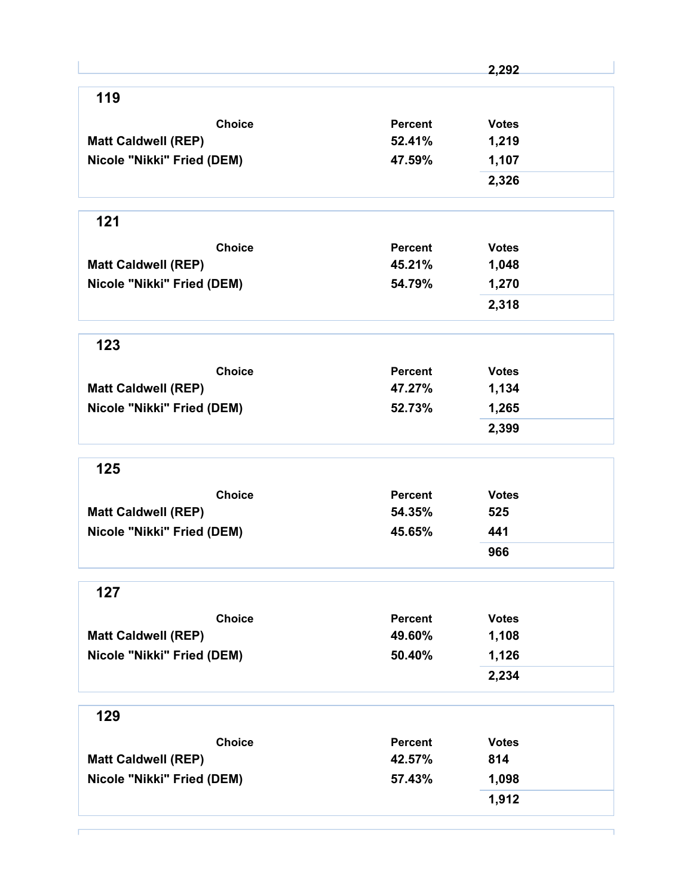|                            |                | 2,292        |
|----------------------------|----------------|--------------|
| 119                        |                |              |
| <b>Choice</b>              | Percent        | <b>Votes</b> |
| <b>Matt Caldwell (REP)</b> | 52.41%         | 1,219        |
| Nicole "Nikki" Fried (DEM) | 47.59%         | 1,107        |
|                            |                | 2,326        |
| 121                        |                |              |
| <b>Choice</b>              | <b>Percent</b> | <b>Votes</b> |
| <b>Matt Caldwell (REP)</b> | 45.21%         | 1,048        |
| Nicole "Nikki" Fried (DEM) | 54.79%         | 1,270        |
|                            |                | 2,318        |
| 123                        |                |              |
| <b>Choice</b>              | <b>Percent</b> | <b>Votes</b> |
| <b>Matt Caldwell (REP)</b> | 47.27%         | 1,134        |
| Nicole "Nikki" Fried (DEM) | 52.73%         | 1,265        |
|                            |                | 2,399        |
| 125                        |                |              |
| <b>Choice</b>              | Percent        | <b>Votes</b> |
| <b>Matt Caldwell (REP)</b> | 54.35%         | 525          |
| Nicole "Nikki" Fried (DEM) | 45.65%         | 441          |
|                            |                | 966          |
| 127                        |                |              |
| <b>Choice</b>              | <b>Percent</b> | <b>Votes</b> |
| <b>Matt Caldwell (REP)</b> | 49.60%         | 1,108        |
| Nicole "Nikki" Fried (DEM) | 50.40%         | 1,126        |
|                            |                | 2,234        |
| 129                        |                |              |
| <b>Choice</b>              | <b>Percent</b> | <b>Votes</b> |
| <b>Matt Caldwell (REP)</b> | 42.57%         | 814          |
| Nicole "Nikki" Fried (DEM) | 57.43%         | 1,098        |
|                            |                |              |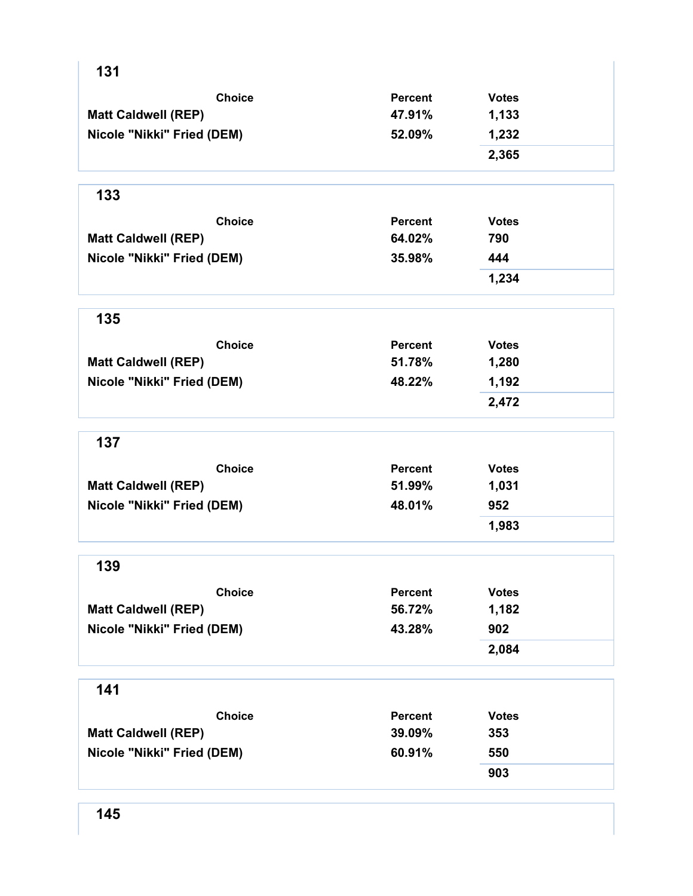| 131                        |                |              |
|----------------------------|----------------|--------------|
| <b>Choice</b>              | <b>Percent</b> | <b>Votes</b> |
| <b>Matt Caldwell (REP)</b> | 47.91%         | 1,133        |
| Nicole "Nikki" Fried (DEM) | 52.09%         | 1,232        |
|                            |                | 2,365        |
| 133                        |                |              |
| <b>Choice</b>              | <b>Percent</b> | <b>Votes</b> |
| <b>Matt Caldwell (REP)</b> | 64.02%         | 790          |
| Nicole "Nikki" Fried (DEM) | 35.98%         | 444          |
|                            |                | 1,234        |
| 135                        |                |              |
| <b>Choice</b>              | <b>Percent</b> | <b>Votes</b> |
| <b>Matt Caldwell (REP)</b> | 51.78%         | 1,280        |
| Nicole "Nikki" Fried (DEM) | 48.22%         | 1,192        |
|                            |                | 2,472        |
| 137                        |                |              |
| <b>Choice</b>              | <b>Percent</b> | <b>Votes</b> |
| <b>Matt Caldwell (REP)</b> | 51.99%         | 1,031        |
| Nicole "Nikki" Fried (DEM) | 48.01%         | 952          |
|                            |                | 1,983        |
| 139                        |                |              |
| <b>Choice</b>              | <b>Percent</b> | <b>Votes</b> |
| <b>Matt Caldwell (REP)</b> | 56.72%         | 1,182        |
| Nicole "Nikki" Fried (DEM) | 43.28%         | 902          |
|                            |                | 2,084        |
| 141                        |                |              |
| <b>Choice</b>              | <b>Percent</b> | <b>Votes</b> |
| <b>Matt Caldwell (REP)</b> | 39.09%         | 353          |
|                            | 60.91%         | 550          |
| Nicole "Nikki" Fried (DEM) |                |              |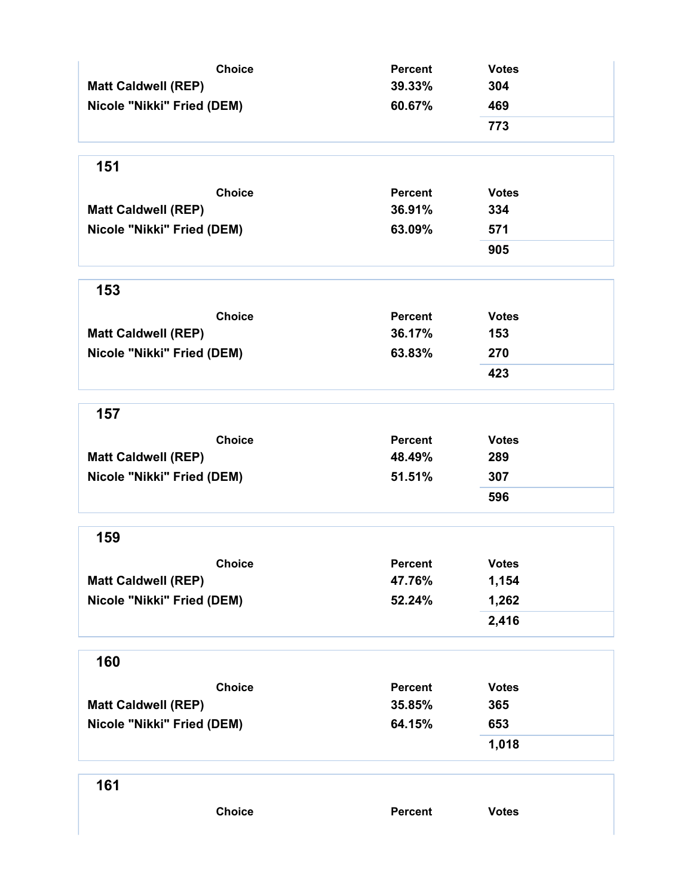| <b>Choice</b><br><b>Matt Caldwell (REP)</b><br>Nicole "Nikki" Fried (DEM)<br>151<br><b>Choice</b><br><b>Matt Caldwell (REP)</b><br>Nicole "Nikki" Fried (DEM) | <b>Percent</b><br>39.33%<br>60.67%<br><b>Percent</b><br>36.91%<br>63.09% | <b>Votes</b><br>304<br>469<br>773<br><b>Votes</b><br>334<br>571<br>905 |
|---------------------------------------------------------------------------------------------------------------------------------------------------------------|--------------------------------------------------------------------------|------------------------------------------------------------------------|
| 153                                                                                                                                                           |                                                                          |                                                                        |
| <b>Choice</b><br><b>Matt Caldwell (REP)</b><br>Nicole "Nikki" Fried (DEM)                                                                                     | <b>Percent</b><br>36.17%<br>63.83%                                       | <b>Votes</b><br>153<br>270<br>423                                      |
| 157                                                                                                                                                           |                                                                          |                                                                        |
| <b>Choice</b><br><b>Matt Caldwell (REP)</b><br>Nicole "Nikki" Fried (DEM)                                                                                     | <b>Percent</b><br>48.49%<br>51.51%                                       | <b>Votes</b><br>289<br>307<br>596                                      |
| 159                                                                                                                                                           |                                                                          |                                                                        |
| <b>Choice</b><br><b>Matt Caldwell (REP)</b><br>Nicole "Nikki" Fried (DEM)                                                                                     | Percent<br>47.76%<br>52.24%                                              | <b>Votes</b><br>1,154<br>1,262<br>2,416                                |
| 160                                                                                                                                                           |                                                                          |                                                                        |
| <b>Choice</b><br><b>Matt Caldwell (REP)</b><br>Nicole "Nikki" Fried (DEM)                                                                                     | <b>Percent</b><br>35.85%<br>64.15%                                       | <b>Votes</b><br>365<br>653<br>1,018                                    |
| 161                                                                                                                                                           |                                                                          |                                                                        |
| <b>Choice</b>                                                                                                                                                 | Percent                                                                  | <b>Votes</b>                                                           |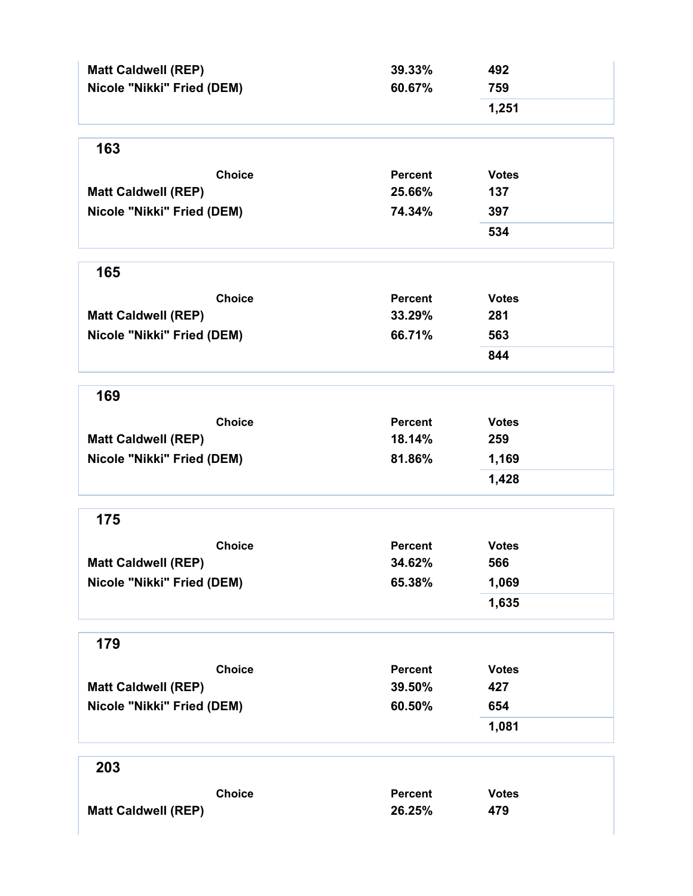| 1,251<br>163<br><b>Choice</b><br><b>Percent</b><br><b>Votes</b><br>25.66%<br>137<br><b>Matt Caldwell (REP)</b><br>Nicole "Nikki" Fried (DEM)<br>74.34%<br>397<br>534<br>165<br><b>Choice</b><br><b>Percent</b><br><b>Votes</b><br><b>Matt Caldwell (REP)</b><br>33.29%<br>281<br>Nicole "Nikki" Fried (DEM)<br>66.71%<br>563<br>844<br>169<br><b>Choice</b><br>Percent<br><b>Votes</b><br><b>Matt Caldwell (REP)</b><br>18.14%<br>259<br>Nicole "Nikki" Fried (DEM)<br>81.86%<br>1,169<br>1,428<br>175<br><b>Choice</b><br><b>Votes</b><br><b>Percent</b><br>34.62%<br>566<br><b>Matt Caldwell (REP)</b><br>Nicole "Nikki" Fried (DEM)<br>65.38%<br>1,069<br>1,635<br>179<br><b>Choice</b><br><b>Percent</b><br><b>Votes</b><br><b>Matt Caldwell (REP)</b><br>39.50%<br>427<br>Nicole "Nikki" Fried (DEM)<br>60.50%<br>654<br>1,081<br>203<br><b>Choice</b><br><b>Percent</b><br><b>Votes</b><br>26.25%<br>479 | <b>Matt Caldwell (REP)</b><br>Nicole "Nikki" Fried (DEM) | 39.33%<br>60.67% | 492<br>759 |
|----------------------------------------------------------------------------------------------------------------------------------------------------------------------------------------------------------------------------------------------------------------------------------------------------------------------------------------------------------------------------------------------------------------------------------------------------------------------------------------------------------------------------------------------------------------------------------------------------------------------------------------------------------------------------------------------------------------------------------------------------------------------------------------------------------------------------------------------------------------------------------------------------------------|----------------------------------------------------------|------------------|------------|
|                                                                                                                                                                                                                                                                                                                                                                                                                                                                                                                                                                                                                                                                                                                                                                                                                                                                                                                |                                                          |                  |            |
|                                                                                                                                                                                                                                                                                                                                                                                                                                                                                                                                                                                                                                                                                                                                                                                                                                                                                                                |                                                          |                  |            |
|                                                                                                                                                                                                                                                                                                                                                                                                                                                                                                                                                                                                                                                                                                                                                                                                                                                                                                                |                                                          |                  |            |
|                                                                                                                                                                                                                                                                                                                                                                                                                                                                                                                                                                                                                                                                                                                                                                                                                                                                                                                |                                                          |                  |            |
|                                                                                                                                                                                                                                                                                                                                                                                                                                                                                                                                                                                                                                                                                                                                                                                                                                                                                                                |                                                          |                  |            |
|                                                                                                                                                                                                                                                                                                                                                                                                                                                                                                                                                                                                                                                                                                                                                                                                                                                                                                                |                                                          |                  |            |
|                                                                                                                                                                                                                                                                                                                                                                                                                                                                                                                                                                                                                                                                                                                                                                                                                                                                                                                |                                                          |                  |            |
|                                                                                                                                                                                                                                                                                                                                                                                                                                                                                                                                                                                                                                                                                                                                                                                                                                                                                                                |                                                          |                  |            |
|                                                                                                                                                                                                                                                                                                                                                                                                                                                                                                                                                                                                                                                                                                                                                                                                                                                                                                                |                                                          |                  |            |
|                                                                                                                                                                                                                                                                                                                                                                                                                                                                                                                                                                                                                                                                                                                                                                                                                                                                                                                |                                                          |                  |            |
|                                                                                                                                                                                                                                                                                                                                                                                                                                                                                                                                                                                                                                                                                                                                                                                                                                                                                                                |                                                          |                  |            |
|                                                                                                                                                                                                                                                                                                                                                                                                                                                                                                                                                                                                                                                                                                                                                                                                                                                                                                                |                                                          |                  |            |
|                                                                                                                                                                                                                                                                                                                                                                                                                                                                                                                                                                                                                                                                                                                                                                                                                                                                                                                |                                                          |                  |            |
|                                                                                                                                                                                                                                                                                                                                                                                                                                                                                                                                                                                                                                                                                                                                                                                                                                                                                                                |                                                          |                  |            |
|                                                                                                                                                                                                                                                                                                                                                                                                                                                                                                                                                                                                                                                                                                                                                                                                                                                                                                                |                                                          |                  |            |
|                                                                                                                                                                                                                                                                                                                                                                                                                                                                                                                                                                                                                                                                                                                                                                                                                                                                                                                |                                                          |                  |            |
|                                                                                                                                                                                                                                                                                                                                                                                                                                                                                                                                                                                                                                                                                                                                                                                                                                                                                                                |                                                          |                  |            |
|                                                                                                                                                                                                                                                                                                                                                                                                                                                                                                                                                                                                                                                                                                                                                                                                                                                                                                                |                                                          |                  |            |
|                                                                                                                                                                                                                                                                                                                                                                                                                                                                                                                                                                                                                                                                                                                                                                                                                                                                                                                |                                                          |                  |            |
|                                                                                                                                                                                                                                                                                                                                                                                                                                                                                                                                                                                                                                                                                                                                                                                                                                                                                                                |                                                          |                  |            |
|                                                                                                                                                                                                                                                                                                                                                                                                                                                                                                                                                                                                                                                                                                                                                                                                                                                                                                                |                                                          |                  |            |
|                                                                                                                                                                                                                                                                                                                                                                                                                                                                                                                                                                                                                                                                                                                                                                                                                                                                                                                |                                                          |                  |            |
|                                                                                                                                                                                                                                                                                                                                                                                                                                                                                                                                                                                                                                                                                                                                                                                                                                                                                                                |                                                          |                  |            |
|                                                                                                                                                                                                                                                                                                                                                                                                                                                                                                                                                                                                                                                                                                                                                                                                                                                                                                                |                                                          |                  |            |
|                                                                                                                                                                                                                                                                                                                                                                                                                                                                                                                                                                                                                                                                                                                                                                                                                                                                                                                |                                                          |                  |            |
|                                                                                                                                                                                                                                                                                                                                                                                                                                                                                                                                                                                                                                                                                                                                                                                                                                                                                                                |                                                          |                  |            |
|                                                                                                                                                                                                                                                                                                                                                                                                                                                                                                                                                                                                                                                                                                                                                                                                                                                                                                                |                                                          |                  |            |
|                                                                                                                                                                                                                                                                                                                                                                                                                                                                                                                                                                                                                                                                                                                                                                                                                                                                                                                |                                                          |                  |            |
|                                                                                                                                                                                                                                                                                                                                                                                                                                                                                                                                                                                                                                                                                                                                                                                                                                                                                                                | <b>Matt Caldwell (REP)</b>                               |                  |            |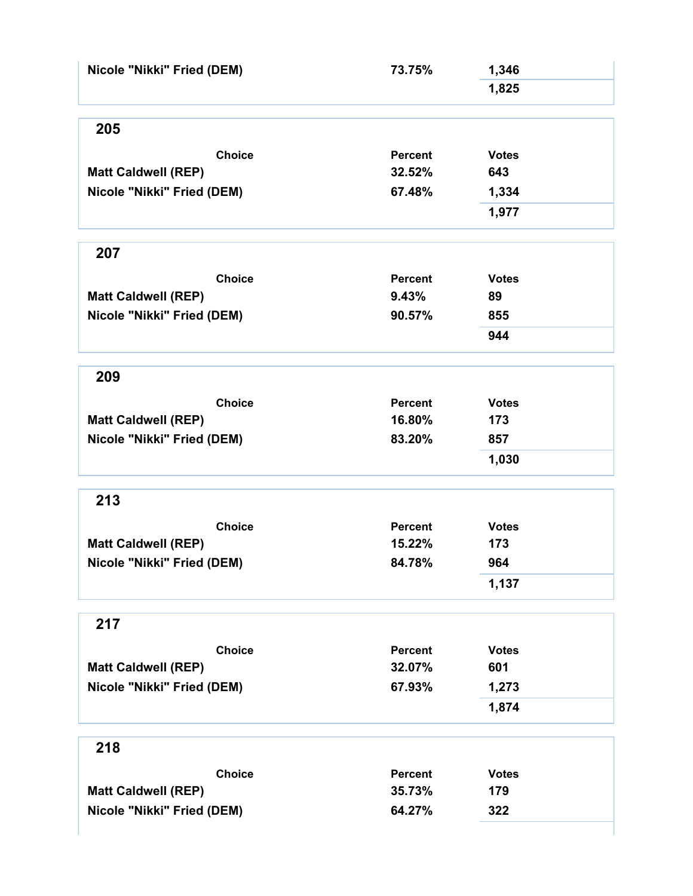| Nicole "Nikki" Fried (DEM) | 73.75%         | 1,346        |  |
|----------------------------|----------------|--------------|--|
|                            |                | 1,825        |  |
|                            |                |              |  |
| 205                        |                |              |  |
| <b>Choice</b>              | Percent        | <b>Votes</b> |  |
| <b>Matt Caldwell (REP)</b> | 32.52%         | 643          |  |
| Nicole "Nikki" Fried (DEM) | 67.48%         | 1,334        |  |
|                            |                | 1,977        |  |
| 207                        |                |              |  |
|                            |                |              |  |
| <b>Choice</b>              | Percent        | <b>Votes</b> |  |
| <b>Matt Caldwell (REP)</b> | 9.43%          | 89           |  |
| Nicole "Nikki" Fried (DEM) | 90.57%         | 855          |  |
|                            |                | 944          |  |
| 209                        |                |              |  |
| <b>Choice</b>              | <b>Percent</b> | <b>Votes</b> |  |
| <b>Matt Caldwell (REP)</b> | 16.80%         | 173          |  |
| Nicole "Nikki" Fried (DEM) | 83.20%         | 857          |  |
|                            |                | 1,030        |  |
| 213                        |                |              |  |
| <b>Choice</b>              | <b>Percent</b> | <b>Votes</b> |  |
| <b>Matt Caldwell (REP)</b> | 15.22%         | 173          |  |
| Nicole "Nikki" Fried (DEM) | 84.78%         | 964          |  |
|                            |                | 1,137        |  |
|                            |                |              |  |
| 217                        |                |              |  |
| <b>Choice</b>              | <b>Percent</b> | <b>Votes</b> |  |
| <b>Matt Caldwell (REP)</b> | 32.07%         | 601          |  |
| Nicole "Nikki" Fried (DEM) | 67.93%         | 1,273        |  |
|                            |                | 1,874        |  |
| 218                        |                |              |  |
| <b>Choice</b>              | <b>Percent</b> | <b>Votes</b> |  |
| <b>Matt Caldwell (REP)</b> | 35.73%         | 179          |  |
| Nicole "Nikki" Fried (DEM) | 64.27%         | 322          |  |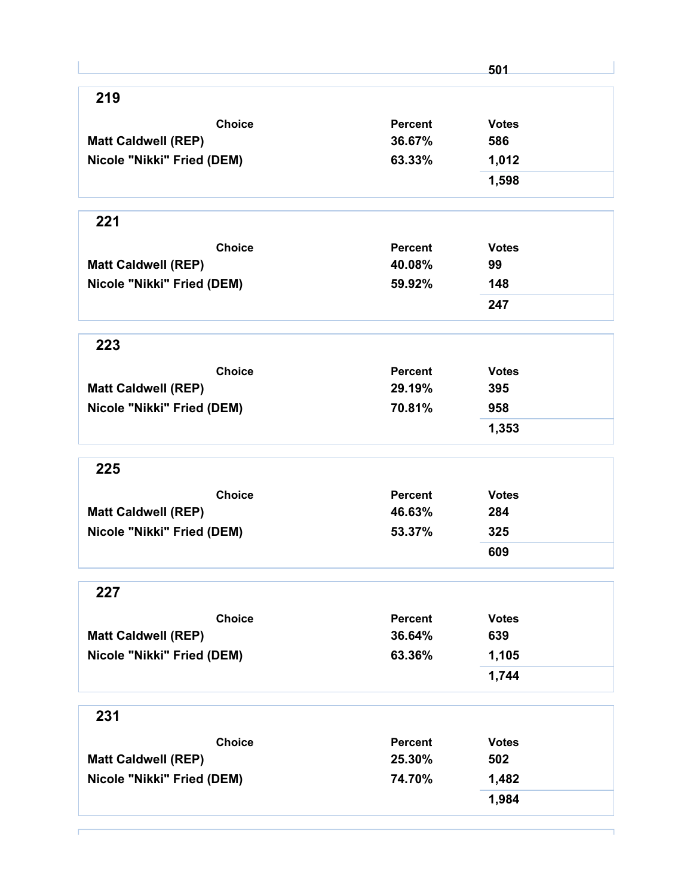|                            |                | 501          |
|----------------------------|----------------|--------------|
| 219                        |                |              |
| <b>Choice</b>              | <b>Percent</b> | <b>Votes</b> |
| <b>Matt Caldwell (REP)</b> | 36.67%         | 586          |
| Nicole "Nikki" Fried (DEM) | 63.33%         | 1,012        |
|                            |                | 1,598        |
| 221                        |                |              |
| <b>Choice</b>              | Percent        | <b>Votes</b> |
| <b>Matt Caldwell (REP)</b> | 40.08%         | 99           |
| Nicole "Nikki" Fried (DEM) | 59.92%         | 148          |
|                            |                | 247          |
| 223                        |                |              |
| <b>Choice</b>              | <b>Percent</b> | <b>Votes</b> |
| <b>Matt Caldwell (REP)</b> | 29.19%         | 395          |
| Nicole "Nikki" Fried (DEM) | 70.81%         | 958          |
|                            |                | 1,353        |
| 225                        |                |              |
| <b>Choice</b>              | Percent        | <b>Votes</b> |
| <b>Matt Caldwell (REP)</b> | 46.63%         | 284          |
| Nicole "Nikki" Fried (DEM) | 53.37%         | 325          |
|                            |                | 609          |
| 227                        |                |              |
| <b>Choice</b>              | <b>Percent</b> | <b>Votes</b> |
| <b>Matt Caldwell (REP)</b> | 36.64%         | 639          |
| Nicole "Nikki" Fried (DEM) | 63.36%         | 1,105        |
|                            |                | 1,744        |
| 231                        |                |              |
| <b>Choice</b>              | <b>Percent</b> | <b>Votes</b> |
| <b>Matt Caldwell (REP)</b> | 25.30%         | 502          |
| Nicole "Nikki" Fried (DEM) | 74.70%         | 1,482        |
|                            |                |              |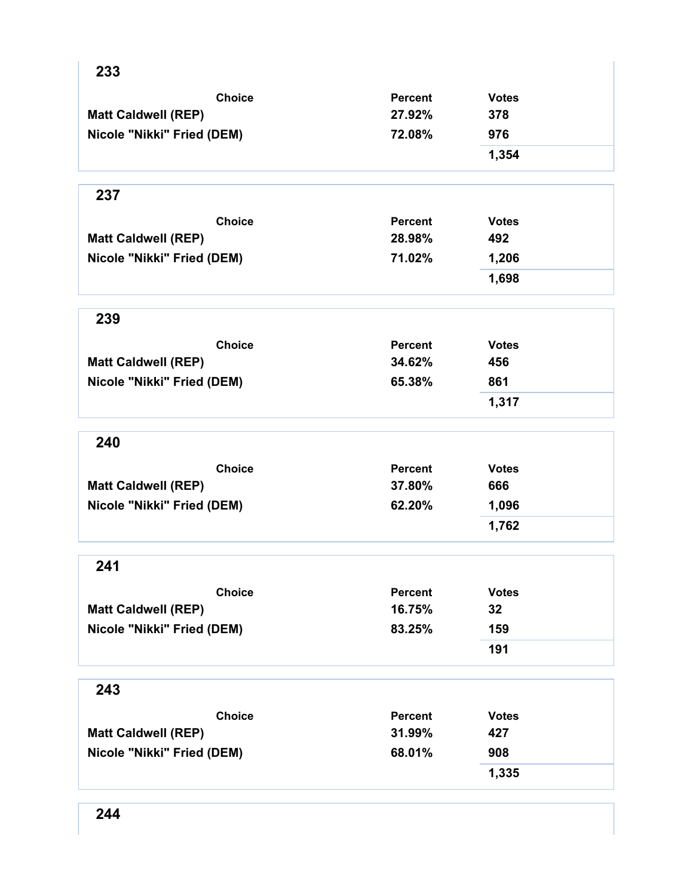| 233                        |                |              |
|----------------------------|----------------|--------------|
| <b>Choice</b>              | <b>Percent</b> | <b>Votes</b> |
| <b>Matt Caldwell (REP)</b> | 27.92%         | 378          |
| Nicole "Nikki" Fried (DEM) | 72.08%         | 976          |
|                            |                | 1,354        |
| 237                        |                |              |
| <b>Choice</b>              | <b>Percent</b> | <b>Votes</b> |
| <b>Matt Caldwell (REP)</b> | 28.98%         | 492          |
| Nicole "Nikki" Fried (DEM) | 71.02%         | 1,206        |
|                            |                | 1,698        |
| 239                        |                |              |
| <b>Choice</b>              | <b>Percent</b> | <b>Votes</b> |
| <b>Matt Caldwell (REP)</b> | 34.62%         | 456          |
| Nicole "Nikki" Fried (DEM) | 65.38%         | 861          |
|                            |                | 1,317        |
| 240                        |                |              |
| <b>Choice</b>              | <b>Percent</b> | <b>Votes</b> |
| <b>Matt Caldwell (REP)</b> | 37.80%         | 666          |
| Nicole "Nikki" Fried (DEM) | 62.20%         | 1,096        |
|                            |                | 1,762        |
| 241                        |                |              |
| <b>Choice</b>              | <b>Percent</b> | <b>Votes</b> |
| <b>Matt Caldwell (REP)</b> | 16.75%         | 32           |
| Nicole "Nikki" Fried (DEM) | 83.25%         | 159          |
|                            |                | 191          |
| 243                        |                |              |
| <b>Choice</b>              | <b>Percent</b> | <b>Votes</b> |
| <b>Matt Caldwell (REP)</b> | 31.99%         | 427          |
| Nicole "Nikki" Fried (DEM) | 68.01%         | 908          |
|                            |                | 1,335        |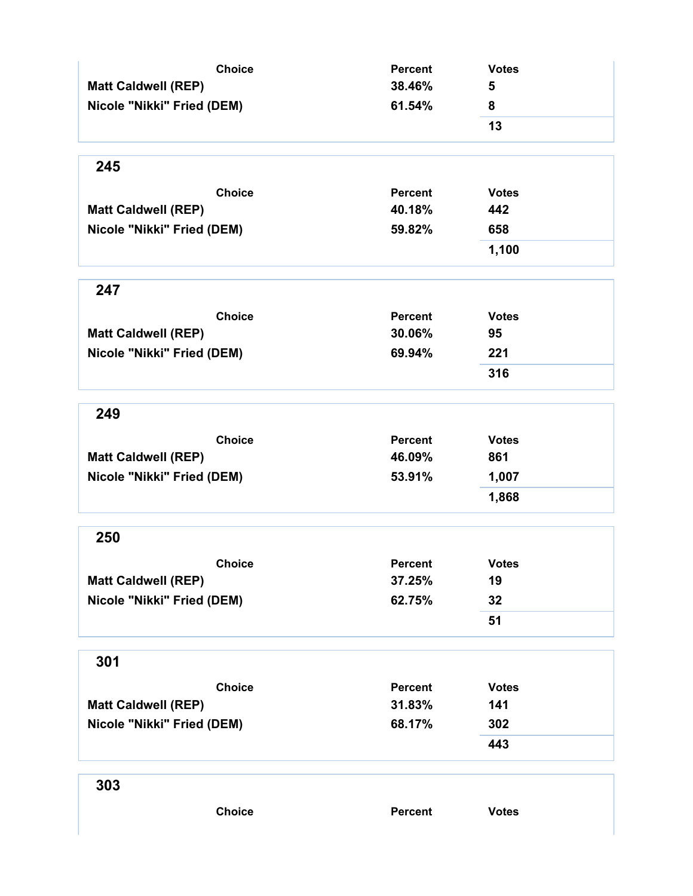| <b>Choice</b>              | <b>Percent</b> | <b>Votes</b> |
|----------------------------|----------------|--------------|
| <b>Matt Caldwell (REP)</b> | 38.46%         | 5            |
| Nicole "Nikki" Fried (DEM) | 61.54%         | 8            |
|                            |                | 13           |
| 245                        |                |              |
| <b>Choice</b>              | <b>Percent</b> | <b>Votes</b> |
| <b>Matt Caldwell (REP)</b> | 40.18%         | 442          |
| Nicole "Nikki" Fried (DEM) | 59.82%         | 658          |
|                            |                | 1,100        |
| 247                        |                |              |
| <b>Choice</b>              | <b>Percent</b> | <b>Votes</b> |
| <b>Matt Caldwell (REP)</b> | 30.06%         | 95           |
| Nicole "Nikki" Fried (DEM) | 69.94%         | 221          |
|                            |                | 316          |
| 249                        |                |              |
| <b>Choice</b>              | <b>Percent</b> | <b>Votes</b> |
| <b>Matt Caldwell (REP)</b> | 46.09%         | 861          |
| Nicole "Nikki" Fried (DEM) | 53.91%         | 1,007        |
|                            |                | 1,868        |
| 250                        |                |              |
| <b>Choice</b>              | Percent        | <b>Votes</b> |
| <b>Matt Caldwell (REP)</b> | 37.25%         | 19           |
| Nicole "Nikki" Fried (DEM) | 62.75%         | 32           |
|                            |                | 51           |
| 301                        |                |              |
| <b>Choice</b>              | <b>Percent</b> | <b>Votes</b> |
| <b>Matt Caldwell (REP)</b> | 31.83%         | 141          |
| Nicole "Nikki" Fried (DEM) | 68.17%         | 302          |
|                            |                | 443          |
| 303                        |                |              |
| <b>Choice</b>              | Percent        | <b>Votes</b> |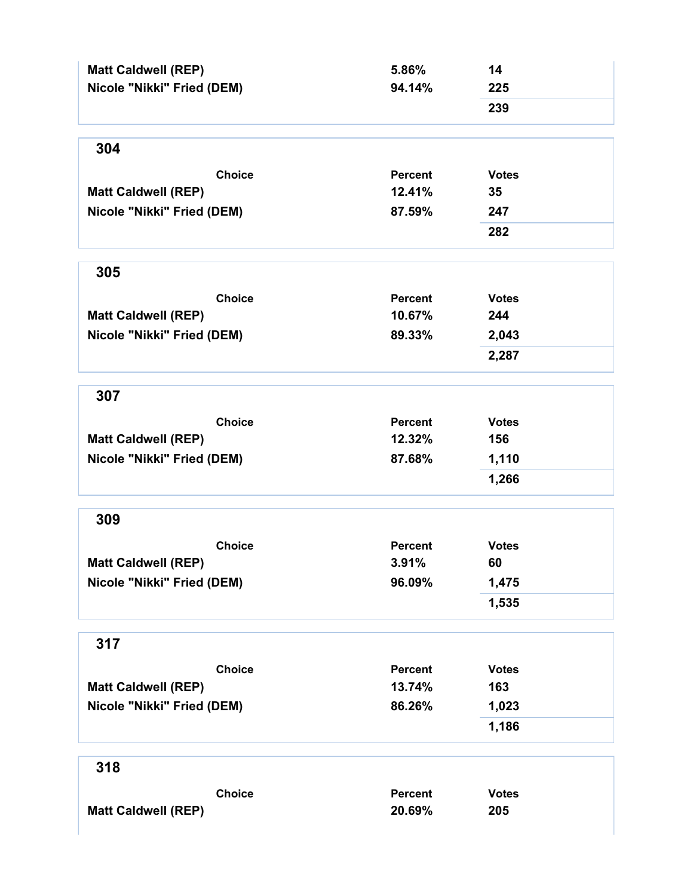| <b>Matt Caldwell (REP)</b><br>Nicole "Nikki" Fried (DEM) | 5.86%<br>94.14% | 14<br>225    |
|----------------------------------------------------------|-----------------|--------------|
|                                                          |                 | 239          |
| 304                                                      |                 |              |
| <b>Choice</b>                                            | <b>Percent</b>  | <b>Votes</b> |
| <b>Matt Caldwell (REP)</b>                               | 12.41%          | 35           |
| Nicole "Nikki" Fried (DEM)                               | 87.59%          | 247          |
|                                                          |                 | 282          |
| 305                                                      |                 |              |
| <b>Choice</b>                                            | <b>Percent</b>  | <b>Votes</b> |
| <b>Matt Caldwell (REP)</b>                               | 10.67%          | 244          |
| Nicole "Nikki" Fried (DEM)                               | 89.33%          | 2,043        |
|                                                          |                 | 2,287        |
| 307                                                      |                 |              |
| <b>Choice</b>                                            | <b>Percent</b>  | <b>Votes</b> |
| <b>Matt Caldwell (REP)</b>                               | 12.32%          | 156          |
| Nicole "Nikki" Fried (DEM)                               | 87.68%          | 1,110        |
|                                                          |                 | 1,266        |
| 309                                                      |                 |              |
| <b>Choice</b>                                            | <b>Percent</b>  | <b>Votes</b> |
| <b>Matt Caldwell (REP)</b>                               | 3.91%           | 60           |
| Nicole "Nikki" Fried (DEM)                               | 96.09%          | 1,475        |
|                                                          |                 | 1,535        |
| 317                                                      |                 |              |
| <b>Choice</b>                                            | <b>Percent</b>  | <b>Votes</b> |
| <b>Matt Caldwell (REP)</b>                               | 13.74%          | 163          |
| Nicole "Nikki" Fried (DEM)                               | 86.26%          | 1,023        |
|                                                          |                 | 1,186        |
| 318                                                      |                 |              |
| <b>Choice</b>                                            | <b>Percent</b>  | <b>Votes</b> |
| <b>Matt Caldwell (REP)</b>                               | 20.69%          | 205          |
|                                                          |                 |              |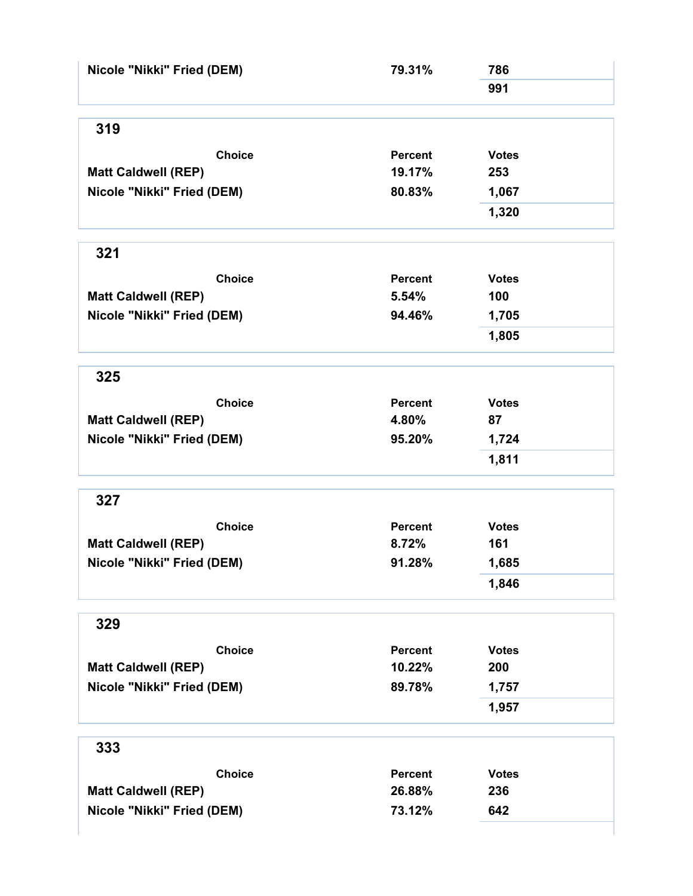| Nicole "Nikki" Fried (DEM) | 79.31%         | 786          |  |
|----------------------------|----------------|--------------|--|
|                            |                | 991          |  |
| 319                        |                |              |  |
| <b>Choice</b>              | <b>Percent</b> | <b>Votes</b> |  |
| <b>Matt Caldwell (REP)</b> | 19.17%         | 253          |  |
| Nicole "Nikki" Fried (DEM) | 80.83%         | 1,067        |  |
|                            |                | 1,320        |  |
| 321                        |                |              |  |
| <b>Choice</b>              | <b>Percent</b> | <b>Votes</b> |  |
| <b>Matt Caldwell (REP)</b> | 5.54%          | 100          |  |
| Nicole "Nikki" Fried (DEM) | 94.46%         | 1,705        |  |
|                            |                | 1,805        |  |
| 325                        |                |              |  |
| <b>Choice</b>              | <b>Percent</b> | <b>Votes</b> |  |
| <b>Matt Caldwell (REP)</b> | 4.80%          | 87           |  |
| Nicole "Nikki" Fried (DEM) | 95.20%         | 1,724        |  |
|                            |                | 1,811        |  |
| 327                        |                |              |  |
| <b>Choice</b>              | <b>Percent</b> | <b>Votes</b> |  |
| <b>Matt Caldwell (REP)</b> | 8.72%          | 161          |  |
| Nicole "Nikki" Fried (DEM) | 91.28%         | 1,685        |  |
|                            |                | 1,846        |  |
| 329                        |                |              |  |
| <b>Choice</b>              | <b>Percent</b> | <b>Votes</b> |  |
| <b>Matt Caldwell (REP)</b> | 10.22%         | 200          |  |
| Nicole "Nikki" Fried (DEM) | 89.78%         | 1,757        |  |
|                            |                | 1,957        |  |
| 333                        |                |              |  |
| <b>Choice</b>              | <b>Percent</b> | <b>Votes</b> |  |
| <b>Matt Caldwell (REP)</b> | 26.88%         | 236          |  |
| Nicole "Nikki" Fried (DEM) | 73.12%         | 642          |  |
|                            |                |              |  |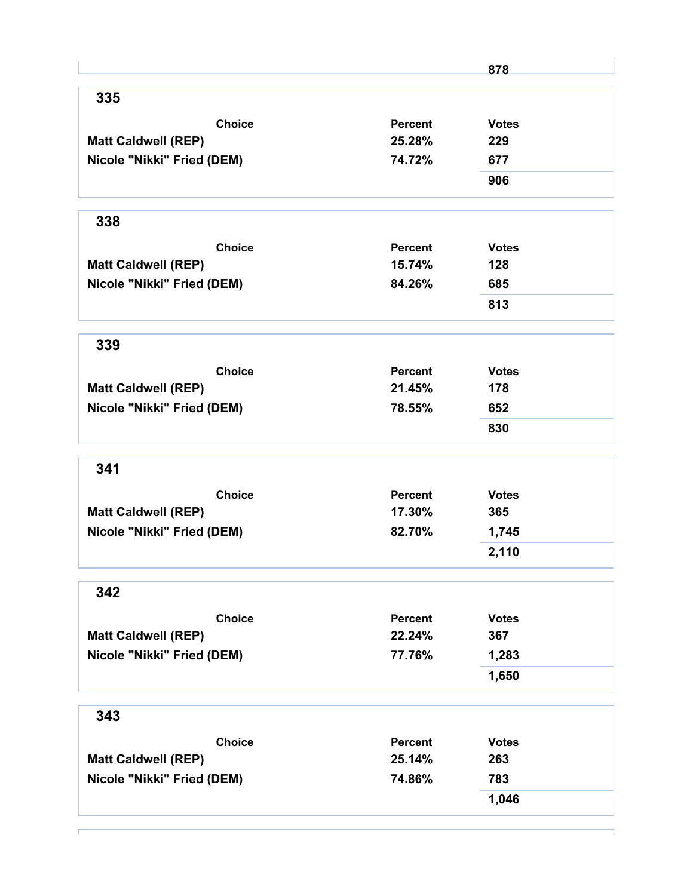|                            |                | 878          |
|----------------------------|----------------|--------------|
| 335                        |                |              |
| <b>Choice</b>              | <b>Percent</b> | <b>Votes</b> |
| <b>Matt Caldwell (REP)</b> | 25.28%         | 229          |
| Nicole "Nikki" Fried (DEM) | 74.72%         | 677          |
|                            |                | 906          |
| 338                        |                |              |
| <b>Choice</b>              | <b>Percent</b> | <b>Votes</b> |
| <b>Matt Caldwell (REP)</b> | 15.74%         | 128          |
| Nicole "Nikki" Fried (DEM) | 84.26%         | 685          |
|                            |                | 813          |
| 339                        |                |              |
| <b>Choice</b>              | Percent        | <b>Votes</b> |
| <b>Matt Caldwell (REP)</b> | 21.45%         | 178          |
| Nicole "Nikki" Fried (DEM) | 78.55%         | 652          |
|                            |                | 830          |
| 341                        |                |              |
| <b>Choice</b>              | <b>Percent</b> | <b>Votes</b> |
| <b>Matt Caldwell (REP)</b> | 17.30%         | 365          |
| Nicole "Nikki" Fried (DEM) | 82.70%         | 1,745        |
|                            |                | 2,110        |
| 342                        |                |              |
| <b>Choice</b>              | Percent        | <b>Votes</b> |
| <b>Matt Caldwell (REP)</b> | 22.24%         | 367          |
| Nicole "Nikki" Fried (DEM) | 77.76%         | 1,283        |
|                            |                | 1,650        |
| 343                        |                |              |
| <b>Choice</b>              | <b>Percent</b> | <b>Votes</b> |
| <b>Matt Caldwell (REP)</b> | 25.14%         | 263          |
| Nicole "Nikki" Fried (DEM) | 74.86%         | 783          |
|                            |                | 1,046        |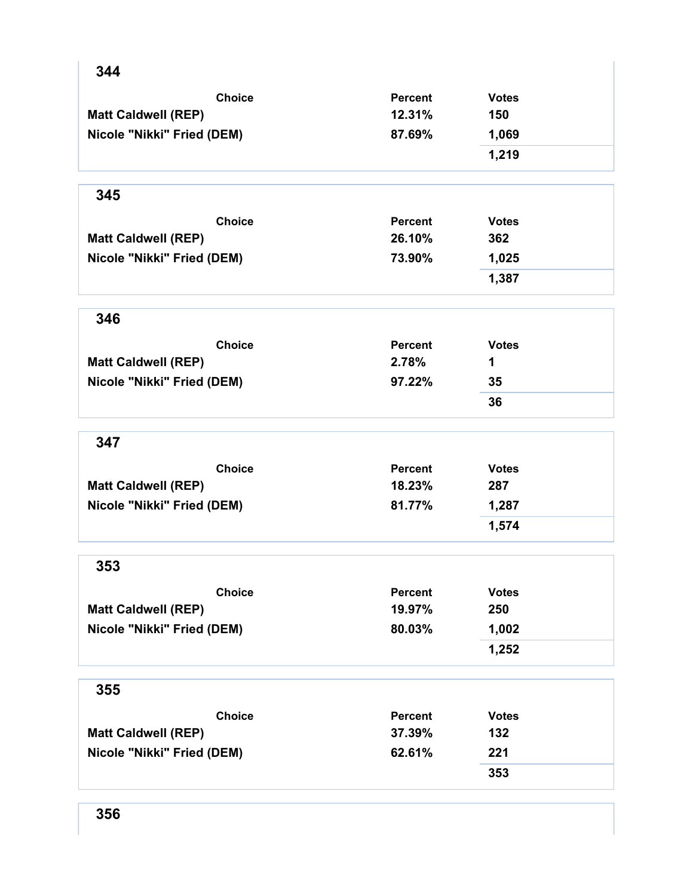| <b>Choice</b>              | <b>Percent</b> | <b>Votes</b> |
|----------------------------|----------------|--------------|
|                            |                |              |
| <b>Matt Caldwell (REP)</b> | 12.31%         | 150          |
| Nicole "Nikki" Fried (DEM) | 87.69%         | 1,069        |
|                            |                | 1,219        |
| 345                        |                |              |
| <b>Choice</b>              | <b>Percent</b> | <b>Votes</b> |
| <b>Matt Caldwell (REP)</b> | 26.10%         | 362          |
| Nicole "Nikki" Fried (DEM) | 73.90%         | 1,025        |
|                            |                | 1,387        |
| 346                        |                |              |
| <b>Choice</b>              | <b>Percent</b> | <b>Votes</b> |
| <b>Matt Caldwell (REP)</b> | 2.78%          | 1            |
| Nicole "Nikki" Fried (DEM) | 97.22%         | 35           |
|                            |                | 36           |
| 347                        |                |              |
| <b>Choice</b>              | <b>Percent</b> | <b>Votes</b> |
| <b>Matt Caldwell (REP)</b> | 18.23%         | 287          |
| Nicole "Nikki" Fried (DEM) | 81.77%         | 1,287        |
|                            |                | 1,574        |
| 353                        |                |              |
| <b>Choice</b>              | Percent        | <b>Votes</b> |
| <b>Matt Caldwell (REP)</b> | 19.97%         | 250          |
| Nicole "Nikki" Fried (DEM) | 80.03%         | 1,002        |
|                            |                | 1,252        |
| 355                        |                |              |
| <b>Choice</b>              | <b>Percent</b> | <b>Votes</b> |
| <b>Matt Caldwell (REP)</b> | 37.39%         | 132          |
| Nicole "Nikki" Fried (DEM) | 62.61%         | 221          |
|                            |                | 353          |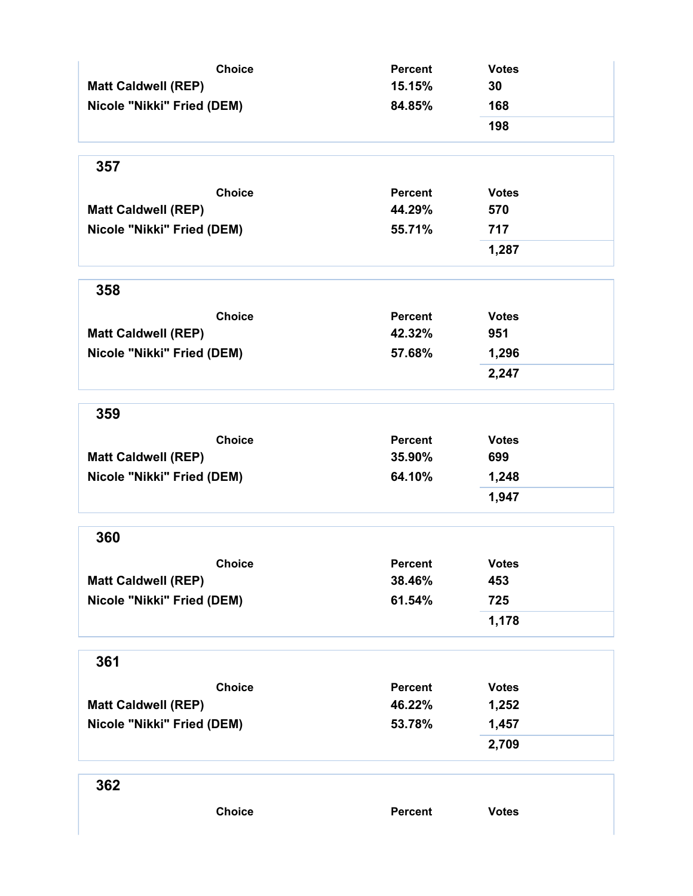| <b>Choice</b>              | <b>Percent</b> | <b>Votes</b> |
|----------------------------|----------------|--------------|
| <b>Matt Caldwell (REP)</b> | 15.15%         | 30           |
| Nicole "Nikki" Fried (DEM) | 84.85%         | 168          |
|                            |                | 198          |
| 357                        |                |              |
| <b>Choice</b>              | <b>Percent</b> | <b>Votes</b> |
| <b>Matt Caldwell (REP)</b> | 44.29%         | 570          |
| Nicole "Nikki" Fried (DEM) | 55.71%         | 717          |
|                            |                | 1,287        |
| 358                        |                |              |
| <b>Choice</b>              | <b>Percent</b> | <b>Votes</b> |
| <b>Matt Caldwell (REP)</b> | 42.32%         | 951          |
| Nicole "Nikki" Fried (DEM) | 57.68%         | 1,296        |
|                            |                | 2,247        |
| 359                        |                |              |
| <b>Choice</b>              | <b>Percent</b> | <b>Votes</b> |
| <b>Matt Caldwell (REP)</b> | 35.90%         | 699          |
| Nicole "Nikki" Fried (DEM) | 64.10%         | 1,248        |
|                            |                | 1,947        |
| 360                        |                |              |
| <b>Choice</b>              | <b>Percent</b> | <b>Votes</b> |
| <b>Matt Caldwell (REP)</b> | 38.46%         | 453          |
| Nicole "Nikki" Fried (DEM) | 61.54%         | 725          |
|                            |                | 1,178        |
| 361                        |                |              |
| <b>Choice</b>              | <b>Percent</b> | <b>Votes</b> |
| <b>Matt Caldwell (REP)</b> | 46.22%         | 1,252        |
| Nicole "Nikki" Fried (DEM) | 53.78%         | 1,457        |
|                            |                | 2,709        |
| 362                        |                |              |
| <b>Choice</b>              | <b>Percent</b> | <b>Votes</b> |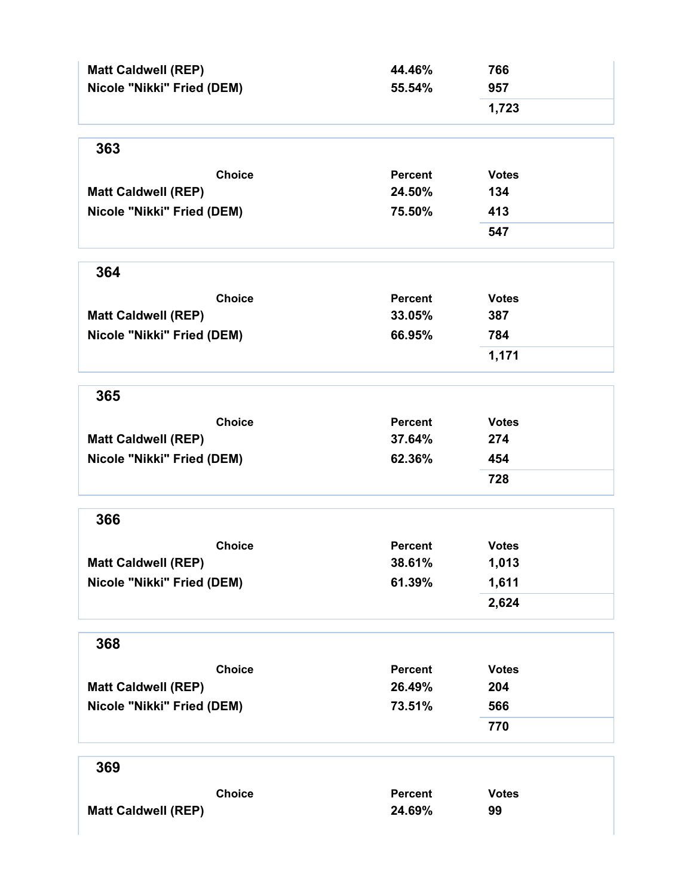| <b>Matt Caldwell (REP)</b> | 44.46%         | 766          |
|----------------------------|----------------|--------------|
| Nicole "Nikki" Fried (DEM) | 55.54%         | 957          |
|                            |                | 1,723        |
| 363                        |                |              |
| <b>Choice</b>              | <b>Percent</b> | <b>Votes</b> |
| <b>Matt Caldwell (REP)</b> | 24.50%         | 134          |
| Nicole "Nikki" Fried (DEM) | 75.50%         | 413          |
|                            |                | 547          |
| 364                        |                |              |
| <b>Choice</b>              | <b>Percent</b> | <b>Votes</b> |
| <b>Matt Caldwell (REP)</b> | 33.05%         | 387          |
| Nicole "Nikki" Fried (DEM) | 66.95%         | 784          |
|                            |                | 1,171        |
| 365                        |                |              |
| <b>Choice</b>              | Percent        | <b>Votes</b> |
| <b>Matt Caldwell (REP)</b> | 37.64%         | 274          |
| Nicole "Nikki" Fried (DEM) | 62.36%         | 454          |
|                            |                | 728          |
| 366                        |                |              |
| <b>Choice</b>              | <b>Percent</b> | <b>Votes</b> |
| <b>Matt Caldwell (REP)</b> | 38.61%         | 1,013        |
| Nicole "Nikki" Fried (DEM) | 61.39%         | 1,611        |
|                            |                | 2,624        |
| 368                        |                |              |
| <b>Choice</b>              | <b>Percent</b> | <b>Votes</b> |
| <b>Matt Caldwell (REP)</b> | 26.49%         | 204          |
| Nicole "Nikki" Fried (DEM) | 73.51%         | 566          |
|                            |                | 770          |
| 369                        |                |              |
| <b>Choice</b>              | <b>Percent</b> | <b>Votes</b> |
| <b>Matt Caldwell (REP)</b> | 24.69%         | 99           |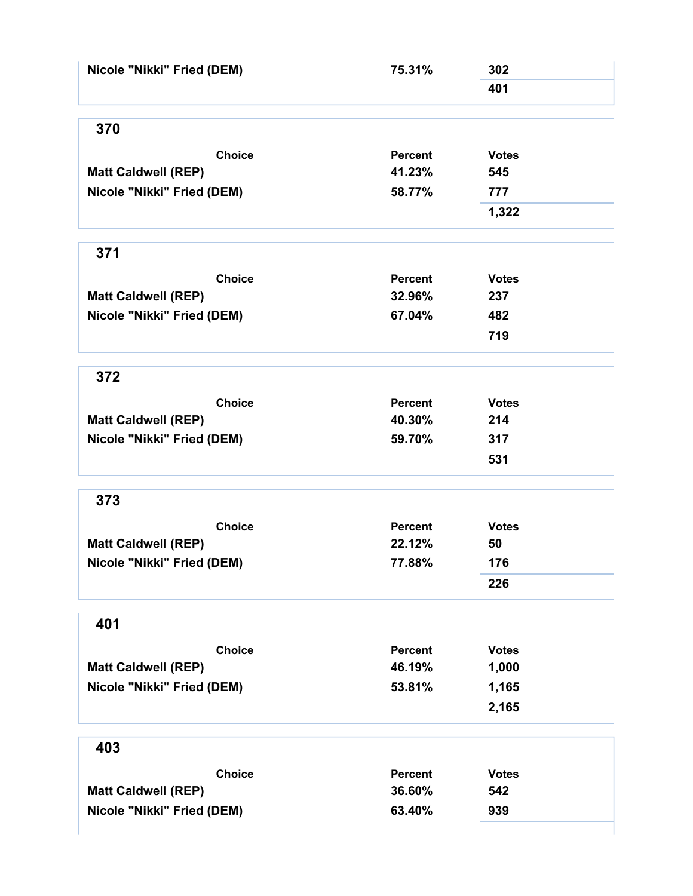| Nicole "Nikki" Fried (DEM) | 75.31%         | 302          |
|----------------------------|----------------|--------------|
|                            |                | 401          |
| 370                        |                |              |
| <b>Choice</b>              | <b>Percent</b> | <b>Votes</b> |
| <b>Matt Caldwell (REP)</b> | 41.23%         | 545          |
| Nicole "Nikki" Fried (DEM) | 58.77%         | 777          |
|                            |                | 1,322        |
| 371                        |                |              |
| <b>Choice</b>              | <b>Percent</b> | <b>Votes</b> |
| <b>Matt Caldwell (REP)</b> | 32.96%         | 237          |
| Nicole "Nikki" Fried (DEM) | 67.04%         | 482          |
|                            |                | 719          |
| 372                        |                |              |
| <b>Choice</b>              | Percent        | <b>Votes</b> |
| <b>Matt Caldwell (REP)</b> | 40.30%         | 214          |
| Nicole "Nikki" Fried (DEM) | 59.70%         | 317          |
|                            |                | 531          |
| 373                        |                |              |
| <b>Choice</b>              | <b>Percent</b> | <b>Votes</b> |
| <b>Matt Caldwell (REP)</b> | 22.12%         | 50           |
| Nicole "Nikki" Fried (DEM) | 77.88%         | 176          |
|                            |                | 226          |
| 401                        |                |              |
| <b>Choice</b>              | <b>Percent</b> | <b>Votes</b> |
| <b>Matt Caldwell (REP)</b> | 46.19%         | 1,000        |
| Nicole "Nikki" Fried (DEM) | 53.81%         | 1,165        |
|                            |                | 2,165        |
| 403                        |                |              |
| <b>Choice</b>              | <b>Percent</b> | <b>Votes</b> |
| <b>Matt Caldwell (REP)</b> | 36.60%         | 542          |
| Nicole "Nikki" Fried (DEM) | 63.40%         | 939          |
|                            |                |              |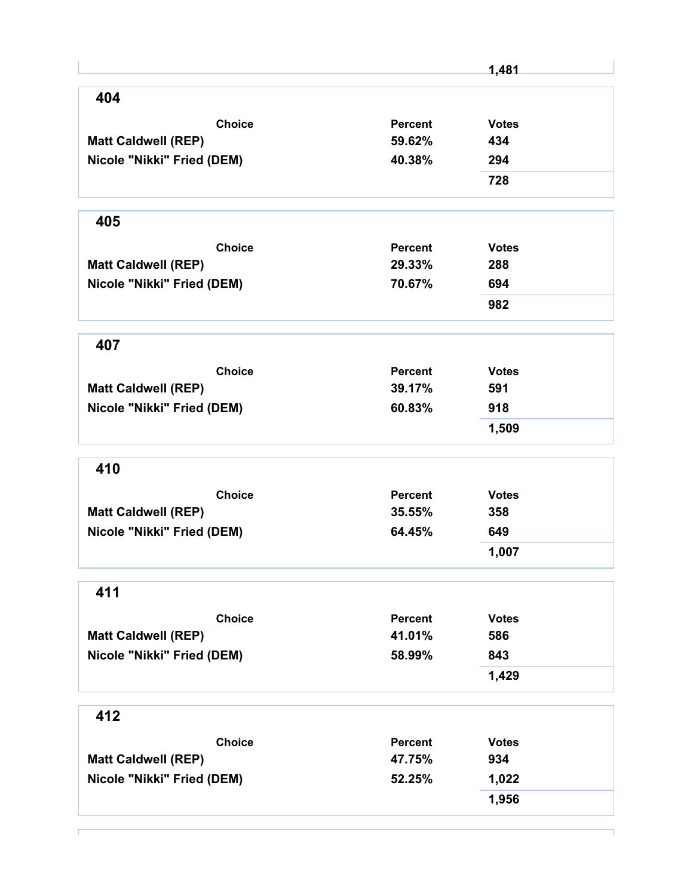|                            |                | 1,481        |
|----------------------------|----------------|--------------|
| 404                        |                |              |
| <b>Choice</b>              | Percent        | <b>Votes</b> |
| <b>Matt Caldwell (REP)</b> | 59.62%         | 434          |
| Nicole "Nikki" Fried (DEM) | 40.38%         | 294          |
|                            |                | 728          |
| 405                        |                |              |
| <b>Choice</b>              | <b>Percent</b> | <b>Votes</b> |
| <b>Matt Caldwell (REP)</b> | 29.33%         | 288          |
| Nicole "Nikki" Fried (DEM) | 70.67%         | 694          |
|                            |                | 982          |
| 407                        |                |              |
| <b>Choice</b>              | <b>Percent</b> | <b>Votes</b> |
| <b>Matt Caldwell (REP)</b> | 39.17%         | 591          |
| Nicole "Nikki" Fried (DEM) | 60.83%         | 918          |
|                            |                | 1,509        |
| 410                        |                |              |
| <b>Choice</b>              | <b>Percent</b> | <b>Votes</b> |
| <b>Matt Caldwell (REP)</b> | 35.55%         | 358          |
| Nicole "Nikki" Fried (DEM) | 64.45%         | 649          |
|                            |                | 1,007        |
| 411                        |                |              |
| <b>Choice</b>              | <b>Percent</b> | <b>Votes</b> |
| <b>Matt Caldwell (REP)</b> | 41.01%         | 586          |
| Nicole "Nikki" Fried (DEM) | 58.99%         | 843          |
|                            |                | 1,429        |
| 412                        |                |              |
| <b>Choice</b>              | <b>Percent</b> | <b>Votes</b> |
| <b>Matt Caldwell (REP)</b> | 47.75%         | 934          |
| Nicole "Nikki" Fried (DEM) | 52.25%         | 1,022        |
|                            |                | 1,956        |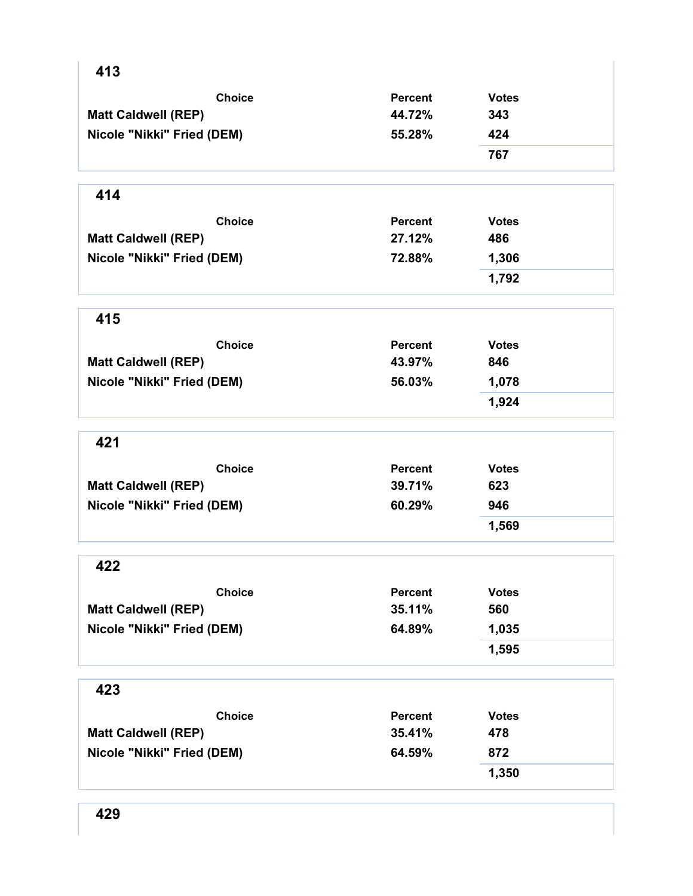| 413                        |                |              |
|----------------------------|----------------|--------------|
| <b>Choice</b>              | <b>Percent</b> | <b>Votes</b> |
| <b>Matt Caldwell (REP)</b> | 44.72%         | 343          |
| Nicole "Nikki" Fried (DEM) | 55.28%         | 424          |
|                            |                | 767          |
| 414                        |                |              |
| <b>Choice</b>              | <b>Percent</b> | <b>Votes</b> |
| <b>Matt Caldwell (REP)</b> | 27.12%         | 486          |
| Nicole "Nikki" Fried (DEM) | 72.88%         | 1,306        |
|                            |                | 1,792        |
| 415                        |                |              |
| <b>Choice</b>              | <b>Percent</b> | <b>Votes</b> |
| <b>Matt Caldwell (REP)</b> | 43.97%         | 846          |
| Nicole "Nikki" Fried (DEM) | 56.03%         | 1,078        |
|                            |                | 1,924        |
| 421                        |                |              |
| <b>Choice</b>              | <b>Percent</b> | <b>Votes</b> |
| <b>Matt Caldwell (REP)</b> | 39.71%         | 623          |
| Nicole "Nikki" Fried (DEM) | 60.29%         | 946          |
|                            |                | 1,569        |
| 422                        |                |              |
| <b>Choice</b>              | <b>Percent</b> | <b>Votes</b> |
| <b>Matt Caldwell (REP)</b> | 35.11%         | 560          |
| Nicole "Nikki" Fried (DEM) | 64.89%         | 1,035        |
|                            |                | 1,595        |
| 423                        |                |              |
| <b>Choice</b>              | <b>Percent</b> | <b>Votes</b> |
| <b>Matt Caldwell (REP)</b> | 35.41%         | 478          |
| Nicole "Nikki" Fried (DEM) | 64.59%         | 872          |
|                            |                | 1,350        |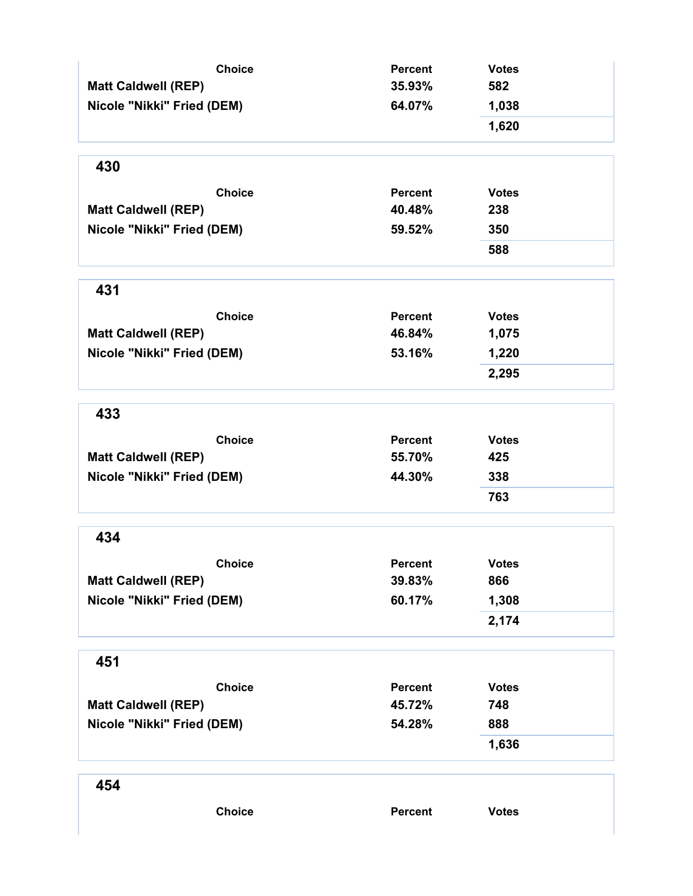| <b>Choice</b>              | <b>Percent</b> | <b>Votes</b> |
|----------------------------|----------------|--------------|
| <b>Matt Caldwell (REP)</b> | 35.93%         | 582          |
| Nicole "Nikki" Fried (DEM) | 64.07%         | 1,038        |
|                            |                | 1,620        |
| 430                        |                |              |
| <b>Choice</b>              | <b>Percent</b> | <b>Votes</b> |
| <b>Matt Caldwell (REP)</b> | 40.48%         | 238          |
| Nicole "Nikki" Fried (DEM) | 59.52%         | 350          |
|                            |                | 588          |
| 431                        |                |              |
| <b>Choice</b>              | <b>Percent</b> | <b>Votes</b> |
| <b>Matt Caldwell (REP)</b> | 46.84%         | 1,075        |
| Nicole "Nikki" Fried (DEM) | 53.16%         | 1,220        |
|                            |                | 2,295        |
| 433                        |                |              |
| <b>Choice</b>              | <b>Percent</b> | <b>Votes</b> |
| <b>Matt Caldwell (REP)</b> | 55.70%         | 425          |
| Nicole "Nikki" Fried (DEM) | 44.30%         | 338          |
|                            |                | 763          |
| 434                        |                |              |
| <b>Choice</b>              | <b>Percent</b> | <b>Votes</b> |
| <b>Matt Caldwell (REP)</b> | 39.83%         | 866          |
| Nicole "Nikki" Fried (DEM) | 60.17%         | 1,308        |
|                            |                | 2,174        |
| 451                        |                |              |
| <b>Choice</b>              | <b>Percent</b> | <b>Votes</b> |
| <b>Matt Caldwell (REP)</b> | 45.72%         | 748          |
| Nicole "Nikki" Fried (DEM) | 54.28%         | 888          |
|                            |                | 1,636        |
| 454                        |                |              |
| <b>Choice</b>              | <b>Percent</b> | <b>Votes</b> |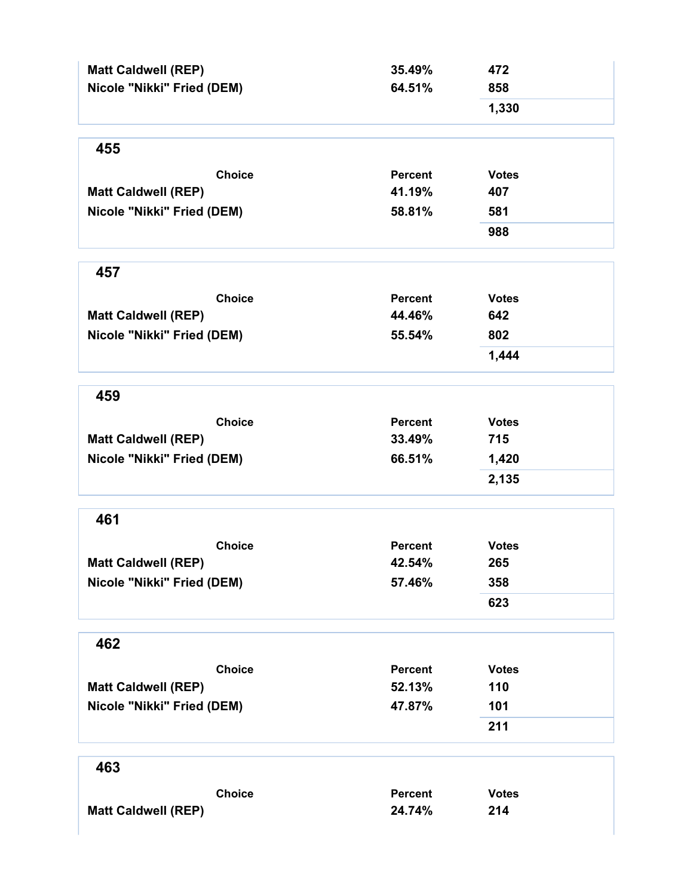| <b>Matt Caldwell (REP)</b><br>Nicole "Nikki" Fried (DEM) | 35.49%<br>64.51% | 472<br>858   |
|----------------------------------------------------------|------------------|--------------|
|                                                          |                  | 1,330        |
| 455                                                      |                  |              |
| <b>Choice</b>                                            | <b>Percent</b>   | <b>Votes</b> |
| <b>Matt Caldwell (REP)</b>                               | 41.19%           | 407          |
| Nicole "Nikki" Fried (DEM)                               | 58.81%           | 581          |
|                                                          |                  | 988          |
| 457                                                      |                  |              |
| <b>Choice</b>                                            | <b>Percent</b>   | <b>Votes</b> |
| <b>Matt Caldwell (REP)</b>                               | 44.46%           | 642          |
| Nicole "Nikki" Fried (DEM)                               | 55.54%           | 802          |
|                                                          |                  | 1,444        |
| 459                                                      |                  |              |
| <b>Choice</b>                                            | <b>Percent</b>   | <b>Votes</b> |
| <b>Matt Caldwell (REP)</b>                               | 33.49%           | 715          |
| Nicole "Nikki" Fried (DEM)                               | 66.51%           | 1,420        |
|                                                          |                  | 2,135        |
| 461                                                      |                  |              |
| <b>Choice</b>                                            | <b>Percent</b>   | <b>Votes</b> |
| <b>Matt Caldwell (REP)</b>                               | 42.54%           | 265          |
| Nicole "Nikki" Fried (DEM)                               | 57.46%           | 358          |
|                                                          |                  | 623          |
| 462                                                      |                  |              |
| <b>Choice</b>                                            | <b>Percent</b>   | <b>Votes</b> |
| <b>Matt Caldwell (REP)</b>                               | 52.13%           | 110          |
| Nicole "Nikki" Fried (DEM)                               | 47.87%           | 101          |
|                                                          |                  | 211          |
| 463                                                      |                  |              |
| <b>Choice</b>                                            | <b>Percent</b>   | <b>Votes</b> |
| <b>Matt Caldwell (REP)</b>                               | 24.74%           | 214          |
|                                                          |                  |              |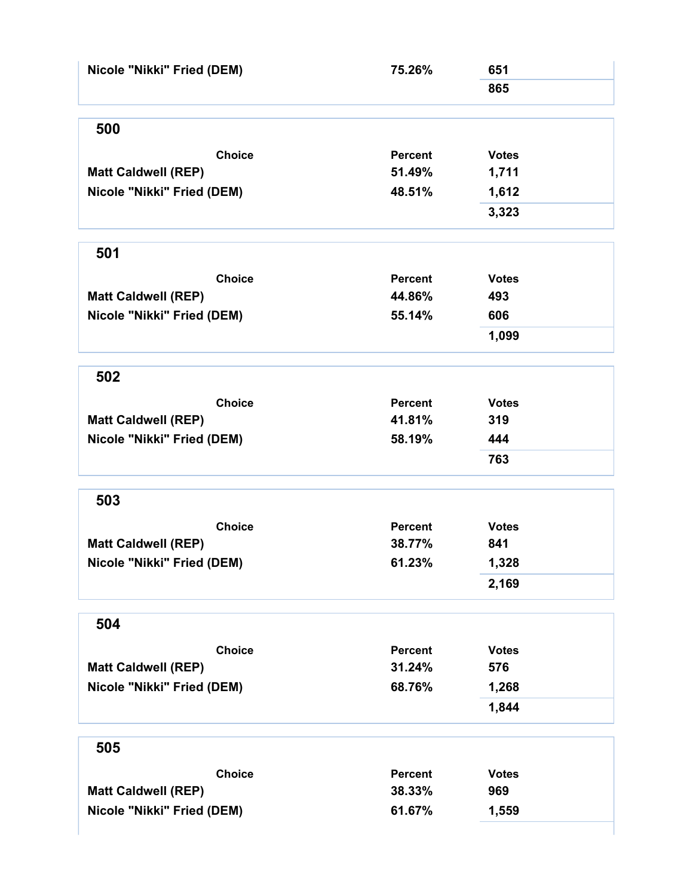| Nicole "Nikki" Fried (DEM) | 75.26%         | 651          |  |
|----------------------------|----------------|--------------|--|
|                            |                | 865          |  |
| 500                        |                |              |  |
| <b>Choice</b>              | Percent        | <b>Votes</b> |  |
| <b>Matt Caldwell (REP)</b> | 51.49%         | 1,711        |  |
| Nicole "Nikki" Fried (DEM) | 48.51%         | 1,612        |  |
|                            |                | 3,323        |  |
| 501                        |                |              |  |
| <b>Choice</b>              | <b>Percent</b> | <b>Votes</b> |  |
| <b>Matt Caldwell (REP)</b> | 44.86%         | 493          |  |
| Nicole "Nikki" Fried (DEM) | 55.14%         | 606          |  |
|                            |                | 1,099        |  |
| 502                        |                |              |  |
| <b>Choice</b>              | <b>Percent</b> | <b>Votes</b> |  |
| <b>Matt Caldwell (REP)</b> | 41.81%         | 319          |  |
| Nicole "Nikki" Fried (DEM) | 58.19%         | 444          |  |
|                            |                | 763          |  |
|                            |                |              |  |
| 503                        |                |              |  |
| <b>Choice</b>              | <b>Percent</b> | <b>Votes</b> |  |
| <b>Matt Caldwell (REP)</b> | 38.77%         | 841          |  |
| Nicole "Nikki" Fried (DEM) | 61.23%         | 1,328        |  |
|                            |                | 2,169        |  |
| 504                        |                |              |  |
| <b>Choice</b>              | <b>Percent</b> | <b>Votes</b> |  |
| <b>Matt Caldwell (REP)</b> | 31.24%         | 576          |  |
| Nicole "Nikki" Fried (DEM) | 68.76%         | 1,268        |  |
|                            |                | 1,844        |  |
| 505                        |                |              |  |
| <b>Choice</b>              | <b>Percent</b> | <b>Votes</b> |  |
| <b>Matt Caldwell (REP)</b> | 38.33%         | 969          |  |
| Nicole "Nikki" Fried (DEM) | 61.67%         | 1,559        |  |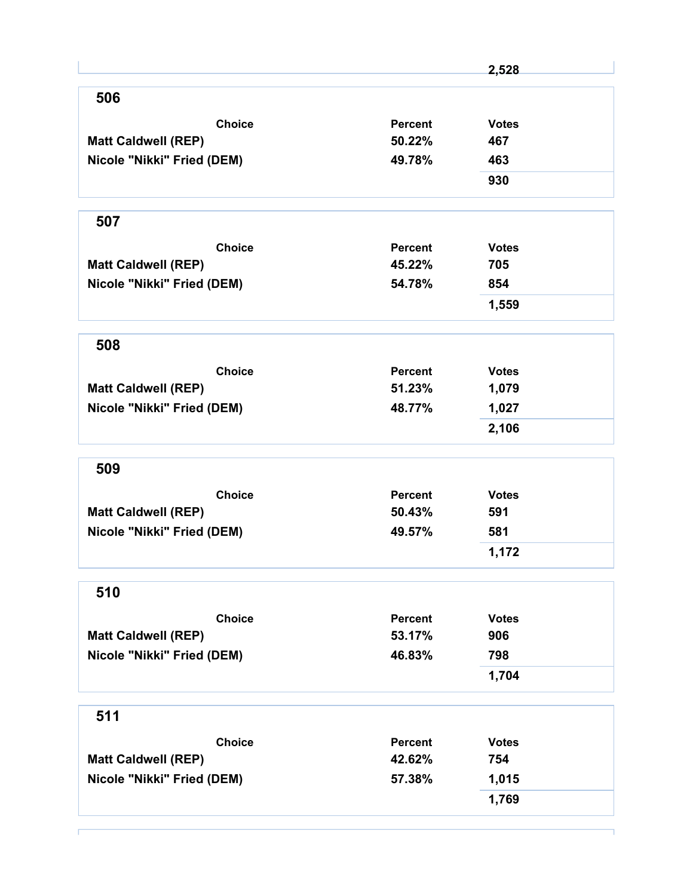|                            |                | 2,528        |
|----------------------------|----------------|--------------|
| 506                        |                |              |
| <b>Choice</b>              | <b>Percent</b> | <b>Votes</b> |
| <b>Matt Caldwell (REP)</b> | 50.22%         | 467          |
| Nicole "Nikki" Fried (DEM) | 49.78%         | 463          |
|                            |                | 930          |
| 507                        |                |              |
| <b>Choice</b>              | Percent        | <b>Votes</b> |
| <b>Matt Caldwell (REP)</b> | 45.22%         | 705          |
| Nicole "Nikki" Fried (DEM) | 54.78%         | 854          |
|                            |                | 1,559        |
| 508                        |                |              |
| <b>Choice</b>              | <b>Percent</b> | <b>Votes</b> |
| <b>Matt Caldwell (REP)</b> | 51.23%         | 1,079        |
| Nicole "Nikki" Fried (DEM) | 48.77%         | 1,027        |
|                            |                | 2,106        |
| 509                        |                |              |
| <b>Choice</b>              | <b>Percent</b> | <b>Votes</b> |
| <b>Matt Caldwell (REP)</b> | 50.43%         | 591          |
| Nicole "Nikki" Fried (DEM) | 49.57%         | 581          |
|                            |                | 1,172        |
| 510                        |                |              |
| <b>Choice</b>              | <b>Percent</b> | <b>Votes</b> |
| <b>Matt Caldwell (REP)</b> | 53.17%         | 906          |
| Nicole "Nikki" Fried (DEM) | 46.83%         | 798          |
|                            |                | 1,704        |
| 511                        |                |              |
| <b>Choice</b>              | <b>Percent</b> | <b>Votes</b> |
| <b>Matt Caldwell (REP)</b> | 42.62%         | 754          |
| Nicole "Nikki" Fried (DEM) | 57.38%         | 1,015        |
|                            |                |              |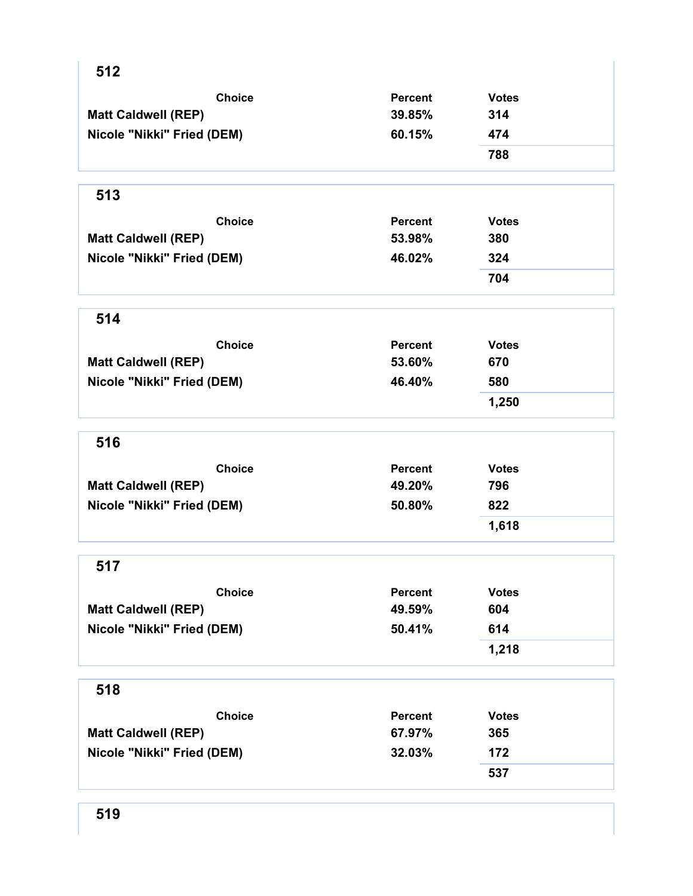| 512                        |                |              |  |
|----------------------------|----------------|--------------|--|
| <b>Choice</b>              | <b>Percent</b> | <b>Votes</b> |  |
| <b>Matt Caldwell (REP)</b> | 39.85%         | 314          |  |
| Nicole "Nikki" Fried (DEM) | 60.15%         | 474          |  |
|                            |                | 788          |  |
| 513                        |                |              |  |
| <b>Choice</b>              | <b>Percent</b> | <b>Votes</b> |  |
| <b>Matt Caldwell (REP)</b> | 53.98%         | 380          |  |
| Nicole "Nikki" Fried (DEM) | 46.02%         | 324          |  |
|                            |                | 704          |  |
| 514                        |                |              |  |
| <b>Choice</b>              | <b>Percent</b> | <b>Votes</b> |  |
| <b>Matt Caldwell (REP)</b> | 53.60%         | 670          |  |
| Nicole "Nikki" Fried (DEM) | 46.40%         | 580          |  |
|                            |                | 1,250        |  |
| 516                        |                |              |  |
| <b>Choice</b>              | <b>Percent</b> | <b>Votes</b> |  |
| <b>Matt Caldwell (REP)</b> | 49.20%         | 796          |  |
| Nicole "Nikki" Fried (DEM) | 50.80%         | 822          |  |
|                            |                | 1,618        |  |
| 517                        |                |              |  |
| <b>Choice</b>              | <b>Percent</b> | <b>Votes</b> |  |
| <b>Matt Caldwell (REP)</b> | 49.59%         | 604          |  |
| Nicole "Nikki" Fried (DEM) | 50.41%         | 614          |  |
|                            |                | 1,218        |  |
| 518                        |                |              |  |
| <b>Choice</b>              | <b>Percent</b> | <b>Votes</b> |  |
| <b>Matt Caldwell (REP)</b> | 67.97%         | 365          |  |
| Nicole "Nikki" Fried (DEM) | 32.03%         | 172          |  |
|                            |                | 537          |  |
|                            |                |              |  |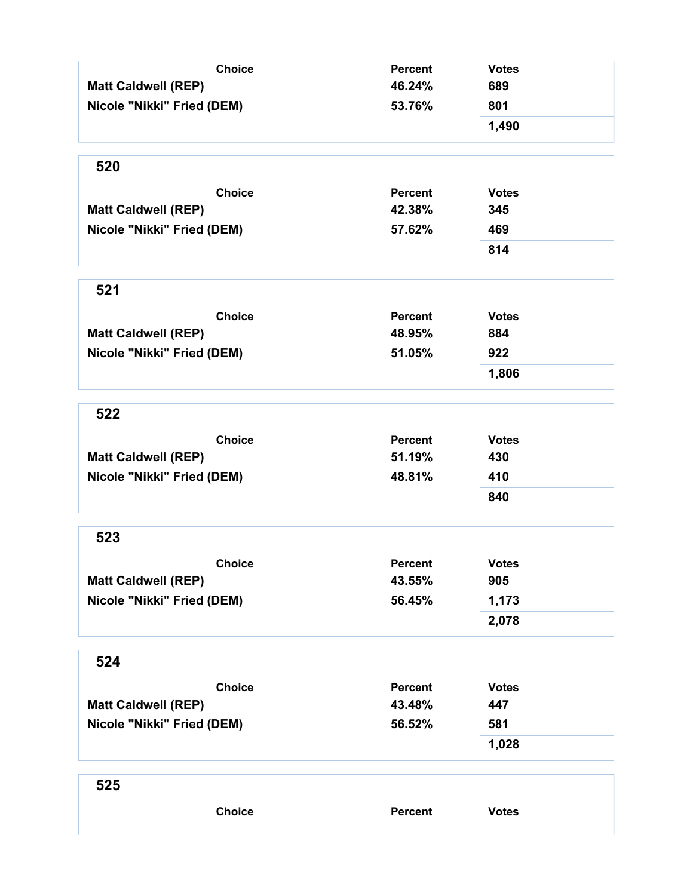| <b>Choice</b><br><b>Matt Caldwell (REP)</b><br>Nicole "Nikki" Fried (DEM)<br>520<br><b>Choice</b><br><b>Matt Caldwell (REP)</b><br>Nicole "Nikki" Fried (DEM) | <b>Percent</b><br>46.24%<br>53.76%<br><b>Percent</b><br>42.38%<br>57.62% | <b>Votes</b><br>689<br>801<br>1,490<br><b>Votes</b><br>345<br>469<br>814 |
|---------------------------------------------------------------------------------------------------------------------------------------------------------------|--------------------------------------------------------------------------|--------------------------------------------------------------------------|
| 521                                                                                                                                                           |                                                                          |                                                                          |
| <b>Choice</b><br><b>Matt Caldwell (REP)</b><br>Nicole "Nikki" Fried (DEM)                                                                                     | <b>Percent</b><br>48.95%<br>51.05%                                       | <b>Votes</b><br>884<br>922<br>1,806                                      |
| 522                                                                                                                                                           |                                                                          |                                                                          |
| <b>Choice</b><br><b>Matt Caldwell (REP)</b><br>Nicole "Nikki" Fried (DEM)                                                                                     | <b>Percent</b><br>51.19%<br>48.81%                                       | <b>Votes</b><br>430<br>410<br>840                                        |
| 523                                                                                                                                                           |                                                                          |                                                                          |
| <b>Choice</b><br><b>Matt Caldwell (REP)</b><br>Nicole "Nikki" Fried (DEM)                                                                                     | Percent<br>43.55%<br>56.45%                                              | <b>Votes</b><br>905<br>1,173<br>2,078                                    |
| 524                                                                                                                                                           |                                                                          |                                                                          |
| <b>Choice</b><br><b>Matt Caldwell (REP)</b><br>Nicole "Nikki" Fried (DEM)                                                                                     | <b>Percent</b><br>43.48%<br>56.52%                                       | <b>Votes</b><br>447<br>581<br>1,028                                      |
| 525                                                                                                                                                           |                                                                          |                                                                          |
| <b>Choice</b>                                                                                                                                                 | Percent                                                                  | <b>Votes</b>                                                             |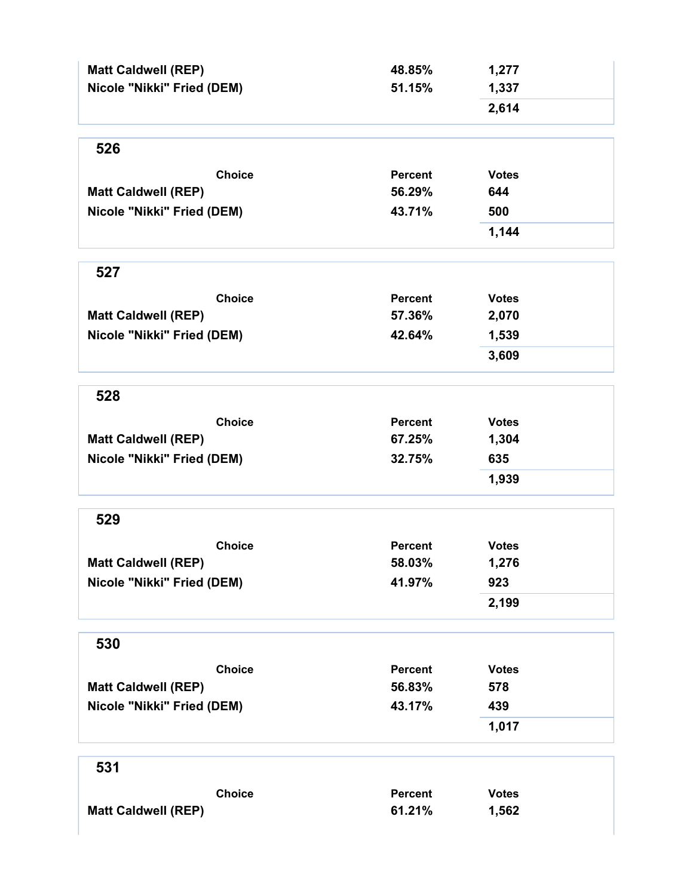| <b>Matt Caldwell (REP)</b> | 48.85%                   | 1,277        |
|----------------------------|--------------------------|--------------|
| Nicole "Nikki" Fried (DEM) | 51.15%                   | 1,337        |
|                            |                          | 2,614        |
|                            |                          |              |
| 526                        |                          |              |
| <b>Choice</b>              | <b>Percent</b>           | <b>Votes</b> |
| <b>Matt Caldwell (REP)</b> | 56.29%                   | 644          |
| Nicole "Nikki" Fried (DEM) | 43.71%                   | 500          |
|                            |                          | 1,144        |
| 527                        |                          |              |
| <b>Choice</b>              | <b>Percent</b>           | <b>Votes</b> |
| <b>Matt Caldwell (REP)</b> | 57.36%                   | 2,070        |
| Nicole "Nikki" Fried (DEM) | 42.64%                   | 1,539        |
|                            |                          | 3,609        |
| 528                        |                          |              |
|                            |                          |              |
| <b>Choice</b>              | <b>Percent</b><br>67.25% | <b>Votes</b> |
| <b>Matt Caldwell (REP)</b> |                          | 1,304        |
| Nicole "Nikki" Fried (DEM) | 32.75%                   | 635          |
|                            |                          | 1,939        |
| 529                        |                          |              |
| <b>Choice</b>              | <b>Percent</b>           | <b>Votes</b> |
| <b>Matt Caldwell (REP)</b> | 58.03%                   | 1,276        |
| Nicole "Nikki" Fried (DEM) | 41.97%                   | 923          |
|                            |                          | 2,199        |
| 530                        |                          |              |
| <b>Choice</b>              | <b>Percent</b>           | <b>Votes</b> |
| <b>Matt Caldwell (REP)</b> | 56.83%                   | 578          |
| Nicole "Nikki" Fried (DEM) | 43.17%                   | 439          |
|                            |                          | 1,017        |
| 531                        |                          |              |
| <b>Choice</b>              | <b>Percent</b>           | <b>Votes</b> |
| <b>Matt Caldwell (REP)</b> | 61.21%                   | 1,562        |
|                            |                          |              |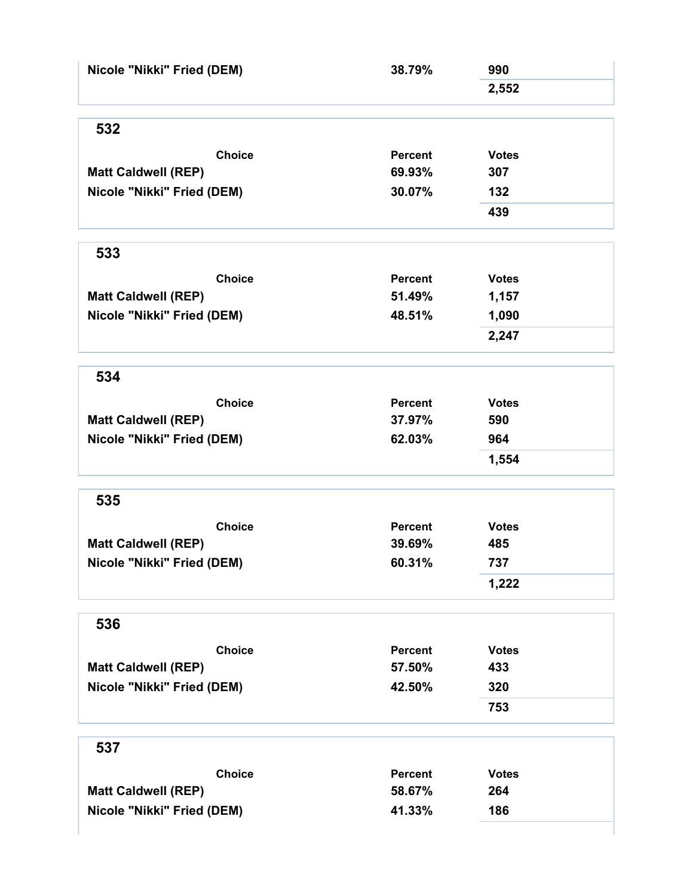| Nicole "Nikki" Fried (DEM) | 38.79%         | 990          |
|----------------------------|----------------|--------------|
|                            |                | 2,552        |
| 532                        |                |              |
| <b>Choice</b>              | <b>Percent</b> | <b>Votes</b> |
| <b>Matt Caldwell (REP)</b> | 69.93%         | 307          |
| Nicole "Nikki" Fried (DEM) | 30.07%         | 132          |
|                            |                | 439          |
| 533                        |                |              |
| <b>Choice</b>              | <b>Percent</b> | <b>Votes</b> |
| <b>Matt Caldwell (REP)</b> | 51.49%         | 1,157        |
| Nicole "Nikki" Fried (DEM) | 48.51%         | 1,090        |
|                            |                | 2,247        |
| 534                        |                |              |
| <b>Choice</b>              | <b>Percent</b> | <b>Votes</b> |
| <b>Matt Caldwell (REP)</b> | 37.97%         | 590          |
| Nicole "Nikki" Fried (DEM) | 62.03%         | 964          |
|                            |                | 1,554        |
| 535                        |                |              |
| <b>Choice</b>              | <b>Percent</b> | <b>Votes</b> |
| <b>Matt Caldwell (REP)</b> | 39.69%         | 485          |
| Nicole "Nikki" Fried (DEM) | 60.31%         | 737          |
|                            |                | 1,222        |
| 536                        |                |              |
| <b>Choice</b>              | <b>Percent</b> | <b>Votes</b> |
| <b>Matt Caldwell (REP)</b> | 57.50%         | 433          |
| Nicole "Nikki" Fried (DEM) | 42.50%         | 320          |
|                            |                | 753          |
| 537                        |                |              |
| <b>Choice</b>              | <b>Percent</b> | <b>Votes</b> |
| <b>Matt Caldwell (REP)</b> | 58.67%         | 264          |
| Nicole "Nikki" Fried (DEM) | 41.33%         | 186          |
|                            |                |              |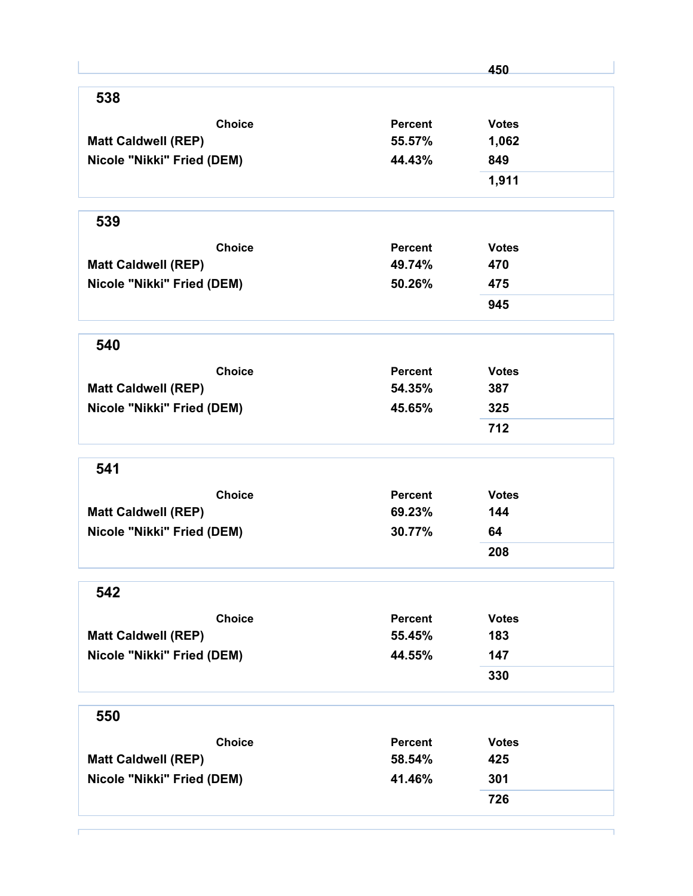|                            |                | 450          |
|----------------------------|----------------|--------------|
| 538                        |                |              |
| <b>Choice</b>              | <b>Percent</b> | <b>Votes</b> |
| <b>Matt Caldwell (REP)</b> | 55.57%         | 1,062        |
| Nicole "Nikki" Fried (DEM) | 44.43%         | 849          |
|                            |                | 1,911        |
| 539                        |                |              |
| <b>Choice</b>              | <b>Percent</b> | <b>Votes</b> |
| <b>Matt Caldwell (REP)</b> | 49.74%         | 470          |
| Nicole "Nikki" Fried (DEM) | 50.26%         | 475          |
|                            |                | 945          |
| 540                        |                |              |
| <b>Choice</b>              | <b>Percent</b> | <b>Votes</b> |
| <b>Matt Caldwell (REP)</b> | 54.35%         | 387          |
| Nicole "Nikki" Fried (DEM) | 45.65%         | 325          |
|                            |                | 712          |
| 541                        |                |              |
| <b>Choice</b>              | Percent        | <b>Votes</b> |
| <b>Matt Caldwell (REP)</b> | 69.23%         | 144          |
| Nicole "Nikki" Fried (DEM) | 30.77%         | 64           |
|                            |                | 208          |
| 542                        |                |              |
| <b>Choice</b>              | <b>Percent</b> | <b>Votes</b> |
| <b>Matt Caldwell (REP)</b> | 55.45%         | 183          |
| Nicole "Nikki" Fried (DEM) | 44.55%         | 147          |
|                            |                | 330          |
| 550                        |                |              |
| <b>Choice</b>              | <b>Percent</b> | <b>Votes</b> |
| <b>Matt Caldwell (REP)</b> | 58.54%         | 425          |
| Nicole "Nikki" Fried (DEM) | 41.46%         | 301          |
|                            |                |              |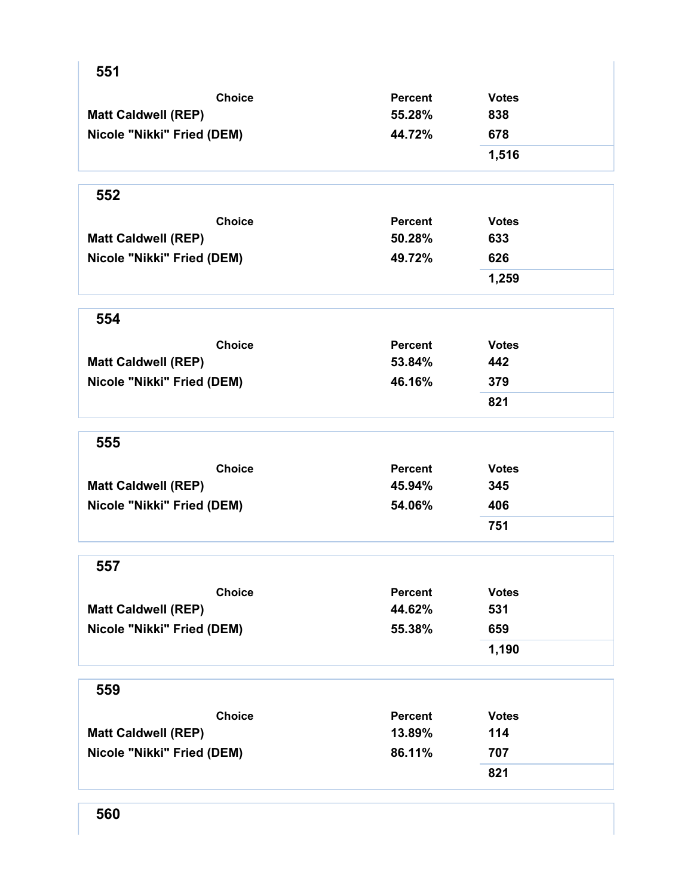| 551                        |                |              |
|----------------------------|----------------|--------------|
| <b>Choice</b>              | Percent        | <b>Votes</b> |
| <b>Matt Caldwell (REP)</b> | 55.28%         | 838          |
| Nicole "Nikki" Fried (DEM) | 44.72%         | 678          |
|                            |                | 1,516        |
| 552                        |                |              |
| <b>Choice</b>              | <b>Percent</b> | <b>Votes</b> |
| <b>Matt Caldwell (REP)</b> | 50.28%         | 633          |
| Nicole "Nikki" Fried (DEM) | 49.72%         | 626          |
|                            |                | 1,259        |
| 554                        |                |              |
| <b>Choice</b>              | <b>Percent</b> | <b>Votes</b> |
| <b>Matt Caldwell (REP)</b> | 53.84%         | 442          |
| Nicole "Nikki" Fried (DEM) | 46.16%         | 379          |
|                            |                | 821          |
| 555                        |                |              |
| <b>Choice</b>              | Percent        | <b>Votes</b> |
| <b>Matt Caldwell (REP)</b> | 45.94%         | 345          |
| Nicole "Nikki" Fried (DEM) | 54.06%         | 406          |
|                            |                | 751          |
| 557                        |                |              |
| <b>Choice</b>              | <b>Percent</b> | <b>Votes</b> |
| <b>Matt Caldwell (REP)</b> | 44.62%         | 531          |
| Nicole "Nikki" Fried (DEM) | 55.38%         | 659          |
|                            |                | 1,190        |
| 559                        |                |              |
| <b>Choice</b>              | <b>Percent</b> | <b>Votes</b> |
| <b>Matt Caldwell (REP)</b> | 13.89%         | 114          |
| Nicole "Nikki" Fried (DEM) | 86.11%         | 707          |
|                            |                | 821          |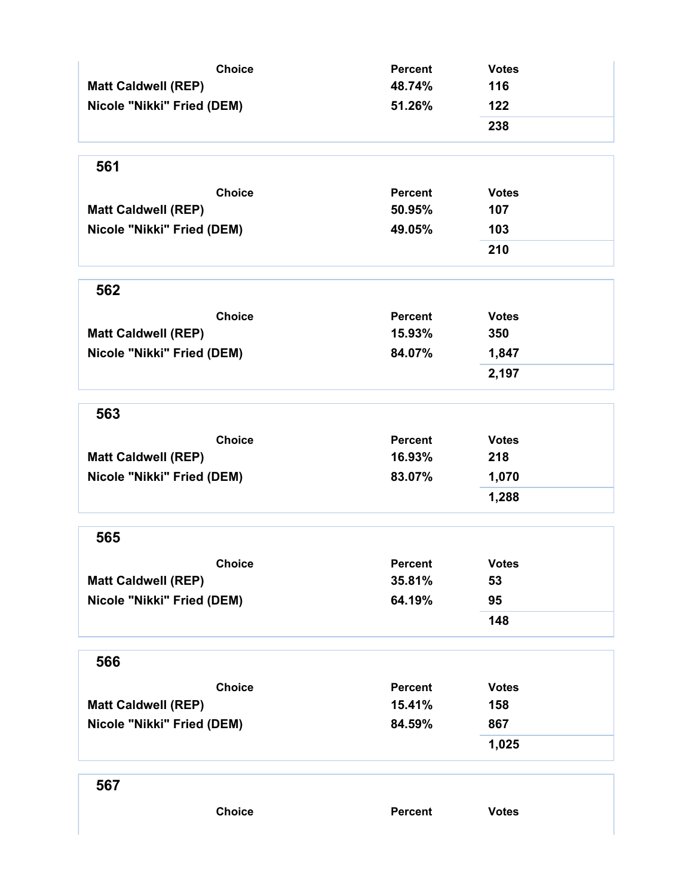| <b>Choice</b>              | <b>Percent</b> | <b>Votes</b> |
|----------------------------|----------------|--------------|
| <b>Matt Caldwell (REP)</b> | 48.74%         | 116          |
| Nicole "Nikki" Fried (DEM) | 51.26%         | 122          |
|                            |                | 238          |
| 561                        |                |              |
| <b>Choice</b>              | <b>Percent</b> | <b>Votes</b> |
| <b>Matt Caldwell (REP)</b> | 50.95%         | 107          |
| Nicole "Nikki" Fried (DEM) | 49.05%         | 103          |
|                            |                | 210          |
| 562                        |                |              |
| <b>Choice</b>              | <b>Percent</b> | <b>Votes</b> |
| <b>Matt Caldwell (REP)</b> | 15.93%         | 350          |
| Nicole "Nikki" Fried (DEM) | 84.07%         | 1,847        |
|                            |                | 2,197        |
| 563                        |                |              |
| <b>Choice</b>              | <b>Percent</b> | <b>Votes</b> |
| <b>Matt Caldwell (REP)</b> | 16.93%         | 218          |
| Nicole "Nikki" Fried (DEM) | 83.07%         | 1,070        |
|                            |                | 1,288        |
| 565                        |                |              |
| <b>Choice</b>              | Percent        | <b>Votes</b> |
| <b>Matt Caldwell (REP)</b> | 35.81%         | 53           |
| Nicole "Nikki" Fried (DEM) | 64.19%         | 95           |
|                            |                | 148          |
| 566                        |                |              |
| <b>Choice</b>              | <b>Percent</b> | <b>Votes</b> |
| <b>Matt Caldwell (REP)</b> | 15.41%         | 158          |
| Nicole "Nikki" Fried (DEM) | 84.59%         | 867          |
|                            |                | 1,025        |
| 567                        |                |              |
| <b>Choice</b>              | Percent        | <b>Votes</b> |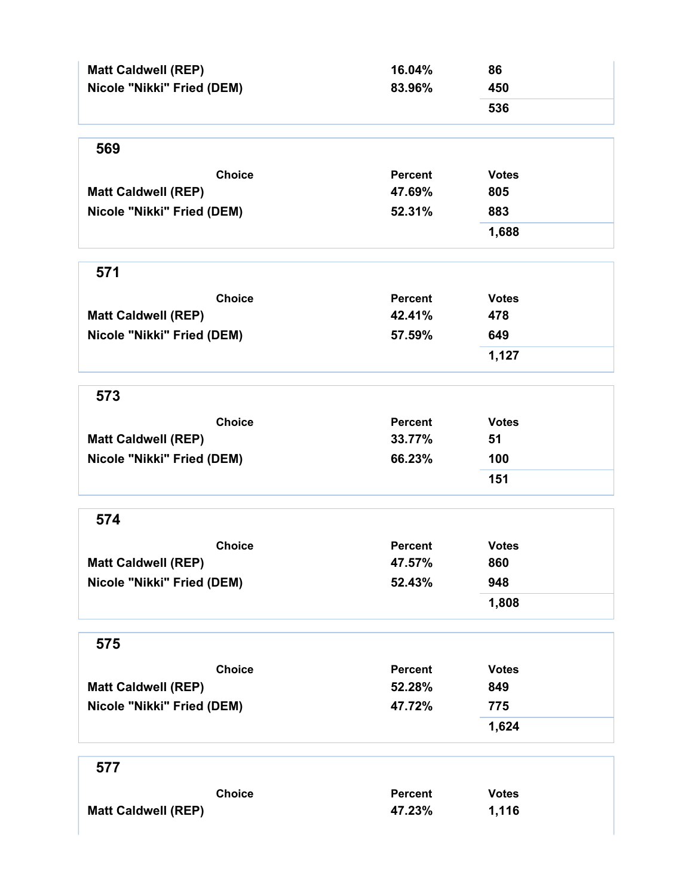| <b>Matt Caldwell (REP)</b><br>Nicole "Nikki" Fried (DEM) | 16.04%<br>83.96% | 86<br>450    |
|----------------------------------------------------------|------------------|--------------|
|                                                          |                  | 536          |
| 569                                                      |                  |              |
| <b>Choice</b>                                            | <b>Percent</b>   | <b>Votes</b> |
| <b>Matt Caldwell (REP)</b>                               | 47.69%           | 805          |
| Nicole "Nikki" Fried (DEM)                               | 52.31%           | 883          |
|                                                          |                  | 1,688        |
| 571                                                      |                  |              |
| <b>Choice</b>                                            | <b>Percent</b>   | <b>Votes</b> |
| <b>Matt Caldwell (REP)</b>                               | 42.41%           | 478          |
| Nicole "Nikki" Fried (DEM)                               | 57.59%           | 649          |
|                                                          |                  | 1,127        |
| 573                                                      |                  |              |
| <b>Choice</b>                                            | <b>Percent</b>   | <b>Votes</b> |
| <b>Matt Caldwell (REP)</b>                               | 33.77%           | 51           |
| Nicole "Nikki" Fried (DEM)                               | 66.23%           | 100          |
|                                                          |                  | 151          |
| 574                                                      |                  |              |
| <b>Choice</b>                                            | <b>Percent</b>   | <b>Votes</b> |
| <b>Matt Caldwell (REP)</b>                               | 47.57%           | 860          |
| Nicole "Nikki" Fried (DEM)                               | 52.43%           | 948          |
|                                                          |                  | 1,808        |
| 575                                                      |                  |              |
| <b>Choice</b>                                            | <b>Percent</b>   | <b>Votes</b> |
| <b>Matt Caldwell (REP)</b>                               | 52.28%           | 849          |
| Nicole "Nikki" Fried (DEM)                               | 47.72%           | 775          |
|                                                          |                  | 1,624        |
| 577                                                      |                  |              |
| <b>Choice</b>                                            | <b>Percent</b>   | <b>Votes</b> |
| <b>Matt Caldwell (REP)</b>                               | 47.23%           | 1,116        |
|                                                          |                  |              |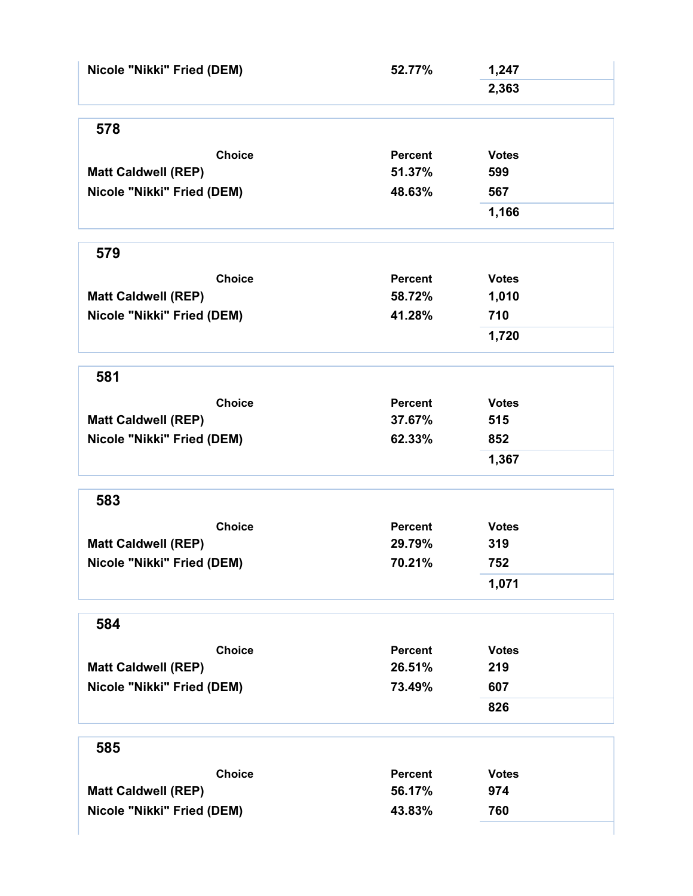| Nicole "Nikki" Fried (DEM) | 52.77%         | 1,247        |
|----------------------------|----------------|--------------|
|                            |                | 2,363        |
| 578                        |                |              |
| <b>Choice</b>              | <b>Percent</b> | <b>Votes</b> |
| <b>Matt Caldwell (REP)</b> | 51.37%         | 599          |
| Nicole "Nikki" Fried (DEM) | 48.63%         | 567          |
|                            |                | 1,166        |
| 579                        |                |              |
| <b>Choice</b>              | <b>Percent</b> | <b>Votes</b> |
| <b>Matt Caldwell (REP)</b> | 58.72%         | 1,010        |
| Nicole "Nikki" Fried (DEM) | 41.28%         | 710          |
|                            |                | 1,720        |
| 581                        |                |              |
| <b>Choice</b>              | Percent        | <b>Votes</b> |
| <b>Matt Caldwell (REP)</b> | 37.67%         | 515          |
| Nicole "Nikki" Fried (DEM) | 62.33%         | 852          |
|                            |                | 1,367        |
| 583                        |                |              |
| <b>Choice</b>              | <b>Percent</b> | <b>Votes</b> |
| <b>Matt Caldwell (REP)</b> | 29.79%         | 319          |
| Nicole "Nikki" Fried (DEM) | 70.21%         | 752          |
|                            |                | 1,071        |
| 584                        |                |              |
| <b>Choice</b>              | <b>Percent</b> | <b>Votes</b> |
| <b>Matt Caldwell (REP)</b> | 26.51%         | 219          |
| Nicole "Nikki" Fried (DEM) | 73.49%         | 607          |
|                            |                | 826          |
| 585                        |                |              |
| <b>Choice</b>              | <b>Percent</b> | <b>Votes</b> |
| <b>Matt Caldwell (REP)</b> | 56.17%         | 974          |
| Nicole "Nikki" Fried (DEM) | 43.83%         | 760          |
|                            |                |              |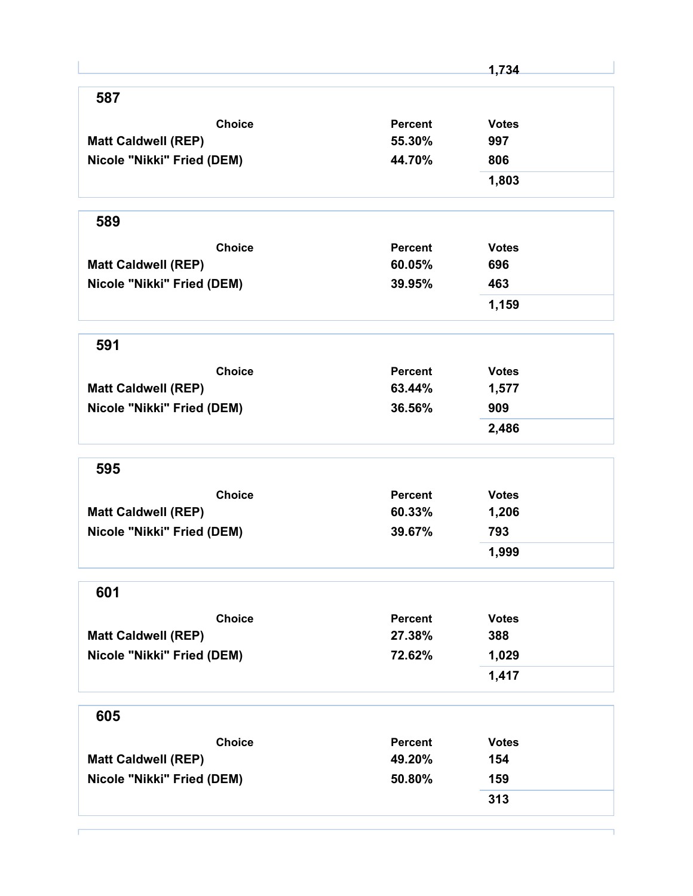|                            |                | 1,734        |
|----------------------------|----------------|--------------|
| 587                        |                |              |
| <b>Choice</b>              | <b>Percent</b> | <b>Votes</b> |
| <b>Matt Caldwell (REP)</b> | 55.30%         | 997          |
| Nicole "Nikki" Fried (DEM) | 44.70%         | 806          |
|                            |                | 1,803        |
| 589                        |                |              |
| <b>Choice</b>              | Percent        | <b>Votes</b> |
| <b>Matt Caldwell (REP)</b> | 60.05%         | 696          |
| Nicole "Nikki" Fried (DEM) | 39.95%         | 463          |
|                            |                | 1,159        |
| 591                        |                |              |
| <b>Choice</b>              | Percent        | <b>Votes</b> |
| <b>Matt Caldwell (REP)</b> | 63.44%         | 1,577        |
| Nicole "Nikki" Fried (DEM) | 36.56%         | 909          |
|                            |                | 2,486        |
| 595                        |                |              |
| <b>Choice</b>              | <b>Percent</b> | <b>Votes</b> |
| <b>Matt Caldwell (REP)</b> | 60.33%         | 1,206        |
| Nicole "Nikki" Fried (DEM) | 39.67%         | 793          |
|                            |                | 1,999        |
| 601                        |                |              |
| <b>Choice</b>              | <b>Percent</b> | <b>Votes</b> |
| <b>Matt Caldwell (REP)</b> | 27.38%         | 388          |
| Nicole "Nikki" Fried (DEM) | 72.62%         | 1,029        |
|                            |                | 1,417        |
| 605                        |                |              |
| <b>Choice</b>              | <b>Percent</b> | <b>Votes</b> |
| <b>Matt Caldwell (REP)</b> | 49.20%         | 154          |
| Nicole "Nikki" Fried (DEM) | 50.80%         | 159          |
|                            |                |              |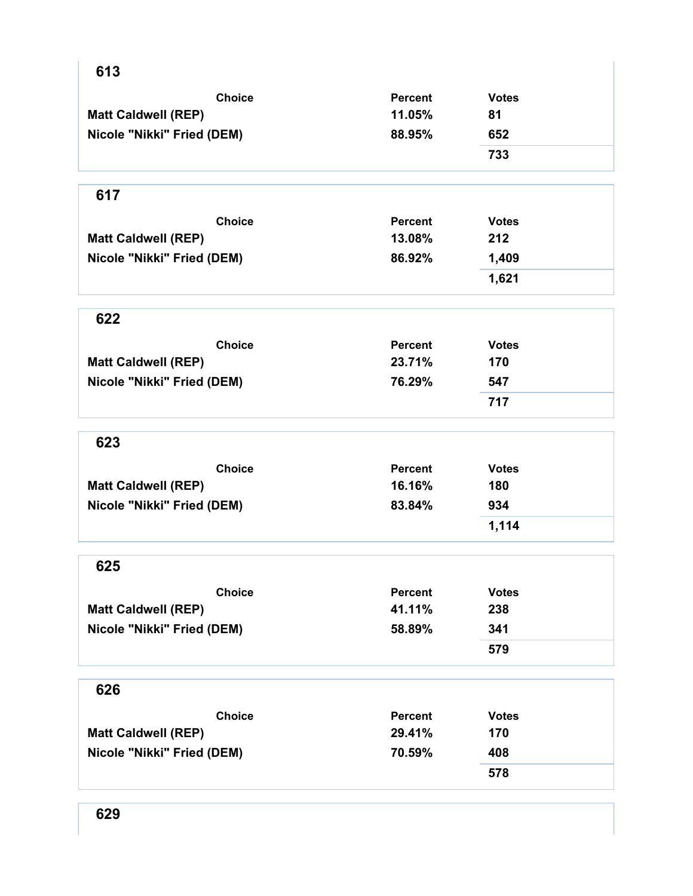| 613                        |                |              |
|----------------------------|----------------|--------------|
| <b>Choice</b>              | <b>Percent</b> | <b>Votes</b> |
| <b>Matt Caldwell (REP)</b> | 11.05%         | 81           |
| Nicole "Nikki" Fried (DEM) | 88.95%         | 652          |
|                            |                | 733          |
|                            |                |              |
| 617                        |                |              |
| <b>Choice</b>              | <b>Percent</b> | <b>Votes</b> |
| <b>Matt Caldwell (REP)</b> | 13.08%         | 212          |
| Nicole "Nikki" Fried (DEM) | 86.92%         | 1,409        |
|                            |                | 1,621        |
| 622                        |                |              |
| <b>Choice</b>              | <b>Percent</b> | <b>Votes</b> |
| <b>Matt Caldwell (REP)</b> | 23.71%         | 170          |
| Nicole "Nikki" Fried (DEM) | 76.29%         | 547          |
|                            |                | 717          |
| 623                        |                |              |
| <b>Choice</b>              | <b>Percent</b> | <b>Votes</b> |
| <b>Matt Caldwell (REP)</b> | 16.16%         | 180          |
| Nicole "Nikki" Fried (DEM) | 83.84%         | 934          |
|                            |                | 1,114        |
| 625                        |                |              |
| <b>Choice</b>              | <b>Percent</b> | <b>Votes</b> |
| <b>Matt Caldwell (REP)</b> | 41.11%         | 238          |
| Nicole "Nikki" Fried (DEM) | 58.89%         | 341          |
|                            |                | 579          |
| 626                        |                |              |
| <b>Choice</b>              | <b>Percent</b> | <b>Votes</b> |
| <b>Matt Caldwell (REP)</b> | 29.41%         | 170          |
| Nicole "Nikki" Fried (DEM) | 70.59%         | 408          |
|                            |                | 578          |
|                            |                |              |

 $\mathbf{I}$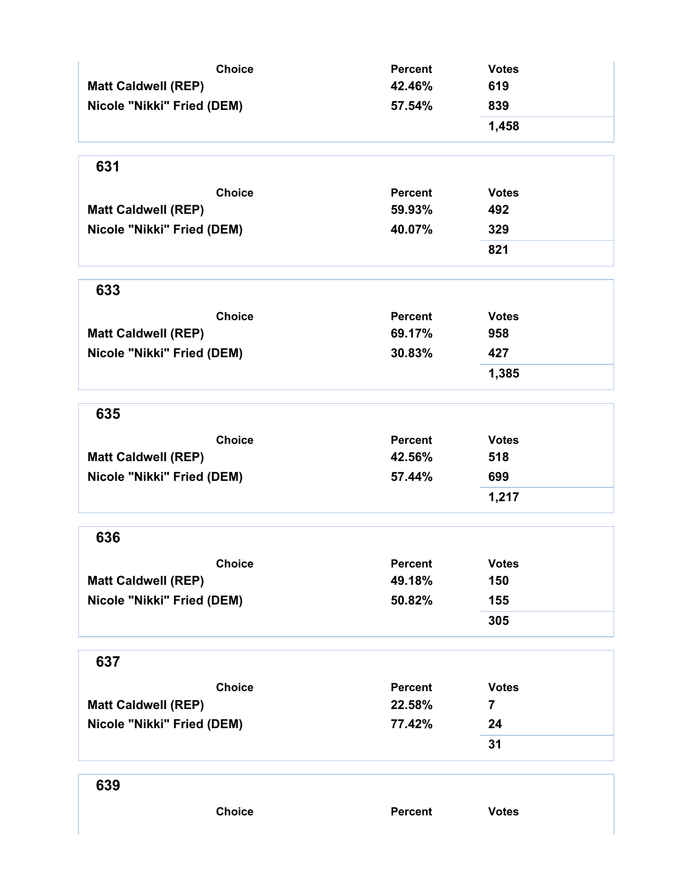| <b>Choice</b>              | <b>Percent</b> | <b>Votes</b>   |
|----------------------------|----------------|----------------|
| <b>Matt Caldwell (REP)</b> | 42.46%         | 619            |
| Nicole "Nikki" Fried (DEM) | 57.54%         | 839            |
|                            |                | 1,458          |
| 631                        |                |                |
| <b>Choice</b>              | Percent        | <b>Votes</b>   |
| <b>Matt Caldwell (REP)</b> | 59.93%         | 492            |
| Nicole "Nikki" Fried (DEM) | 40.07%         | 329            |
|                            |                | 821            |
| 633                        |                |                |
| <b>Choice</b>              | <b>Percent</b> | <b>Votes</b>   |
| <b>Matt Caldwell (REP)</b> | 69.17%         | 958            |
| Nicole "Nikki" Fried (DEM) | 30.83%         | 427            |
|                            |                | 1,385          |
| 635                        |                |                |
| <b>Choice</b>              | <b>Percent</b> | <b>Votes</b>   |
| <b>Matt Caldwell (REP)</b> | 42.56%         | 518            |
| Nicole "Nikki" Fried (DEM) | 57.44%         | 699            |
|                            |                | 1,217          |
| 636                        |                |                |
| <b>Choice</b>              | <b>Percent</b> | <b>Votes</b>   |
| <b>Matt Caldwell (REP)</b> | 49.18%         | 150            |
| Nicole "Nikki" Fried (DEM) | 50.82%         | 155            |
|                            |                | 305            |
| 637                        |                |                |
| <b>Choice</b>              | <b>Percent</b> | <b>Votes</b>   |
| <b>Matt Caldwell (REP)</b> | 22.58%         | $\overline{7}$ |
| Nicole "Nikki" Fried (DEM) | 77.42%         | 24             |
|                            |                | 31             |
| 639                        |                |                |
| <b>Choice</b>              | <b>Percent</b> | <b>Votes</b>   |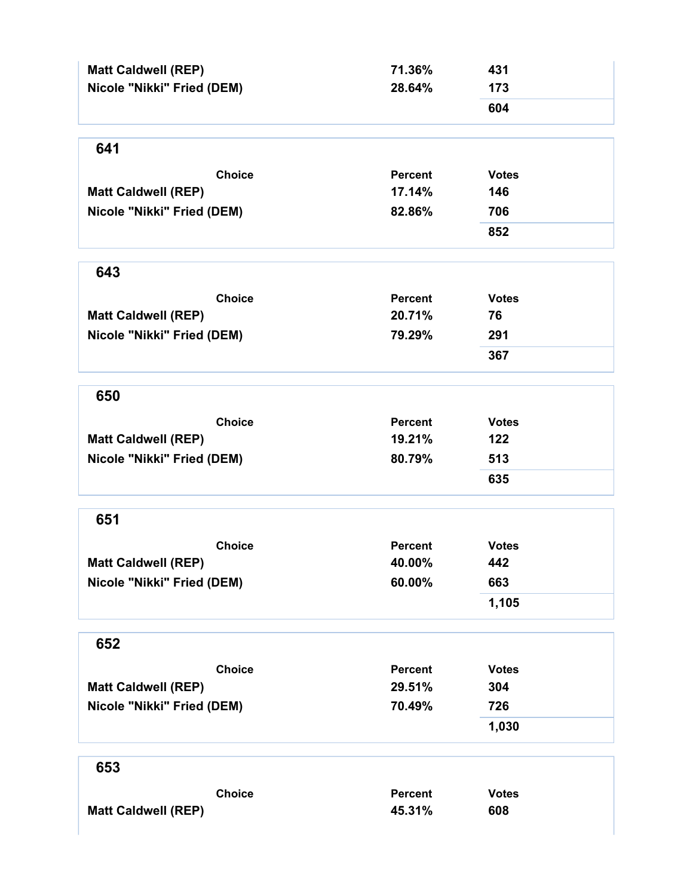| <b>Matt Caldwell (REP)</b> | 71.36%         | 431          |
|----------------------------|----------------|--------------|
| Nicole "Nikki" Fried (DEM) | 28.64%         | 173          |
|                            |                | 604          |
| 641                        |                |              |
| <b>Choice</b>              | <b>Percent</b> | <b>Votes</b> |
| <b>Matt Caldwell (REP)</b> | 17.14%         | 146          |
| Nicole "Nikki" Fried (DEM) | 82.86%         | 706          |
|                            |                | 852          |
| 643                        |                |              |
| <b>Choice</b>              | <b>Percent</b> | <b>Votes</b> |
| <b>Matt Caldwell (REP)</b> | 20.71%         | 76           |
| Nicole "Nikki" Fried (DEM) | 79.29%         | 291          |
|                            |                | 367          |
| 650                        |                |              |
| <b>Choice</b>              | <b>Percent</b> | <b>Votes</b> |
| <b>Matt Caldwell (REP)</b> | 19.21%         | 122          |
| Nicole "Nikki" Fried (DEM) | 80.79%         | 513          |
|                            |                | 635          |
| 651                        |                |              |
| <b>Choice</b>              | <b>Percent</b> | <b>Votes</b> |
| <b>Matt Caldwell (REP)</b> | 40.00%         | 442          |
| Nicole "Nikki" Fried (DEM) | 60.00%         | 663          |
|                            |                | 1,105        |
| 652                        |                |              |
| <b>Choice</b>              | <b>Percent</b> | <b>Votes</b> |
| <b>Matt Caldwell (REP)</b> | 29.51%         | 304          |
| Nicole "Nikki" Fried (DEM) | 70.49%         | 726          |
|                            |                | 1,030        |
| 653                        |                |              |
| <b>Choice</b>              | <b>Percent</b> | <b>Votes</b> |
| <b>Matt Caldwell (REP)</b> | 45.31%         | 608          |
|                            |                |              |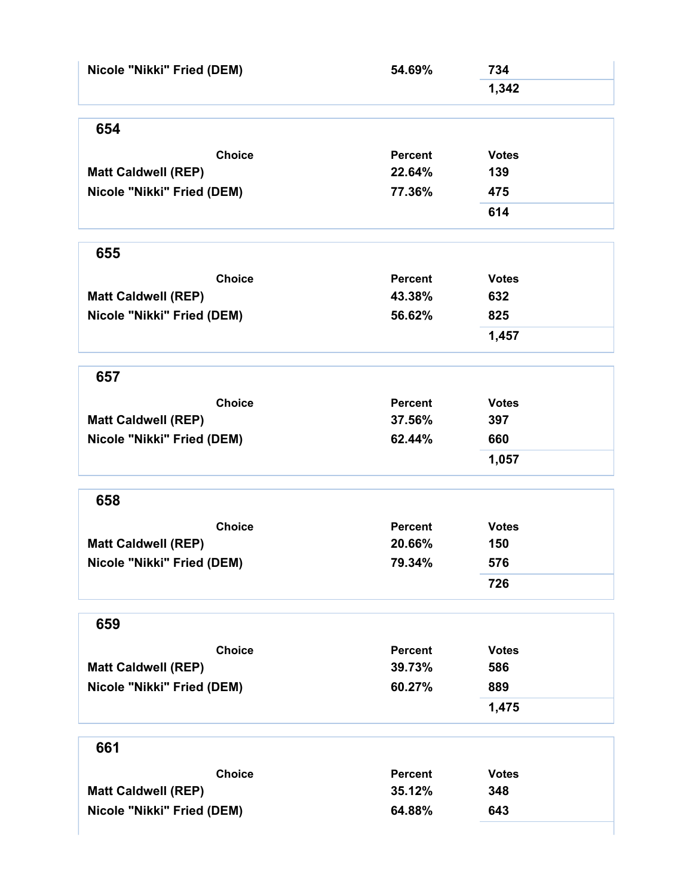| Nicole "Nikki" Fried (DEM) | 54.69%         | 734          |  |
|----------------------------|----------------|--------------|--|
|                            |                | 1,342        |  |
| 654                        |                |              |  |
| <b>Choice</b>              | <b>Percent</b> | <b>Votes</b> |  |
| <b>Matt Caldwell (REP)</b> | 22.64%         | 139          |  |
| Nicole "Nikki" Fried (DEM) | 77.36%         | 475          |  |
|                            |                | 614          |  |
| 655                        |                |              |  |
| <b>Choice</b>              | <b>Percent</b> | <b>Votes</b> |  |
| <b>Matt Caldwell (REP)</b> | 43.38%         | 632          |  |
| Nicole "Nikki" Fried (DEM) | 56.62%         | 825          |  |
|                            |                | 1,457        |  |
| 657                        |                |              |  |
| <b>Choice</b>              | <b>Percent</b> | <b>Votes</b> |  |
| <b>Matt Caldwell (REP)</b> | 37.56%         | 397          |  |
| Nicole "Nikki" Fried (DEM) | 62.44%         | 660          |  |
|                            |                | 1,057        |  |
| 658                        |                |              |  |
| <b>Choice</b>              | <b>Percent</b> | <b>Votes</b> |  |
| <b>Matt Caldwell (REP)</b> | 20.66%         | 150          |  |
| Nicole "Nikki" Fried (DEM) | 79.34%         | 576          |  |
|                            |                | 726          |  |
| 659                        |                |              |  |
| <b>Choice</b>              | <b>Percent</b> | <b>Votes</b> |  |
| <b>Matt Caldwell (REP)</b> | 39.73%         | 586          |  |
| Nicole "Nikki" Fried (DEM) | 60.27%         | 889          |  |
|                            |                | 1,475        |  |
|                            |                |              |  |
| 661                        |                |              |  |
| <b>Choice</b>              | <b>Percent</b> | <b>Votes</b> |  |
| <b>Matt Caldwell (REP)</b> | 35.12%         | 348          |  |
| Nicole "Nikki" Fried (DEM) | 64.88%         | 643          |  |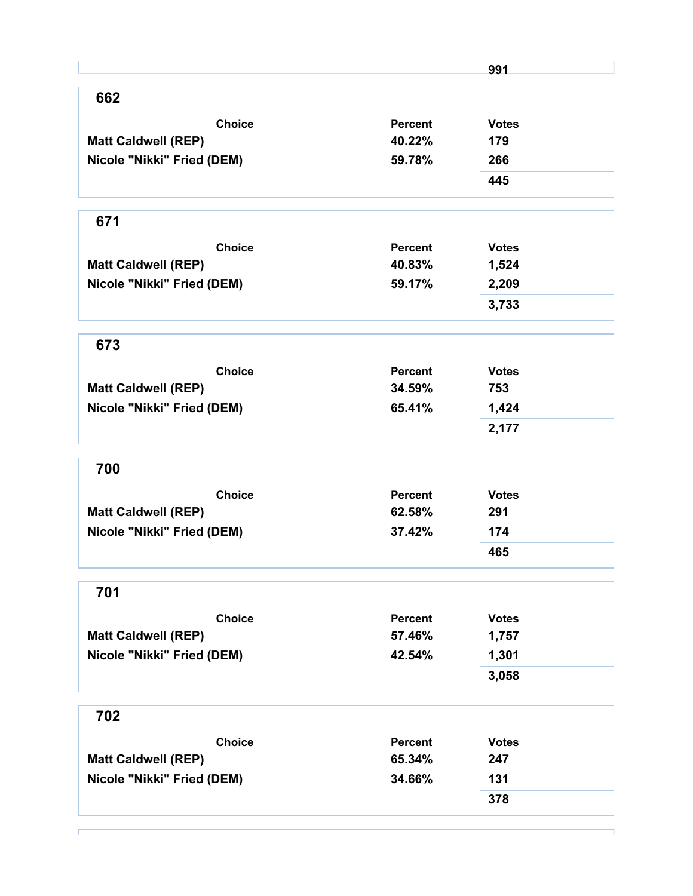|                            |                | 991          |
|----------------------------|----------------|--------------|
| 662                        |                |              |
| <b>Choice</b>              | <b>Percent</b> | <b>Votes</b> |
| <b>Matt Caldwell (REP)</b> | 40.22%         | 179          |
| Nicole "Nikki" Fried (DEM) | 59.78%         | 266          |
|                            |                | 445          |
| 671                        |                |              |
| <b>Choice</b>              | <b>Percent</b> | <b>Votes</b> |
| <b>Matt Caldwell (REP)</b> | 40.83%         | 1,524        |
| Nicole "Nikki" Fried (DEM) | 59.17%         | 2,209        |
|                            |                | 3,733        |
| 673                        |                |              |
| <b>Choice</b>              | <b>Percent</b> | <b>Votes</b> |
| <b>Matt Caldwell (REP)</b> | 34.59%         | 753          |
| Nicole "Nikki" Fried (DEM) | 65.41%         | 1,424        |
|                            |                | 2,177        |
| 700                        |                |              |
| <b>Choice</b>              | <b>Percent</b> | <b>Votes</b> |
| <b>Matt Caldwell (REP)</b> | 62.58%         | 291          |
| Nicole "Nikki" Fried (DEM) | 37.42%         | 174          |
|                            |                | 465          |
| 701                        |                |              |
| <b>Choice</b>              | <b>Percent</b> | <b>Votes</b> |
| <b>Matt Caldwell (REP)</b> | 57.46%         | 1,757        |
| Nicole "Nikki" Fried (DEM) | 42.54%         | 1,301        |
|                            |                | 3,058        |
| 702                        |                |              |
| <b>Choice</b>              | <b>Percent</b> | <b>Votes</b> |
| <b>Matt Caldwell (REP)</b> | 65.34%         | 247          |
| Nicole "Nikki" Fried (DEM) | 34.66%         | 131          |
|                            |                |              |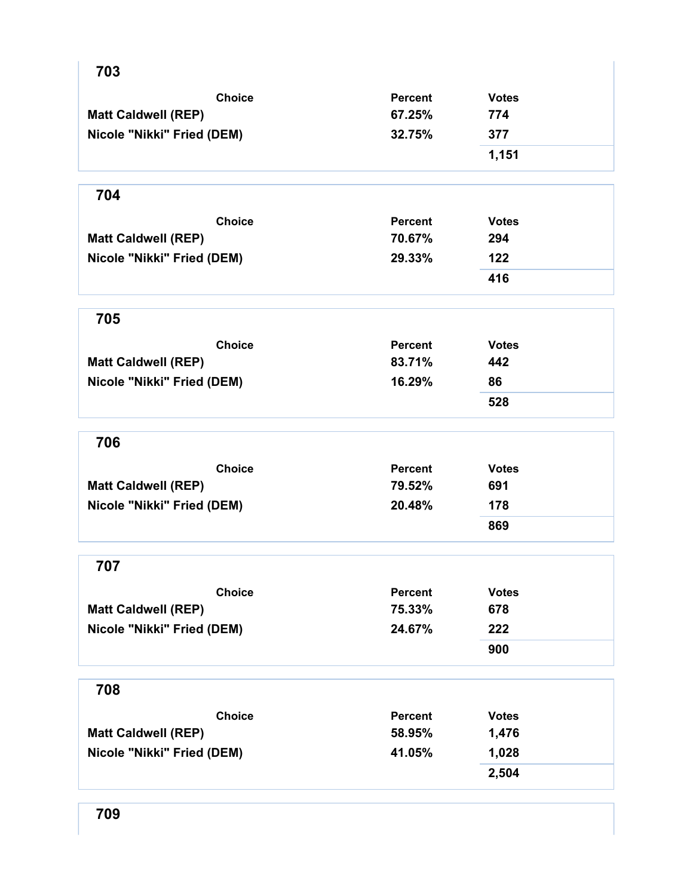| 703                        |                |              |
|----------------------------|----------------|--------------|
| <b>Choice</b>              | <b>Percent</b> | <b>Votes</b> |
| <b>Matt Caldwell (REP)</b> | 67.25%         | 774          |
| Nicole "Nikki" Fried (DEM) | 32.75%         | 377          |
|                            |                | 1,151        |
| 704                        |                |              |
| <b>Choice</b>              | <b>Percent</b> | <b>Votes</b> |
| <b>Matt Caldwell (REP)</b> | 70.67%         | 294          |
| Nicole "Nikki" Fried (DEM) | 29.33%         | 122          |
|                            |                | 416          |
| 705                        |                |              |
| <b>Choice</b>              | <b>Percent</b> | <b>Votes</b> |
| <b>Matt Caldwell (REP)</b> | 83.71%         | 442          |
| Nicole "Nikki" Fried (DEM) | 16.29%         | 86           |
|                            |                | 528          |
| 706                        |                |              |
| <b>Choice</b>              | <b>Percent</b> | <b>Votes</b> |
| <b>Matt Caldwell (REP)</b> | 79.52%         | 691          |
| Nicole "Nikki" Fried (DEM) | 20.48%         | 178          |
|                            |                | 869          |
| 707                        |                |              |
| <b>Choice</b>              | <b>Percent</b> | <b>Votes</b> |
| <b>Matt Caldwell (REP)</b> | 75.33%         | 678          |
| Nicole "Nikki" Fried (DEM) | 24.67%         | 222          |
|                            |                | 900          |
| 708                        |                |              |
| <b>Choice</b>              | <b>Percent</b> | <b>Votes</b> |
| <b>Matt Caldwell (REP)</b> | 58.95%         | 1,476        |
| Nicole "Nikki" Fried (DEM) | 41.05%         | 1,028        |
|                            |                | 2,504        |
|                            |                |              |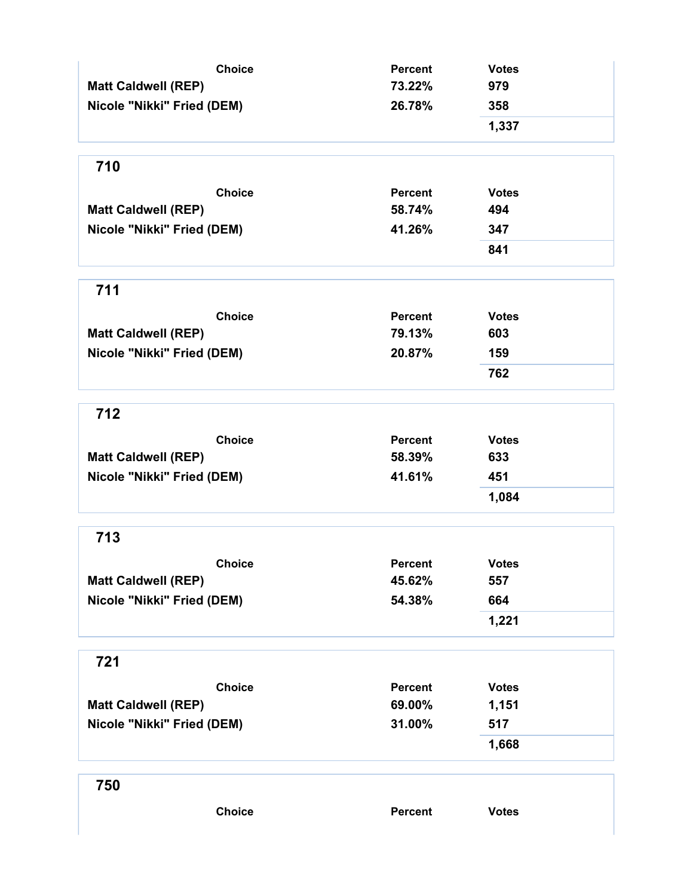| <b>Choice</b>              | <b>Percent</b> | <b>Votes</b> |
|----------------------------|----------------|--------------|
| <b>Matt Caldwell (REP)</b> | 73.22%         | 979          |
| Nicole "Nikki" Fried (DEM) | 26.78%         | 358          |
|                            |                | 1,337        |
| 710                        |                |              |
| <b>Choice</b>              | <b>Percent</b> | <b>Votes</b> |
| <b>Matt Caldwell (REP)</b> | 58.74%         | 494          |
| Nicole "Nikki" Fried (DEM) | 41.26%         | 347          |
|                            |                | 841          |
| 711                        |                |              |
| <b>Choice</b>              | <b>Percent</b> | <b>Votes</b> |
| <b>Matt Caldwell (REP)</b> | 79.13%         | 603          |
| Nicole "Nikki" Fried (DEM) | 20.87%         | 159          |
|                            |                | 762          |
| 712                        |                |              |
| <b>Choice</b>              | <b>Percent</b> | <b>Votes</b> |
| <b>Matt Caldwell (REP)</b> | 58.39%         | 633          |
| Nicole "Nikki" Fried (DEM) | 41.61%         | 451          |
|                            |                | 1,084        |
| 713                        |                |              |
| <b>Choice</b>              | <b>Percent</b> | <b>Votes</b> |
| <b>Matt Caldwell (REP)</b> | 45.62%         | 557          |
| Nicole "Nikki" Fried (DEM) | 54.38%         | 664          |
|                            |                | 1,221        |
| 721                        |                |              |
| <b>Choice</b>              | <b>Percent</b> | <b>Votes</b> |
| <b>Matt Caldwell (REP)</b> | 69.00%         | 1,151        |
| Nicole "Nikki" Fried (DEM) | 31.00%         | 517          |
|                            |                | 1,668        |
| 750                        |                |              |
| <b>Choice</b>              | Percent        | <b>Votes</b> |
|                            |                |              |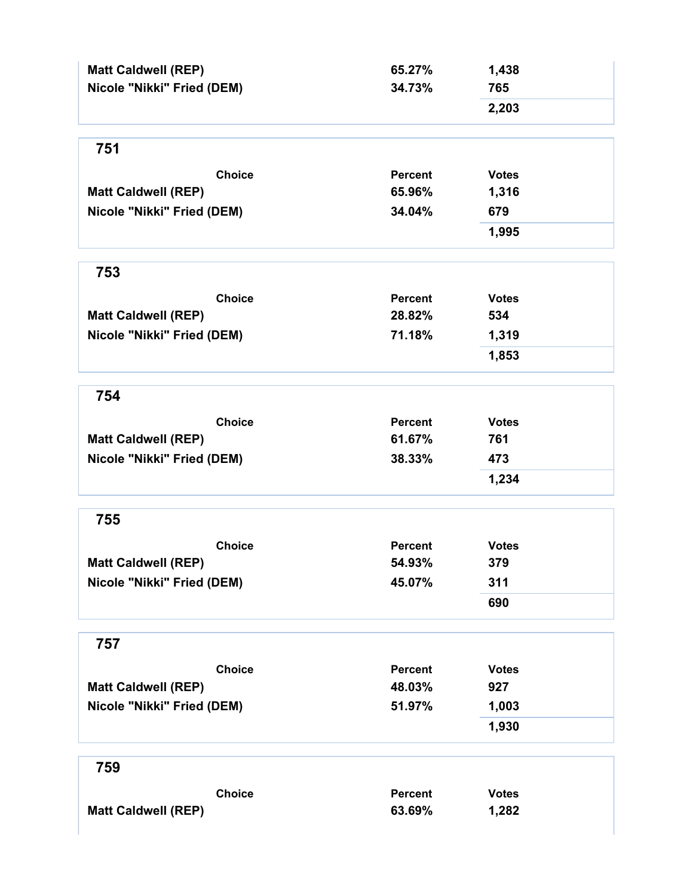| <b>Matt Caldwell (REP)</b><br>Nicole "Nikki" Fried (DEM) | 65.27%<br>34.73% | 1,438<br>765 |
|----------------------------------------------------------|------------------|--------------|
|                                                          |                  | 2,203        |
| 751                                                      |                  |              |
| <b>Choice</b>                                            | <b>Percent</b>   | <b>Votes</b> |
| <b>Matt Caldwell (REP)</b>                               | 65.96%           | 1,316        |
| Nicole "Nikki" Fried (DEM)                               | 34.04%           | 679          |
|                                                          |                  | 1,995        |
| 753                                                      |                  |              |
| <b>Choice</b>                                            | <b>Percent</b>   | <b>Votes</b> |
| <b>Matt Caldwell (REP)</b>                               | 28.82%           | 534          |
| Nicole "Nikki" Fried (DEM)                               | 71.18%           | 1,319        |
|                                                          |                  | 1,853        |
| 754                                                      |                  |              |
| <b>Choice</b>                                            | <b>Percent</b>   | <b>Votes</b> |
| <b>Matt Caldwell (REP)</b>                               | 61.67%           | 761          |
| Nicole "Nikki" Fried (DEM)                               | 38.33%           | 473          |
|                                                          |                  | 1,234        |
| 755                                                      |                  |              |
| <b>Choice</b>                                            | Percent          | <b>Votes</b> |
| <b>Matt Caldwell (REP)</b>                               | 54.93%           | 379          |
| Nicole "Nikki" Fried (DEM)                               | 45.07%           | 311          |
|                                                          |                  | 690          |
| 757                                                      |                  |              |
| <b>Choice</b>                                            | <b>Percent</b>   | <b>Votes</b> |
| <b>Matt Caldwell (REP)</b>                               | 48.03%           | 927          |
| Nicole "Nikki" Fried (DEM)                               | 51.97%           | 1,003        |
|                                                          |                  | 1,930        |
| 759                                                      |                  |              |
| <b>Choice</b>                                            | <b>Percent</b>   | <b>Votes</b> |
| <b>Matt Caldwell (REP)</b>                               | 63.69%           | 1,282        |
|                                                          |                  |              |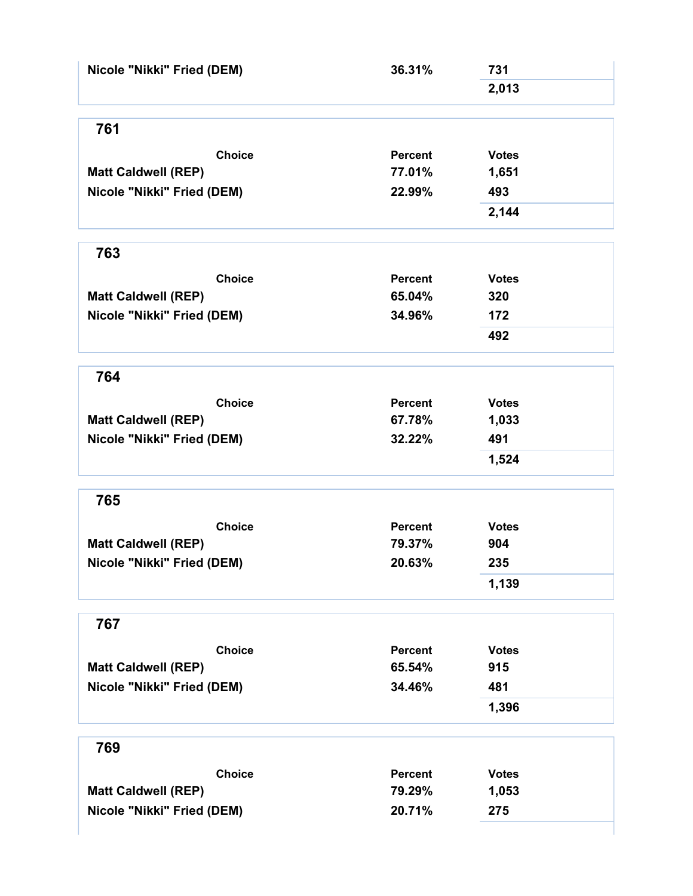| Nicole "Nikki" Fried (DEM)                  | 36.31%            | 731                   |  |
|---------------------------------------------|-------------------|-----------------------|--|
|                                             |                   | 2,013                 |  |
| 761                                         |                   |                       |  |
|                                             |                   |                       |  |
| <b>Choice</b><br><b>Matt Caldwell (REP)</b> | Percent<br>77.01% | <b>Votes</b><br>1,651 |  |
| Nicole "Nikki" Fried (DEM)                  | 22.99%            | 493                   |  |
|                                             |                   | 2,144                 |  |
|                                             |                   |                       |  |
| 763                                         |                   |                       |  |
| <b>Choice</b>                               | <b>Percent</b>    | <b>Votes</b>          |  |
| <b>Matt Caldwell (REP)</b>                  | 65.04%            | 320                   |  |
| Nicole "Nikki" Fried (DEM)                  | 34.96%            | 172                   |  |
|                                             |                   | 492                   |  |
| 764                                         |                   |                       |  |
| <b>Choice</b>                               | <b>Percent</b>    | <b>Votes</b>          |  |
| <b>Matt Caldwell (REP)</b>                  | 67.78%            | 1,033                 |  |
| Nicole "Nikki" Fried (DEM)                  | 32.22%            | 491                   |  |
|                                             |                   | 1,524                 |  |
| 765                                         |                   |                       |  |
| <b>Choice</b>                               | <b>Percent</b>    | <b>Votes</b>          |  |
| <b>Matt Caldwell (REP)</b>                  | 79.37%            | 904                   |  |
| Nicole "Nikki" Fried (DEM)                  | 20.63%            | 235                   |  |
|                                             |                   | 1,139                 |  |
| 767                                         |                   |                       |  |
| <b>Choice</b>                               | <b>Percent</b>    | <b>Votes</b>          |  |
| <b>Matt Caldwell (REP)</b>                  | 65.54%            | 915                   |  |
| Nicole "Nikki" Fried (DEM)                  | 34.46%            | 481                   |  |
|                                             |                   | 1,396                 |  |
| 769                                         |                   |                       |  |
|                                             |                   |                       |  |
| <b>Choice</b>                               | <b>Percent</b>    | <b>Votes</b>          |  |
| <b>Matt Caldwell (REP)</b>                  | 79.29%            | 1,053                 |  |
| Nicole "Nikki" Fried (DEM)                  | 20.71%            | 275                   |  |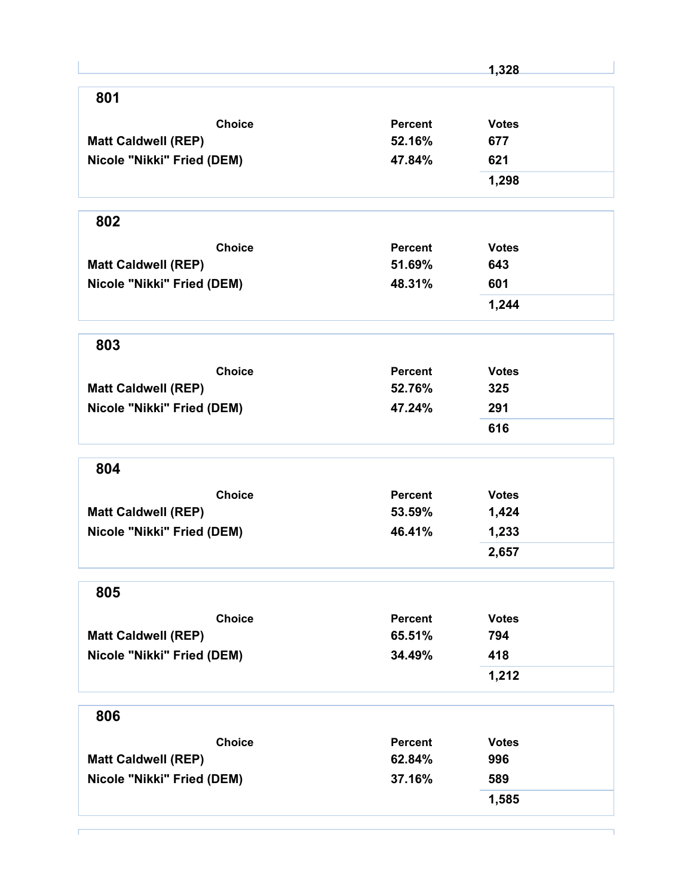|                            |                | 1,328        |
|----------------------------|----------------|--------------|
| 801                        |                |              |
| <b>Choice</b>              | Percent        | <b>Votes</b> |
| <b>Matt Caldwell (REP)</b> | 52.16%         | 677          |
| Nicole "Nikki" Fried (DEM) | 47.84%         | 621          |
|                            |                | 1,298        |
| 802                        |                |              |
| <b>Choice</b>              | <b>Percent</b> | <b>Votes</b> |
| <b>Matt Caldwell (REP)</b> | 51.69%         | 643          |
| Nicole "Nikki" Fried (DEM) | 48.31%         | 601          |
|                            |                | 1,244        |
| 803                        |                |              |
| <b>Choice</b>              | Percent        | <b>Votes</b> |
| <b>Matt Caldwell (REP)</b> | 52.76%         | 325          |
| Nicole "Nikki" Fried (DEM) | 47.24%         | 291          |
|                            |                | 616          |
| 804                        |                |              |
| <b>Choice</b>              | Percent        | <b>Votes</b> |
| <b>Matt Caldwell (REP)</b> | 53.59%         | 1,424        |
| Nicole "Nikki" Fried (DEM) | 46.41%         | 1,233        |
|                            |                | 2,657        |
| 805                        |                |              |
| <b>Choice</b>              | <b>Percent</b> | <b>Votes</b> |
| <b>Matt Caldwell (REP)</b> | 65.51%         | 794          |
| Nicole "Nikki" Fried (DEM) | 34.49%         | 418          |
|                            |                | 1,212        |
| 806                        |                |              |
| <b>Choice</b>              | <b>Percent</b> | <b>Votes</b> |
| <b>Matt Caldwell (REP)</b> | 62.84%         | 996          |
| Nicole "Nikki" Fried (DEM) | 37.16%         | 589          |
|                            |                | 1,585        |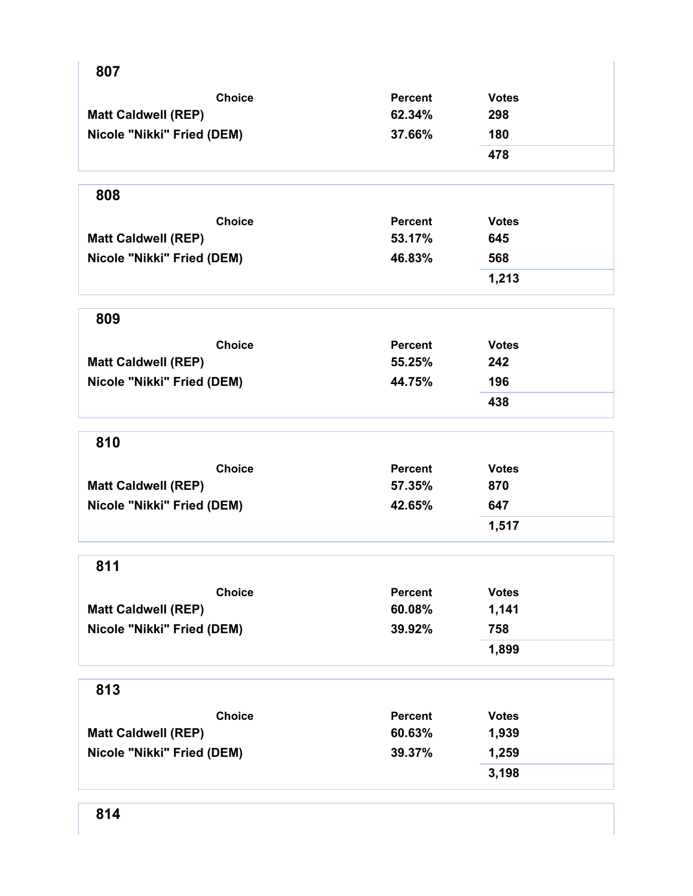| 807                        |                |              |
|----------------------------|----------------|--------------|
| <b>Choice</b>              | <b>Percent</b> | <b>Votes</b> |
| <b>Matt Caldwell (REP)</b> | 62.34%         | 298          |
| Nicole "Nikki" Fried (DEM) | 37.66%         | 180          |
|                            |                | 478          |
| 808                        |                |              |
| <b>Choice</b>              | <b>Percent</b> | <b>Votes</b> |
| <b>Matt Caldwell (REP)</b> | 53.17%         | 645          |
| Nicole "Nikki" Fried (DEM) | 46.83%         | 568          |
|                            |                | 1,213        |
| 809                        |                |              |
| <b>Choice</b>              | <b>Percent</b> | <b>Votes</b> |
| <b>Matt Caldwell (REP)</b> | 55.25%         | 242          |
| Nicole "Nikki" Fried (DEM) | 44.75%         | 196          |
|                            |                | 438          |
| 810                        |                |              |
| <b>Choice</b>              | <b>Percent</b> | <b>Votes</b> |
| <b>Matt Caldwell (REP)</b> | 57.35%         | 870          |
| Nicole "Nikki" Fried (DEM) | 42.65%         | 647          |
|                            |                | 1,517        |
| 811                        |                |              |
| <b>Choice</b>              | Percent        | <b>Votes</b> |
| <b>Matt Caldwell (REP)</b> | 60.08%         | 1,141        |
| Nicole "Nikki" Fried (DEM) | 39.92%         | 758          |
|                            |                | 1,899        |
| 813                        |                |              |
| <b>Choice</b>              | Percent        | <b>Votes</b> |
| <b>Matt Caldwell (REP)</b> | 60.63%         | 1,939        |
| Nicole "Nikki" Fried (DEM) | 39.37%         | 1,259        |
|                            |                | 3,198        |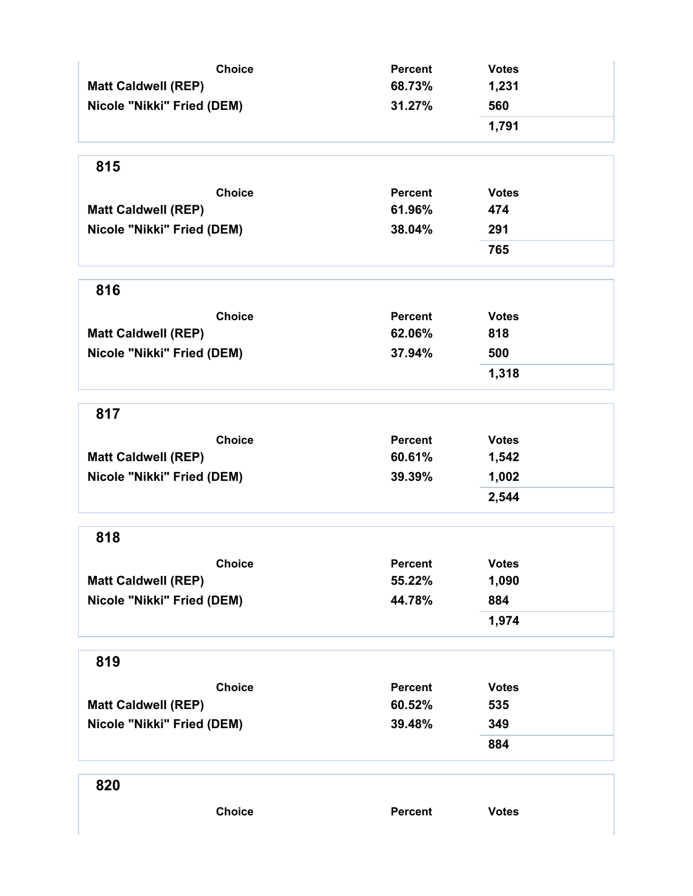| <b>Choice</b>              | <b>Percent</b> | <b>Votes</b> |
|----------------------------|----------------|--------------|
| <b>Matt Caldwell (REP)</b> | 68.73%         | 1,231        |
| Nicole "Nikki" Fried (DEM) | 31.27%         | 560          |
|                            |                | 1,791        |
| 815                        |                |              |
| <b>Choice</b>              | <b>Percent</b> | <b>Votes</b> |
| <b>Matt Caldwell (REP)</b> | 61.96%         | 474          |
| Nicole "Nikki" Fried (DEM) | 38.04%         | 291          |
|                            |                | 765          |
| 816                        |                |              |
| <b>Choice</b>              | <b>Percent</b> | <b>Votes</b> |
| <b>Matt Caldwell (REP)</b> | 62.06%         | 818          |
| Nicole "Nikki" Fried (DEM) | 37.94%         | 500          |
|                            |                | 1,318        |
| 817                        |                |              |
| <b>Choice</b>              | <b>Percent</b> | <b>Votes</b> |
| <b>Matt Caldwell (REP)</b> | 60.61%         | 1,542        |
| Nicole "Nikki" Fried (DEM) | 39.39%         | 1,002        |
|                            |                | 2,544        |
| 818                        |                |              |
| <b>Choice</b>              | Percent        | <b>Votes</b> |
| <b>Matt Caldwell (REP)</b> | 55.22%         | 1,090        |
| Nicole "Nikki" Fried (DEM) | 44.78%         | 884          |
|                            |                | 1,974        |
| 819                        |                |              |
| <b>Choice</b>              | <b>Percent</b> | <b>Votes</b> |
| <b>Matt Caldwell (REP)</b> | 60.52%         | 535          |
| Nicole "Nikki" Fried (DEM) | 39.48%         | 349          |
|                            |                | 884          |
| 820                        |                |              |
| <b>Choice</b>              | Percent        | <b>Votes</b> |
|                            |                |              |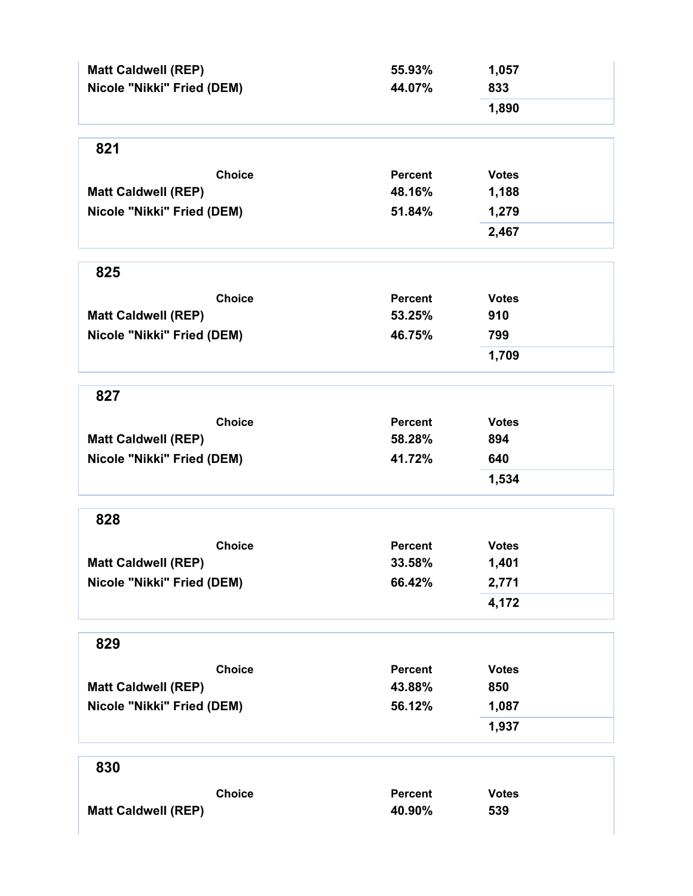| <b>Matt Caldwell (REP)</b> | 55.93%         | 1,057        |
|----------------------------|----------------|--------------|
| Nicole "Nikki" Fried (DEM) | 44.07%         | 833          |
|                            |                | 1,890        |
| 821                        |                |              |
| <b>Choice</b>              | <b>Percent</b> | <b>Votes</b> |
| <b>Matt Caldwell (REP)</b> | 48.16%         | 1,188        |
| Nicole "Nikki" Fried (DEM) | 51.84%         | 1,279        |
|                            |                | 2,467        |
| 825                        |                |              |
| <b>Choice</b>              | Percent        | <b>Votes</b> |
| <b>Matt Caldwell (REP)</b> | 53.25%         | 910          |
| Nicole "Nikki" Fried (DEM) | 46.75%         | 799          |
|                            |                | 1,709        |
| 827                        |                |              |
| <b>Choice</b>              | Percent        | <b>Votes</b> |
| <b>Matt Caldwell (REP)</b> | 58.28%         | 894          |
| Nicole "Nikki" Fried (DEM) | 41.72%         | 640          |
|                            |                | 1,534        |
| 828                        |                |              |
| <b>Choice</b>              | <b>Percent</b> | <b>Votes</b> |
| <b>Matt Caldwell (REP)</b> | 33.58%         | 1,401        |
| Nicole "Nikki" Fried (DEM) | 66.42%         | 2,771        |
|                            |                | 4,172        |
| 829                        |                |              |
| <b>Choice</b>              | <b>Percent</b> | <b>Votes</b> |
| <b>Matt Caldwell (REP)</b> | 43.88%         | 850          |
| Nicole "Nikki" Fried (DEM) | 56.12%         | 1,087        |
|                            |                | 1,937        |
| 830                        |                |              |
| <b>Choice</b>              | <b>Percent</b> | <b>Votes</b> |
| <b>Matt Caldwell (REP)</b> | 40.90%         | 539          |
|                            |                |              |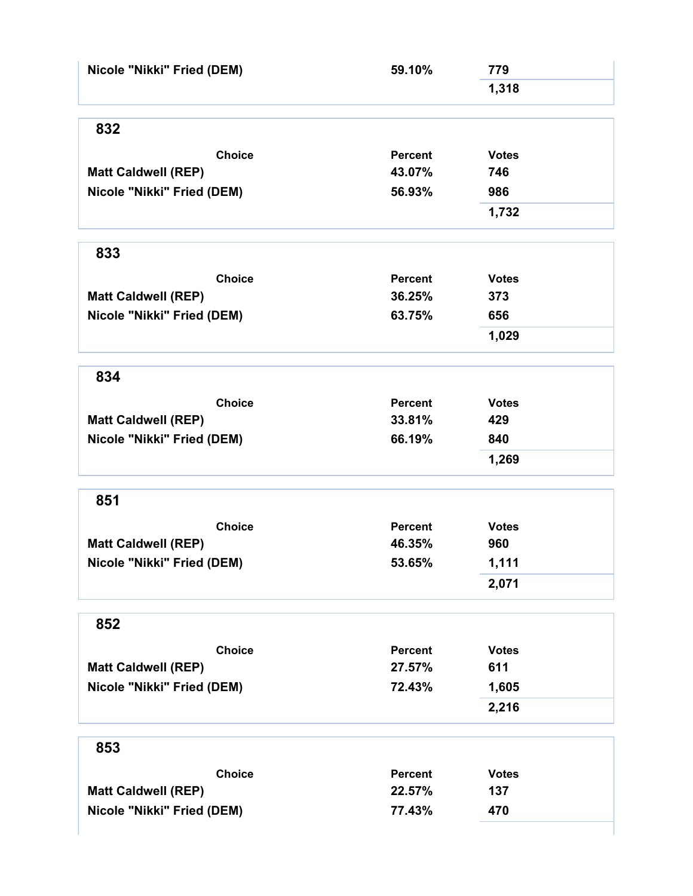| Nicole "Nikki" Fried (DEM)                  | 59.10%                   | 779                 |  |
|---------------------------------------------|--------------------------|---------------------|--|
|                                             |                          | 1,318               |  |
|                                             |                          |                     |  |
| 832                                         |                          |                     |  |
| <b>Choice</b>                               | <b>Percent</b>           | <b>Votes</b>        |  |
| <b>Matt Caldwell (REP)</b>                  | 43.07%                   | 746                 |  |
| Nicole "Nikki" Fried (DEM)                  | 56.93%                   | 986                 |  |
|                                             |                          | 1,732               |  |
| 833                                         |                          |                     |  |
|                                             |                          |                     |  |
| <b>Choice</b>                               | <b>Percent</b>           | <b>Votes</b>        |  |
| <b>Matt Caldwell (REP)</b>                  | 36.25%                   | 373                 |  |
| Nicole "Nikki" Fried (DEM)                  | 63.75%                   | 656                 |  |
|                                             |                          | 1,029               |  |
| 834                                         |                          |                     |  |
| <b>Choice</b>                               | <b>Percent</b>           | <b>Votes</b>        |  |
| <b>Matt Caldwell (REP)</b>                  | 33.81%                   | 429                 |  |
| Nicole "Nikki" Fried (DEM)                  | 66.19%                   | 840                 |  |
|                                             |                          | 1,269               |  |
| 851                                         |                          |                     |  |
|                                             |                          |                     |  |
| <b>Choice</b><br><b>Matt Caldwell (REP)</b> | <b>Percent</b><br>46.35% | <b>Votes</b><br>960 |  |
|                                             | 53.65%                   |                     |  |
| Nicole "Nikki" Fried (DEM)                  |                          | 1,111               |  |
|                                             |                          | 2,071               |  |
| 852                                         |                          |                     |  |
| <b>Choice</b>                               | <b>Percent</b>           | <b>Votes</b>        |  |
| <b>Matt Caldwell (REP)</b>                  | 27.57%                   | 611                 |  |
| Nicole "Nikki" Fried (DEM)                  | 72.43%                   | 1,605               |  |
|                                             |                          | 2,216               |  |
| 853                                         |                          |                     |  |
| <b>Choice</b>                               | <b>Percent</b>           | <b>Votes</b>        |  |
| <b>Matt Caldwell (REP)</b>                  | 22.57%                   | 137                 |  |
| Nicole "Nikki" Fried (DEM)                  | 77.43%                   | 470                 |  |
|                                             |                          |                     |  |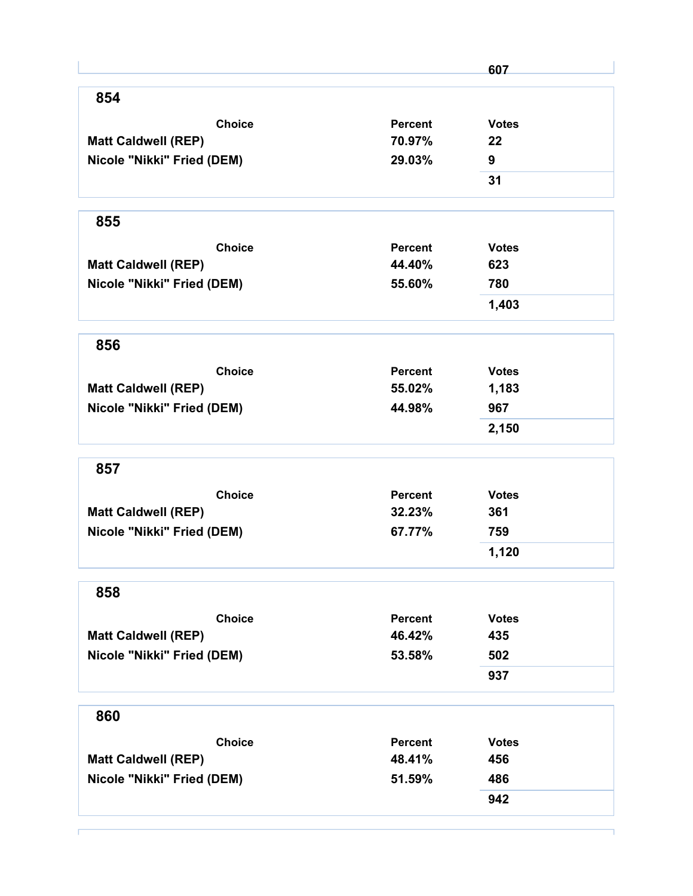|                            |                | 607          |
|----------------------------|----------------|--------------|
| 854                        |                |              |
| <b>Choice</b>              | <b>Percent</b> | <b>Votes</b> |
| <b>Matt Caldwell (REP)</b> | 70.97%         | 22           |
| Nicole "Nikki" Fried (DEM) | 29.03%         | 9            |
|                            |                | 31           |
| 855                        |                |              |
| <b>Choice</b>              | Percent        | <b>Votes</b> |
| <b>Matt Caldwell (REP)</b> | 44.40%         | 623          |
| Nicole "Nikki" Fried (DEM) | 55.60%         | 780          |
|                            |                | 1,403        |
| 856                        |                |              |
| <b>Choice</b>              | Percent        | <b>Votes</b> |
| <b>Matt Caldwell (REP)</b> | 55.02%         | 1,183        |
| Nicole "Nikki" Fried (DEM) | 44.98%         | 967          |
|                            |                | 2,150        |
| 857                        |                |              |
| <b>Choice</b>              | <b>Percent</b> | <b>Votes</b> |
| <b>Matt Caldwell (REP)</b> | 32.23%         | 361          |
| Nicole "Nikki" Fried (DEM) | 67.77%         | 759          |
|                            |                | 1,120        |
| 858                        |                |              |
| <b>Choice</b>              | <b>Percent</b> | <b>Votes</b> |
| <b>Matt Caldwell (REP)</b> | 46.42%         | 435          |
| Nicole "Nikki" Fried (DEM) | 53.58%         | 502          |
|                            |                | 937          |
| 860                        |                |              |
| <b>Choice</b>              | <b>Percent</b> | <b>Votes</b> |
| <b>Matt Caldwell (REP)</b> | 48.41%         | 456          |
| Nicole "Nikki" Fried (DEM) | 51.59%         | 486          |
|                            |                | 942          |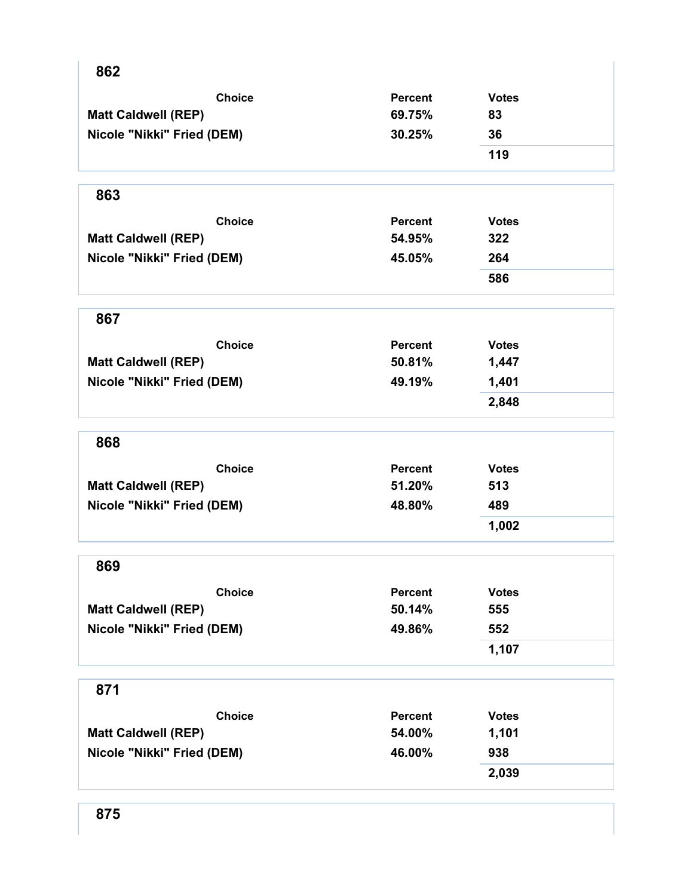| 862                        |                |              |  |
|----------------------------|----------------|--------------|--|
| <b>Choice</b>              | <b>Percent</b> | <b>Votes</b> |  |
| <b>Matt Caldwell (REP)</b> | 69.75%         | 83           |  |
| Nicole "Nikki" Fried (DEM) | 30.25%         | 36           |  |
|                            |                | 119          |  |
| 863                        |                |              |  |
| <b>Choice</b>              | <b>Percent</b> | <b>Votes</b> |  |
| <b>Matt Caldwell (REP)</b> | 54.95%         | 322          |  |
| Nicole "Nikki" Fried (DEM) | 45.05%         | 264          |  |
|                            |                | 586          |  |
| 867                        |                |              |  |
| <b>Choice</b>              | <b>Percent</b> | <b>Votes</b> |  |
| <b>Matt Caldwell (REP)</b> | 50.81%         | 1,447        |  |
| Nicole "Nikki" Fried (DEM) | 49.19%         | 1,401        |  |
|                            |                | 2,848        |  |
| 868                        |                |              |  |
| <b>Choice</b>              | <b>Percent</b> | <b>Votes</b> |  |
| <b>Matt Caldwell (REP)</b> | 51.20%         | 513          |  |
| Nicole "Nikki" Fried (DEM) | 48.80%         | 489          |  |
|                            |                | 1,002        |  |
| 869                        |                |              |  |
| <b>Choice</b>              | <b>Percent</b> | <b>Votes</b> |  |
| <b>Matt Caldwell (REP)</b> | 50.14%         | 555          |  |
| Nicole "Nikki" Fried (DEM) | 49.86%         | 552          |  |
|                            |                | 1,107        |  |
| 871                        |                |              |  |
| <b>Choice</b>              | <b>Percent</b> | <b>Votes</b> |  |
| <b>Matt Caldwell (REP)</b> | 54.00%         | 1,101        |  |
| Nicole "Nikki" Fried (DEM) | 46.00%         | 938          |  |
|                            |                | 2,039        |  |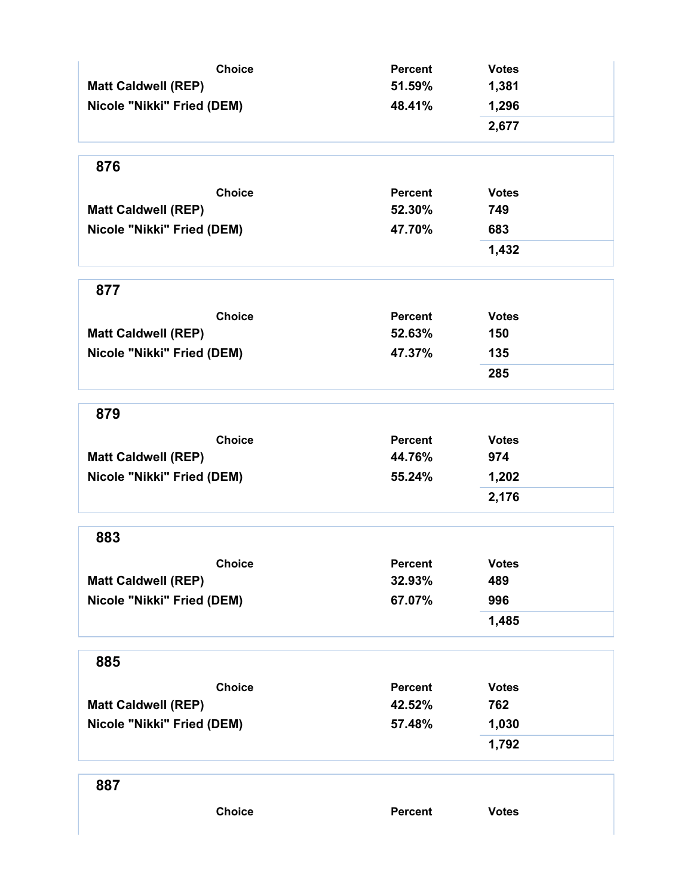| <b>Choice</b>                               | <b>Percent</b>           | <b>Votes</b>        |
|---------------------------------------------|--------------------------|---------------------|
| <b>Matt Caldwell (REP)</b>                  | 51.59%                   | 1,381               |
| Nicole "Nikki" Fried (DEM)                  | 48.41%                   | 1,296<br>2,677      |
| 876                                         |                          |                     |
|                                             |                          |                     |
| <b>Choice</b><br><b>Matt Caldwell (REP)</b> | <b>Percent</b><br>52.30% | <b>Votes</b><br>749 |
|                                             |                          |                     |
| Nicole "Nikki" Fried (DEM)                  | 47.70%                   | 683<br>1,432        |
|                                             |                          |                     |
| 877                                         |                          |                     |
| <b>Choice</b>                               | <b>Percent</b>           | <b>Votes</b>        |
| <b>Matt Caldwell (REP)</b>                  | 52.63%                   | 150                 |
| Nicole "Nikki" Fried (DEM)                  | 47.37%                   | 135                 |
|                                             |                          | 285                 |
| 879                                         |                          |                     |
| <b>Choice</b>                               | <b>Percent</b>           | <b>Votes</b>        |
| <b>Matt Caldwell (REP)</b>                  | 44.76%                   | 974                 |
| Nicole "Nikki" Fried (DEM)                  | 55.24%                   | 1,202               |
|                                             |                          | 2,176               |
| 883                                         |                          |                     |
| <b>Choice</b>                               | <b>Percent</b>           | <b>Votes</b>        |
| <b>Matt Caldwell (REP)</b>                  | 32.93%                   | 489                 |
| Nicole "Nikki" Fried (DEM)                  | 67.07%                   | 996                 |
|                                             |                          | 1,485               |
| 885                                         |                          |                     |
| <b>Choice</b>                               | Percent                  | <b>Votes</b>        |
| <b>Matt Caldwell (REP)</b>                  | 42.52%                   | 762                 |
| Nicole "Nikki" Fried (DEM)                  | 57.48%                   | 1,030               |
|                                             |                          | 1,792               |
| 887                                         |                          |                     |
| <b>Choice</b>                               | Percent                  | <b>Votes</b>        |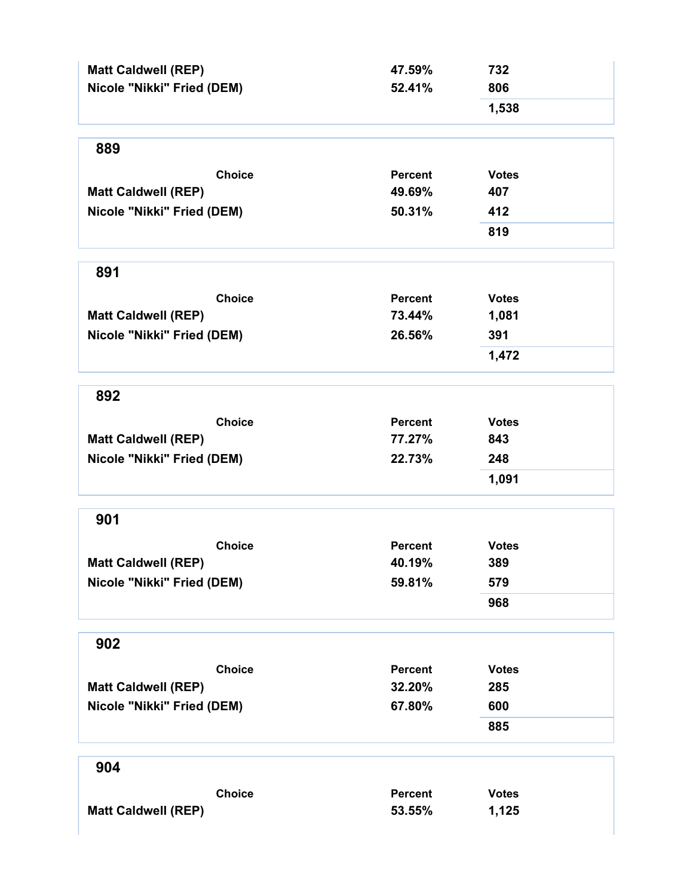| <b>Matt Caldwell (REP)</b> | 47.59%         | 732          |
|----------------------------|----------------|--------------|
| Nicole "Nikki" Fried (DEM) | 52.41%         | 806          |
|                            |                | 1,538        |
| 889                        |                |              |
| <b>Choice</b>              | <b>Percent</b> | <b>Votes</b> |
| <b>Matt Caldwell (REP)</b> | 49.69%         | 407          |
| Nicole "Nikki" Fried (DEM) | 50.31%         | 412          |
|                            |                | 819          |
| 891                        |                |              |
| <b>Choice</b>              | <b>Percent</b> | <b>Votes</b> |
| <b>Matt Caldwell (REP)</b> | 73.44%         | 1,081        |
| Nicole "Nikki" Fried (DEM) | 26.56%         | 391          |
|                            |                | 1,472        |
| 892                        |                |              |
| <b>Choice</b>              | <b>Percent</b> | <b>Votes</b> |
| <b>Matt Caldwell (REP)</b> | 77.27%         | 843          |
| Nicole "Nikki" Fried (DEM) | 22.73%         | 248          |
|                            |                | 1,091        |
| 901                        |                |              |
| <b>Choice</b>              | <b>Percent</b> | <b>Votes</b> |
| <b>Matt Caldwell (REP)</b> | 40.19%         | 389          |
| Nicole "Nikki" Fried (DEM) | 59.81%         | 579          |
|                            |                | 968          |
| 902                        |                |              |
| <b>Choice</b>              | <b>Percent</b> | <b>Votes</b> |
| <b>Matt Caldwell (REP)</b> | 32.20%         | 285          |
| Nicole "Nikki" Fried (DEM) | 67.80%         | 600          |
|                            |                | 885          |
| 904                        |                |              |
| <b>Choice</b>              | <b>Percent</b> | <b>Votes</b> |
| <b>Matt Caldwell (REP)</b> | 53.55%         | 1,125        |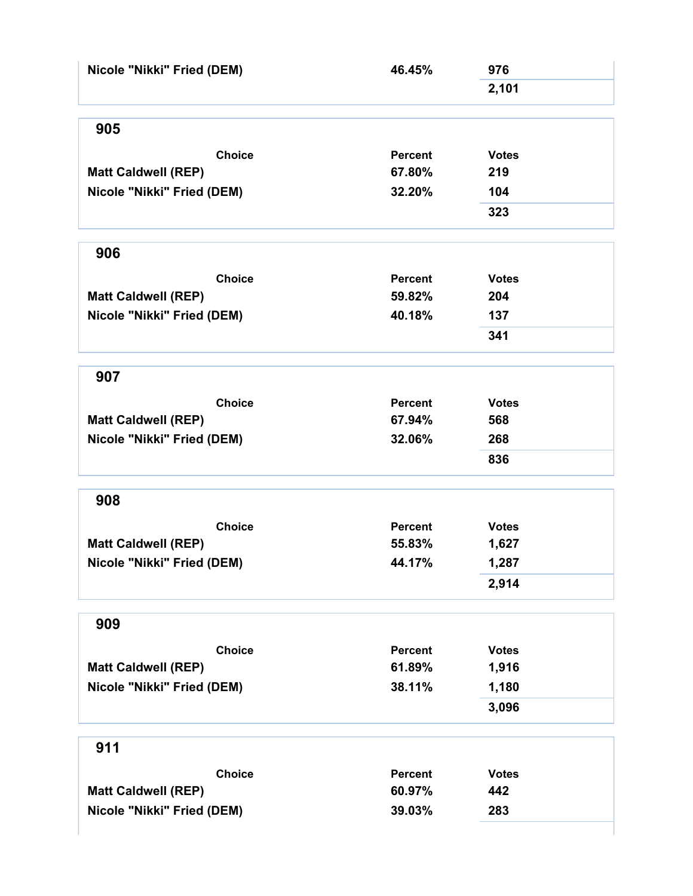| Nicole "Nikki" Fried (DEM) | 46.45%         | 976          |  |
|----------------------------|----------------|--------------|--|
|                            |                | 2,101        |  |
| 905                        |                |              |  |
| <b>Choice</b>              | <b>Percent</b> | <b>Votes</b> |  |
| <b>Matt Caldwell (REP)</b> | 67.80%         | 219          |  |
| Nicole "Nikki" Fried (DEM) | 32.20%         | 104          |  |
|                            |                | 323          |  |
|                            |                |              |  |
| 906                        |                |              |  |
| <b>Choice</b>              | <b>Percent</b> | <b>Votes</b> |  |
| <b>Matt Caldwell (REP)</b> | 59.82%         | 204          |  |
| Nicole "Nikki" Fried (DEM) | 40.18%         | 137          |  |
|                            |                | 341          |  |
| 907                        |                |              |  |
| <b>Choice</b>              | Percent        | <b>Votes</b> |  |
| <b>Matt Caldwell (REP)</b> | 67.94%         | 568          |  |
| Nicole "Nikki" Fried (DEM) | 32.06%         | 268          |  |
|                            |                | 836          |  |
| 908                        |                |              |  |
| <b>Choice</b>              | <b>Percent</b> | <b>Votes</b> |  |
| <b>Matt Caldwell (REP)</b> | 55.83%         | 1,627        |  |
| Nicole "Nikki" Fried (DEM) | 44.17%         | 1,287        |  |
|                            |                | 2,914        |  |
|                            |                |              |  |
| 909                        |                |              |  |
| <b>Choice</b>              | <b>Percent</b> | <b>Votes</b> |  |
| <b>Matt Caldwell (REP)</b> | 61.89%         | 1,916        |  |
| Nicole "Nikki" Fried (DEM) | 38.11%         | 1,180        |  |
|                            |                | 3,096        |  |
| 911                        |                |              |  |
| <b>Choice</b>              | <b>Percent</b> | <b>Votes</b> |  |
| <b>Matt Caldwell (REP)</b> | 60.97%         | 442          |  |
| Nicole "Nikki" Fried (DEM) | 39.03%         | 283          |  |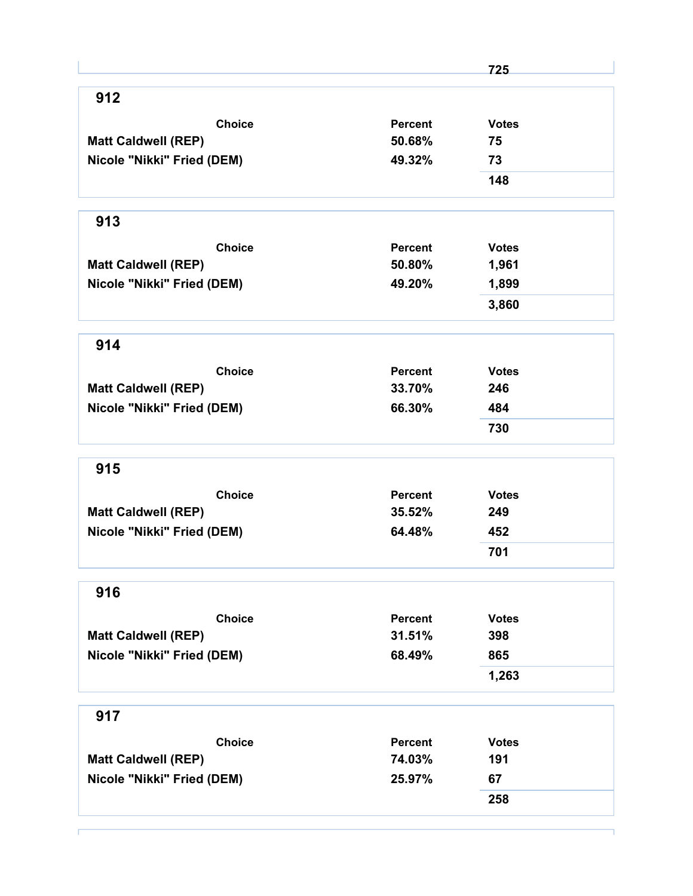|                            |                | 725          |
|----------------------------|----------------|--------------|
| 912                        |                |              |
| <b>Choice</b>              | <b>Percent</b> | <b>Votes</b> |
| <b>Matt Caldwell (REP)</b> | 50.68%         | 75           |
| Nicole "Nikki" Fried (DEM) | 49.32%         | 73           |
|                            |                | 148          |
| 913                        |                |              |
| <b>Choice</b>              | Percent        | <b>Votes</b> |
| <b>Matt Caldwell (REP)</b> | 50.80%         | 1,961        |
| Nicole "Nikki" Fried (DEM) | 49.20%         | 1,899        |
|                            |                | 3,860        |
| 914                        |                |              |
| <b>Choice</b>              | Percent        | <b>Votes</b> |
| <b>Matt Caldwell (REP)</b> | 33.70%         | 246          |
| Nicole "Nikki" Fried (DEM) | 66.30%         | 484          |
|                            |                | 730          |
| 915                        |                |              |
| <b>Choice</b>              | <b>Percent</b> | <b>Votes</b> |
| <b>Matt Caldwell (REP)</b> | 35.52%         | 249          |
| Nicole "Nikki" Fried (DEM) | 64.48%         | 452          |
|                            |                | 701          |
| 916                        |                |              |
| <b>Choice</b>              | <b>Percent</b> | <b>Votes</b> |
| <b>Matt Caldwell (REP)</b> | 31.51%         | 398          |
| Nicole "Nikki" Fried (DEM) | 68.49%         | 865          |
|                            |                | 1,263        |
| 917                        |                |              |
| <b>Choice</b>              | <b>Percent</b> | <b>Votes</b> |
| <b>Matt Caldwell (REP)</b> | 74.03%         | 191          |
| Nicole "Nikki" Fried (DEM) | 25.97%         | 67           |
|                            |                |              |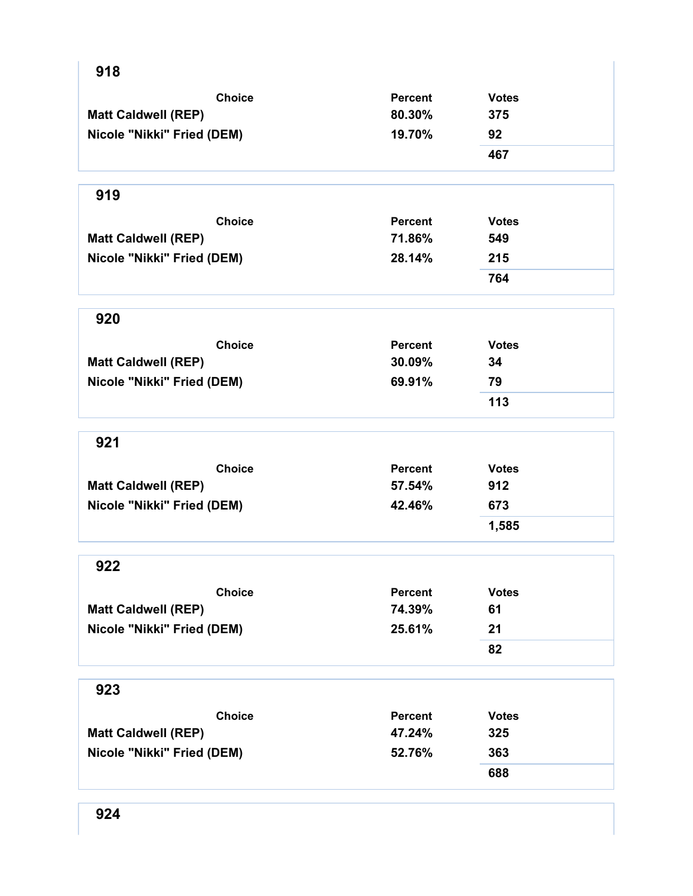| 918                        |                |              |
|----------------------------|----------------|--------------|
| <b>Choice</b>              | Percent        | <b>Votes</b> |
| <b>Matt Caldwell (REP)</b> | 80.30%         | 375          |
| Nicole "Nikki" Fried (DEM) | 19.70%         | 92           |
|                            |                | 467          |
| 919                        |                |              |
| <b>Choice</b>              | <b>Percent</b> | <b>Votes</b> |
| <b>Matt Caldwell (REP)</b> | 71.86%         | 549          |
| Nicole "Nikki" Fried (DEM) | 28.14%         | 215          |
|                            |                | 764          |
| 920                        |                |              |
| <b>Choice</b>              | <b>Percent</b> | <b>Votes</b> |
| <b>Matt Caldwell (REP)</b> | 30.09%         | 34           |
| Nicole "Nikki" Fried (DEM) | 69.91%         | 79           |
|                            |                | 113          |
| 921                        |                |              |
| <b>Choice</b>              | <b>Percent</b> | <b>Votes</b> |
| <b>Matt Caldwell (REP)</b> | 57.54%         | 912          |
| Nicole "Nikki" Fried (DEM) | 42.46%         | 673          |
|                            |                | 1,585        |
| 922                        |                |              |
| <b>Choice</b>              | <b>Percent</b> | <b>Votes</b> |
| <b>Matt Caldwell (REP)</b> | 74.39%         | 61           |
| Nicole "Nikki" Fried (DEM) | 25.61%         | 21           |
|                            |                | 82           |
| 923                        |                |              |
| <b>Choice</b>              | <b>Percent</b> | <b>Votes</b> |
| <b>Matt Caldwell (REP)</b> | 47.24%         | 325          |
| Nicole "Nikki" Fried (DEM) | 52.76%         | 363          |
|                            |                | 688          |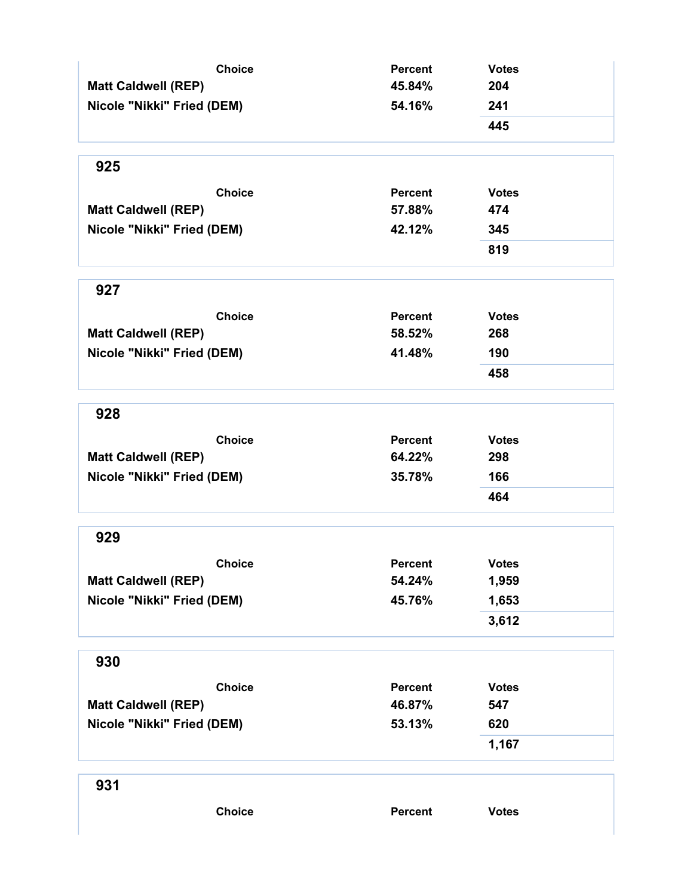| <b>Choice</b>              | <b>Percent</b> | <b>Votes</b> |
|----------------------------|----------------|--------------|
| <b>Matt Caldwell (REP)</b> | 45.84%         | 204          |
| Nicole "Nikki" Fried (DEM) | 54.16%         | 241          |
|                            |                | 445          |
| 925                        |                |              |
| <b>Choice</b>              | <b>Percent</b> | <b>Votes</b> |
| <b>Matt Caldwell (REP)</b> | 57.88%         | 474          |
| Nicole "Nikki" Fried (DEM) | 42.12%         | 345          |
|                            |                | 819          |
| 927                        |                |              |
| <b>Choice</b>              | <b>Percent</b> | <b>Votes</b> |
| <b>Matt Caldwell (REP)</b> | 58.52%         | 268          |
| Nicole "Nikki" Fried (DEM) | 41.48%         | 190          |
|                            |                | 458          |
| 928                        |                |              |
| <b>Choice</b>              | <b>Percent</b> | <b>Votes</b> |
| <b>Matt Caldwell (REP)</b> | 64.22%         | 298          |
| Nicole "Nikki" Fried (DEM) | 35.78%         | 166          |
|                            |                | 464          |
| 929                        |                |              |
| <b>Choice</b>              | <b>Percent</b> | <b>Votes</b> |
| <b>Matt Caldwell (REP)</b> | 54.24%         | 1,959        |
| Nicole "Nikki" Fried (DEM) | 45.76%         | 1,653        |
|                            |                | 3,612        |
| 930                        |                |              |
| <b>Choice</b>              | <b>Percent</b> | <b>Votes</b> |
| <b>Matt Caldwell (REP)</b> | 46.87%         | 547          |
| Nicole "Nikki" Fried (DEM) | 53.13%         | 620          |
|                            |                | 1,167        |
| 931                        |                |              |
| <b>Choice</b>              | Percent        | <b>Votes</b> |
|                            |                |              |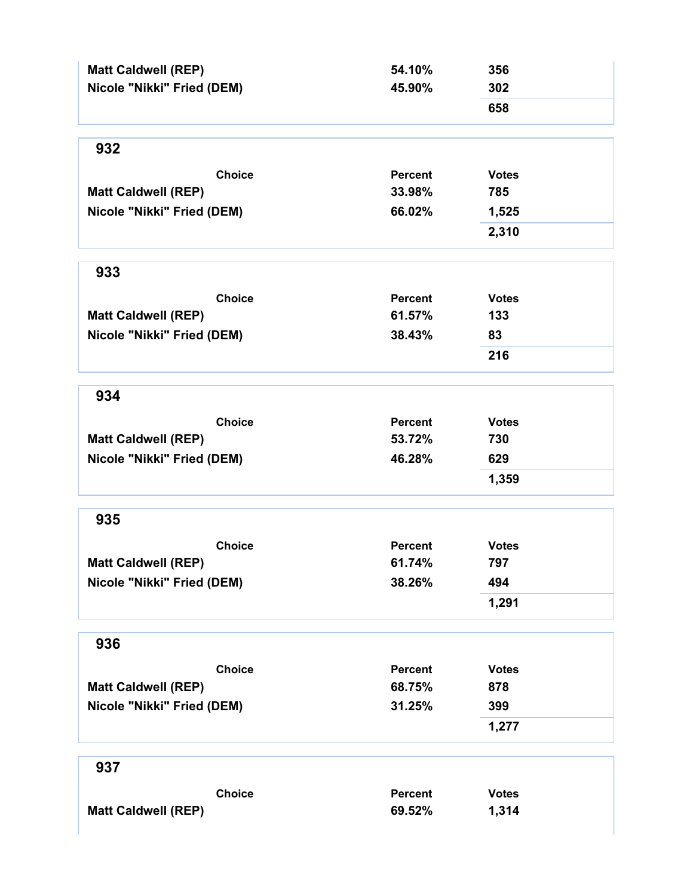| <b>Matt Caldwell (REP)</b><br>Nicole "Nikki" Fried (DEM) | 54.10%<br>45.90% | 356<br>302   |
|----------------------------------------------------------|------------------|--------------|
|                                                          |                  | 658          |
| 932                                                      |                  |              |
| <b>Choice</b>                                            | <b>Percent</b>   | <b>Votes</b> |
| <b>Matt Caldwell (REP)</b>                               | 33.98%           | 785          |
| Nicole "Nikki" Fried (DEM)                               | 66.02%           | 1,525        |
|                                                          |                  | 2,310        |
| 933                                                      |                  |              |
| <b>Choice</b>                                            | <b>Percent</b>   | <b>Votes</b> |
| <b>Matt Caldwell (REP)</b>                               | 61.57%           | 133          |
| Nicole "Nikki" Fried (DEM)                               | 38.43%           | 83           |
|                                                          |                  | 216          |
| 934                                                      |                  |              |
| <b>Choice</b>                                            | <b>Percent</b>   | <b>Votes</b> |
| <b>Matt Caldwell (REP)</b>                               | 53.72%           | 730          |
| Nicole "Nikki" Fried (DEM)                               | 46.28%           | 629          |
|                                                          |                  | 1,359        |
| 935                                                      |                  |              |
| <b>Choice</b>                                            | <b>Percent</b>   | <b>Votes</b> |
| <b>Matt Caldwell (REP)</b>                               | 61.74%           | 797          |
| Nicole "Nikki" Fried (DEM)                               | 38.26%           | 494          |
|                                                          |                  | 1,291        |
| 936                                                      |                  |              |
| <b>Choice</b>                                            | <b>Percent</b>   | <b>Votes</b> |
| <b>Matt Caldwell (REP)</b>                               | 68.75%           | 878          |
| Nicole "Nikki" Fried (DEM)                               | 31.25%           | 399          |
|                                                          |                  | 1,277        |
| 937                                                      |                  |              |
| <b>Choice</b>                                            | <b>Percent</b>   | <b>Votes</b> |
| <b>Matt Caldwell (REP)</b>                               | 69.52%           | 1,314        |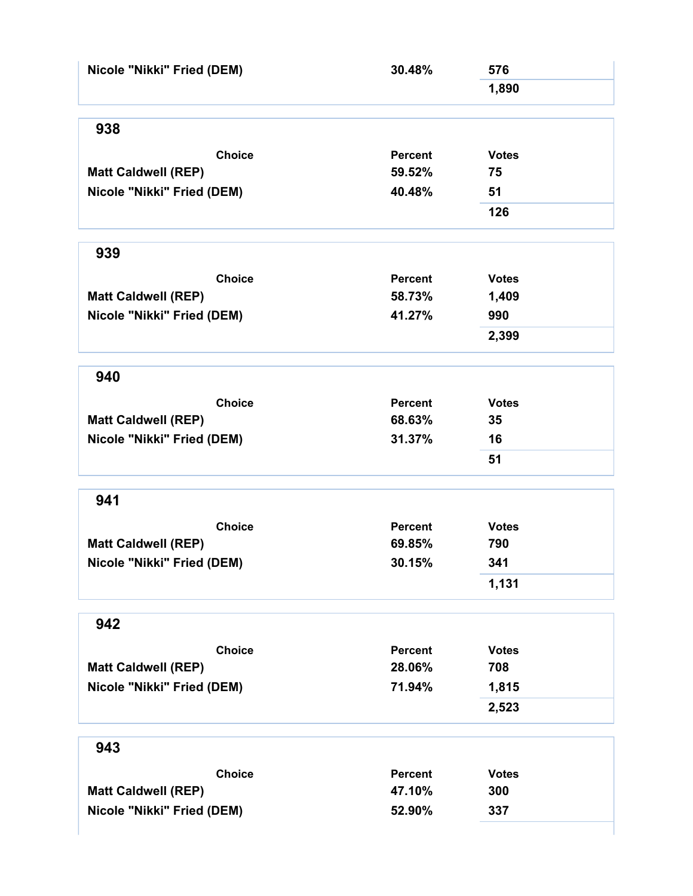| Nicole "Nikki" Fried (DEM) | 30.48%         | 576          |
|----------------------------|----------------|--------------|
|                            |                | 1,890        |
| 938                        |                |              |
| <b>Choice</b>              | <b>Percent</b> | <b>Votes</b> |
| <b>Matt Caldwell (REP)</b> | 59.52%         | 75           |
| Nicole "Nikki" Fried (DEM) | 40.48%         | 51           |
|                            |                | 126          |
| 939                        |                |              |
| <b>Choice</b>              | <b>Percent</b> | <b>Votes</b> |
| <b>Matt Caldwell (REP)</b> | 58.73%         | 1,409        |
| Nicole "Nikki" Fried (DEM) | 41.27%         | 990          |
|                            |                | 2,399        |
| 940                        |                |              |
| <b>Choice</b>              | <b>Percent</b> | <b>Votes</b> |
| <b>Matt Caldwell (REP)</b> | 68.63%         | 35           |
| Nicole "Nikki" Fried (DEM) | 31.37%         | 16           |
|                            |                | 51           |
| 941                        |                |              |
| <b>Choice</b>              | <b>Percent</b> | <b>Votes</b> |
| <b>Matt Caldwell (REP)</b> | 69.85%         | 790          |
| Nicole "Nikki" Fried (DEM) | 30.15%         | 341          |
|                            |                | 1,131        |
| 942                        |                |              |
| <b>Choice</b>              | <b>Percent</b> | <b>Votes</b> |
| <b>Matt Caldwell (REP)</b> | 28.06%         | 708          |
| Nicole "Nikki" Fried (DEM) | 71.94%         | 1,815        |
|                            |                | 2,523        |
| 943                        |                |              |
| <b>Choice</b>              | <b>Percent</b> | <b>Votes</b> |
| <b>Matt Caldwell (REP)</b> | 47.10%         | 300          |
| Nicole "Nikki" Fried (DEM) | 52.90%         | 337          |
|                            |                |              |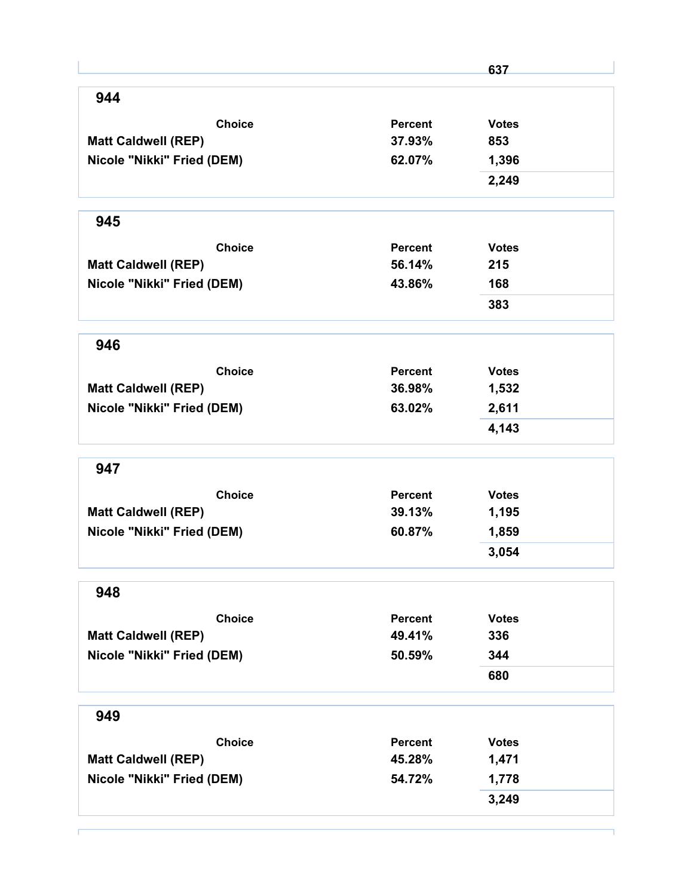|                            |                | 637          |
|----------------------------|----------------|--------------|
| 944                        |                |              |
| <b>Choice</b>              | Percent        | <b>Votes</b> |
| <b>Matt Caldwell (REP)</b> | 37.93%         | 853          |
| Nicole "Nikki" Fried (DEM) | 62.07%         | 1,396        |
|                            |                | 2,249        |
| 945                        |                |              |
| <b>Choice</b>              | <b>Percent</b> | <b>Votes</b> |
| <b>Matt Caldwell (REP)</b> | 56.14%         | 215          |
| Nicole "Nikki" Fried (DEM) | 43.86%         | 168          |
|                            |                | 383          |
| 946                        |                |              |
| <b>Choice</b>              | <b>Percent</b> | <b>Votes</b> |
| <b>Matt Caldwell (REP)</b> | 36.98%         | 1,532        |
| Nicole "Nikki" Fried (DEM) | 63.02%         | 2,611        |
|                            |                | 4,143        |
| 947                        |                |              |
| <b>Choice</b>              | <b>Percent</b> | <b>Votes</b> |
| <b>Matt Caldwell (REP)</b> | 39.13%         | 1,195        |
| Nicole "Nikki" Fried (DEM) | 60.87%         | 1,859        |
|                            |                | 3,054        |
| 948                        |                |              |
| <b>Choice</b>              | Percent        | <b>Votes</b> |
| <b>Matt Caldwell (REP)</b> | 49.41%         | 336          |
| Nicole "Nikki" Fried (DEM) | 50.59%         | 344          |
|                            |                | 680          |
| 949                        |                |              |
| <b>Choice</b>              | <b>Percent</b> | <b>Votes</b> |
| <b>Matt Caldwell (REP)</b> | 45.28%         | 1,471        |
| Nicole "Nikki" Fried (DEM) | 54.72%         | 1,778        |
|                            |                | 3,249        |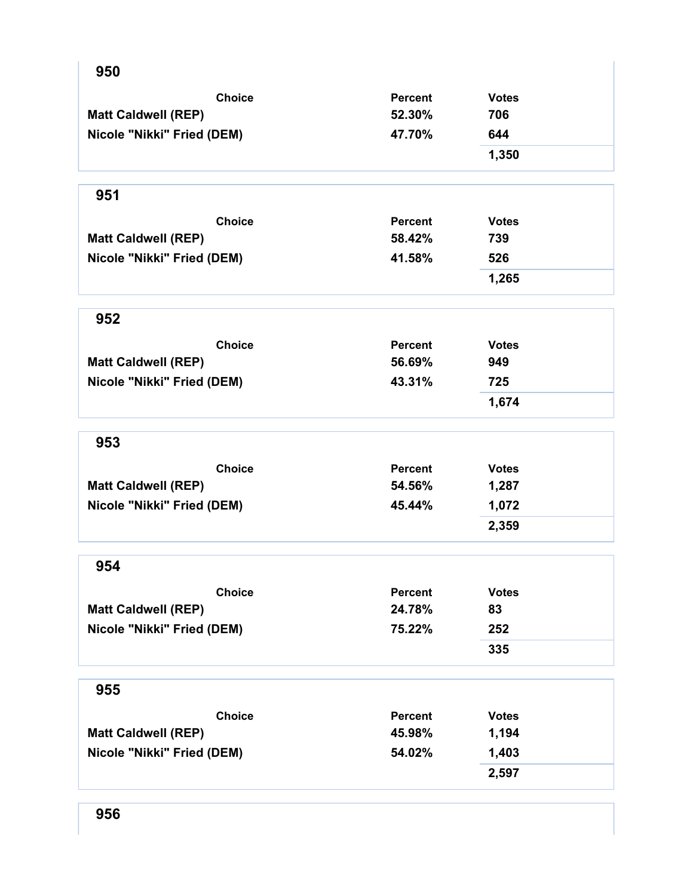| 950                        |                |              |
|----------------------------|----------------|--------------|
| <b>Choice</b>              | <b>Percent</b> | <b>Votes</b> |
| <b>Matt Caldwell (REP)</b> | 52.30%         | 706          |
| Nicole "Nikki" Fried (DEM) | 47.70%         | 644          |
|                            |                | 1,350        |
| 951                        |                |              |
| <b>Choice</b>              | <b>Percent</b> | <b>Votes</b> |
| <b>Matt Caldwell (REP)</b> | 58.42%         | 739          |
| Nicole "Nikki" Fried (DEM) | 41.58%         | 526          |
|                            |                | 1,265        |
| 952                        |                |              |
| <b>Choice</b>              | <b>Percent</b> | <b>Votes</b> |
| <b>Matt Caldwell (REP)</b> | 56.69%         | 949          |
| Nicole "Nikki" Fried (DEM) | 43.31%         | 725          |
|                            |                | 1,674        |
| 953                        |                |              |
| <b>Choice</b>              | <b>Percent</b> | <b>Votes</b> |
| <b>Matt Caldwell (REP)</b> | 54.56%         | 1,287        |
| Nicole "Nikki" Fried (DEM) | 45.44%         | 1,072        |
|                            |                | 2,359        |
| 954                        |                |              |
| <b>Choice</b>              | <b>Percent</b> | <b>Votes</b> |
| <b>Matt Caldwell (REP)</b> | 24.78%         | 83           |
| Nicole "Nikki" Fried (DEM) | 75.22%         | 252          |
|                            |                | 335          |
| 955                        |                |              |
| <b>Choice</b>              | <b>Percent</b> | <b>Votes</b> |
| <b>Matt Caldwell (REP)</b> | 45.98%         | 1,194        |
| Nicole "Nikki" Fried (DEM) | 54.02%         | 1,403        |
|                            |                | 2,597        |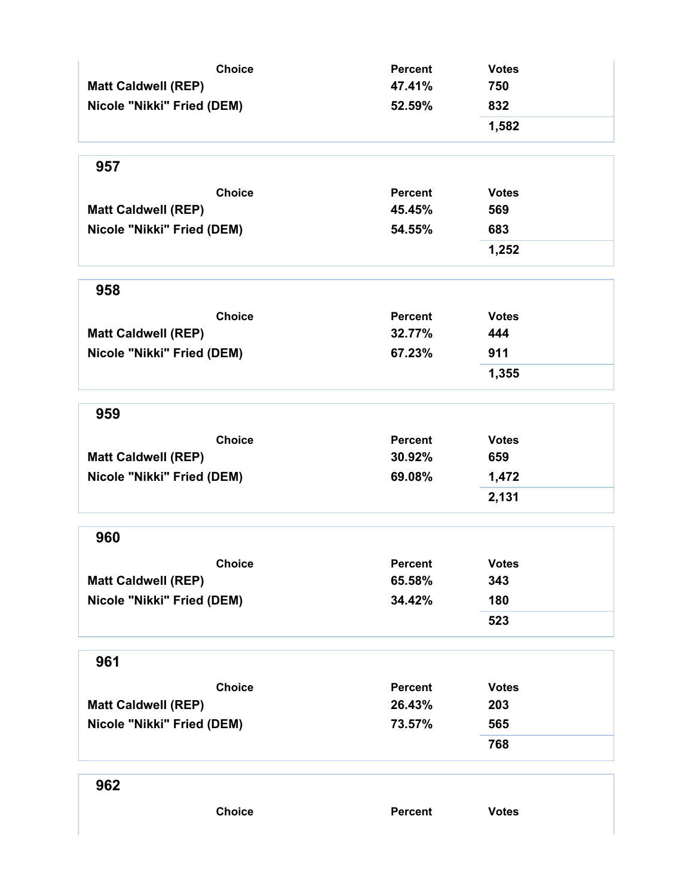| <b>Choice</b><br><b>Matt Caldwell (REP)</b><br>Nicole "Nikki" Fried (DEM) | <b>Percent</b><br>47.41%<br>52.59% | <b>Votes</b> |  |
|---------------------------------------------------------------------------|------------------------------------|--------------|--|
|                                                                           |                                    | 750          |  |
|                                                                           |                                    | 832          |  |
|                                                                           |                                    | 1,582        |  |
| 957                                                                       |                                    |              |  |
| <b>Choice</b>                                                             | <b>Percent</b>                     | <b>Votes</b> |  |
| <b>Matt Caldwell (REP)</b>                                                | 45.45%                             | 569          |  |
| Nicole "Nikki" Fried (DEM)                                                | 54.55%                             | 683          |  |
|                                                                           |                                    | 1,252        |  |
| 958                                                                       |                                    |              |  |
| <b>Choice</b>                                                             | <b>Percent</b>                     | <b>Votes</b> |  |
| <b>Matt Caldwell (REP)</b>                                                | 32.77%                             | 444          |  |
| Nicole "Nikki" Fried (DEM)                                                | 67.23%                             | 911          |  |
|                                                                           |                                    | 1,355        |  |
| 959                                                                       |                                    |              |  |
| <b>Choice</b>                                                             | <b>Percent</b>                     | <b>Votes</b> |  |
| <b>Matt Caldwell (REP)</b>                                                | 30.92%                             | 659          |  |
| Nicole "Nikki" Fried (DEM)                                                | 69.08%                             | 1,472        |  |
|                                                                           |                                    | 2,131        |  |
| 960                                                                       |                                    |              |  |
| <b>Choice</b>                                                             | <b>Percent</b>                     | <b>Votes</b> |  |
| <b>Matt Caldwell (REP)</b>                                                | 65.58%                             | 343          |  |
| Nicole "Nikki" Fried (DEM)                                                | 34.42%                             | 180          |  |
|                                                                           |                                    | 523          |  |
| 961                                                                       |                                    |              |  |
| <b>Choice</b>                                                             | <b>Percent</b>                     | <b>Votes</b> |  |
| <b>Matt Caldwell (REP)</b>                                                | 26.43%                             | 203          |  |
| Nicole "Nikki" Fried (DEM)                                                | 73.57%                             | 565          |  |
|                                                                           |                                    | 768          |  |
| 962                                                                       |                                    |              |  |
| <b>Choice</b>                                                             | <b>Percent</b>                     | <b>Votes</b> |  |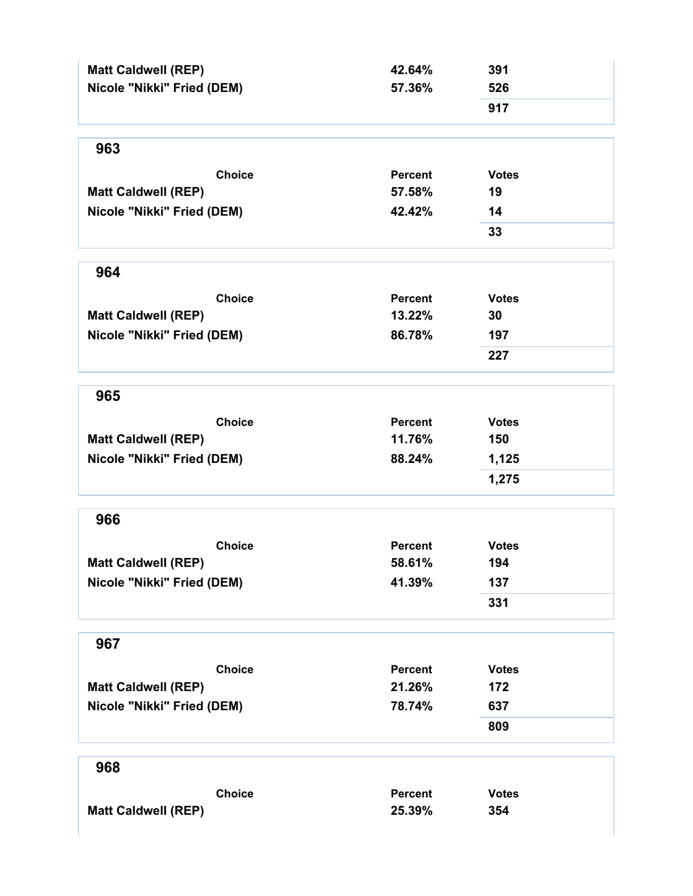| <b>Matt Caldwell (REP)</b> | 42.64%         | 391          |
|----------------------------|----------------|--------------|
| Nicole "Nikki" Fried (DEM) | 57.36%         | 526          |
|                            |                | 917          |
| 963                        |                |              |
| <b>Choice</b>              | <b>Percent</b> | <b>Votes</b> |
| <b>Matt Caldwell (REP)</b> | 57.58%         | 19           |
| Nicole "Nikki" Fried (DEM) | 42.42%         | 14           |
|                            |                | 33           |
| 964                        |                |              |
| <b>Choice</b>              | <b>Percent</b> | <b>Votes</b> |
| <b>Matt Caldwell (REP)</b> | 13.22%         | 30           |
| Nicole "Nikki" Fried (DEM) | 86.78%         | 197          |
|                            |                | 227          |
| 965                        |                |              |
| <b>Choice</b>              | Percent        | <b>Votes</b> |
| <b>Matt Caldwell (REP)</b> | 11.76%         | 150          |
| Nicole "Nikki" Fried (DEM) | 88.24%         | 1,125        |
|                            |                | 1,275        |
| 966                        |                |              |
| <b>Choice</b>              | <b>Percent</b> | <b>Votes</b> |
| <b>Matt Caldwell (REP)</b> | 58.61%         | 194          |
| Nicole "Nikki" Fried (DEM) | 41.39%         | 137          |
|                            |                | 331          |
| 967                        |                |              |
| <b>Choice</b>              | <b>Percent</b> | <b>Votes</b> |
| <b>Matt Caldwell (REP)</b> | 21.26%         | 172          |
| Nicole "Nikki" Fried (DEM) | 78.74%         | 637          |
|                            |                | 809          |
| 968                        |                |              |
| <b>Choice</b>              | <b>Percent</b> | <b>Votes</b> |
| <b>Matt Caldwell (REP)</b> | 25.39%         | 354          |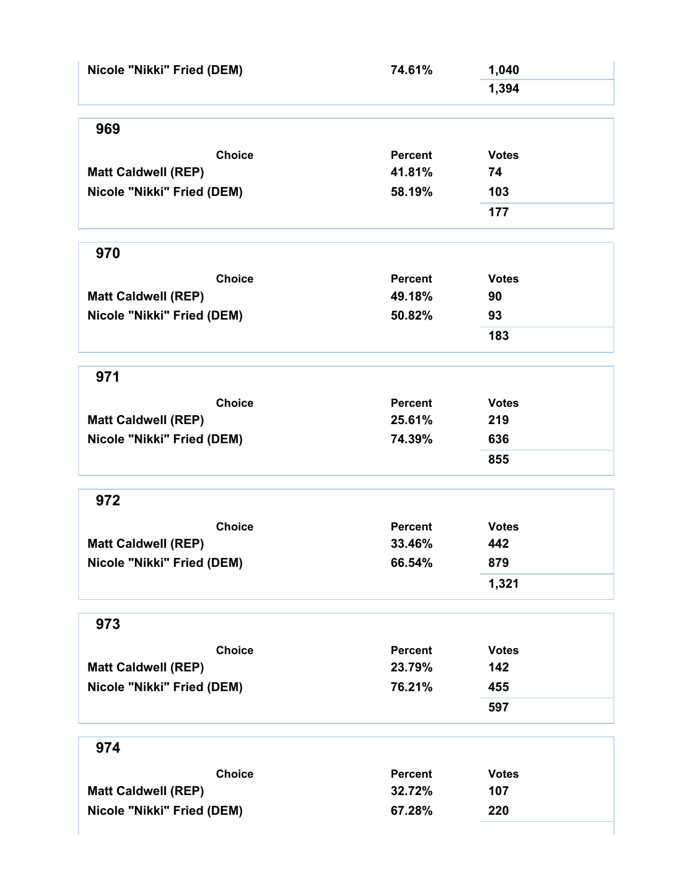| Nicole "Nikki" Fried (DEM)                  | 74.61%                   | 1,040               |  |
|---------------------------------------------|--------------------------|---------------------|--|
|                                             |                          | 1,394               |  |
|                                             |                          |                     |  |
| 969                                         |                          |                     |  |
| <b>Choice</b>                               | <b>Percent</b>           | <b>Votes</b>        |  |
| <b>Matt Caldwell (REP)</b>                  | 41.81%                   | 74                  |  |
| Nicole "Nikki" Fried (DEM)                  | 58.19%                   | 103                 |  |
|                                             |                          | 177                 |  |
| 970                                         |                          |                     |  |
|                                             |                          |                     |  |
| <b>Choice</b>                               | Percent                  | <b>Votes</b>        |  |
| <b>Matt Caldwell (REP)</b>                  | 49.18%                   | 90                  |  |
| Nicole "Nikki" Fried (DEM)                  | 50.82%                   | 93                  |  |
|                                             |                          | 183                 |  |
| 971                                         |                          |                     |  |
| <b>Choice</b>                               | <b>Percent</b>           | <b>Votes</b>        |  |
| <b>Matt Caldwell (REP)</b>                  | 25.61%                   | 219                 |  |
| Nicole "Nikki" Fried (DEM)                  | 74.39%                   | 636                 |  |
|                                             |                          | 855                 |  |
| 972                                         |                          |                     |  |
|                                             |                          |                     |  |
| <b>Choice</b><br><b>Matt Caldwell (REP)</b> | <b>Percent</b><br>33.46% | <b>Votes</b><br>442 |  |
|                                             | 66.54%                   | 879                 |  |
| Nicole "Nikki" Fried (DEM)                  |                          |                     |  |
|                                             |                          | 1,321               |  |
| 973                                         |                          |                     |  |
| <b>Choice</b>                               | <b>Percent</b>           | <b>Votes</b>        |  |
| <b>Matt Caldwell (REP)</b>                  | 23.79%                   | 142                 |  |
| Nicole "Nikki" Fried (DEM)                  | 76.21%                   | 455                 |  |
|                                             |                          | 597                 |  |
| 974                                         |                          |                     |  |
| <b>Choice</b>                               | <b>Percent</b>           | <b>Votes</b>        |  |
| <b>Matt Caldwell (REP)</b>                  | 32.72%                   | 107                 |  |
| Nicole "Nikki" Fried (DEM)                  | 67.28%                   | 220                 |  |